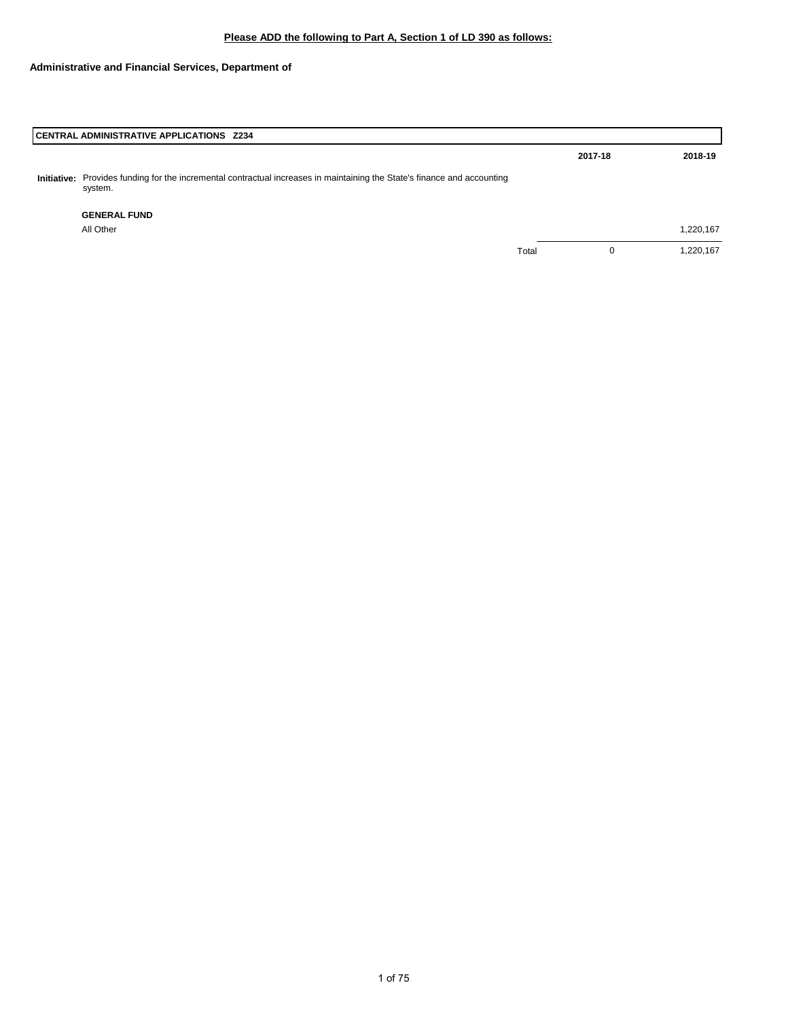|                                                                                                                                                                                                                        | 2017-18 | 2018-19   |
|------------------------------------------------------------------------------------------------------------------------------------------------------------------------------------------------------------------------|---------|-----------|
|                                                                                                                                                                                                                        |         |           |
|                                                                                                                                                                                                                        |         |           |
|                                                                                                                                                                                                                        |         | 1,220,167 |
| Total                                                                                                                                                                                                                  | 0       | 1,220,167 |
| CENTRAL ADMINISTRATIVE APPLICATIONS Z234<br>Provides funding for the incremental contractual increases in maintaining the State's finance and accounting<br>Initiative:<br>system.<br><b>GENERAL FUND</b><br>All Other |         |           |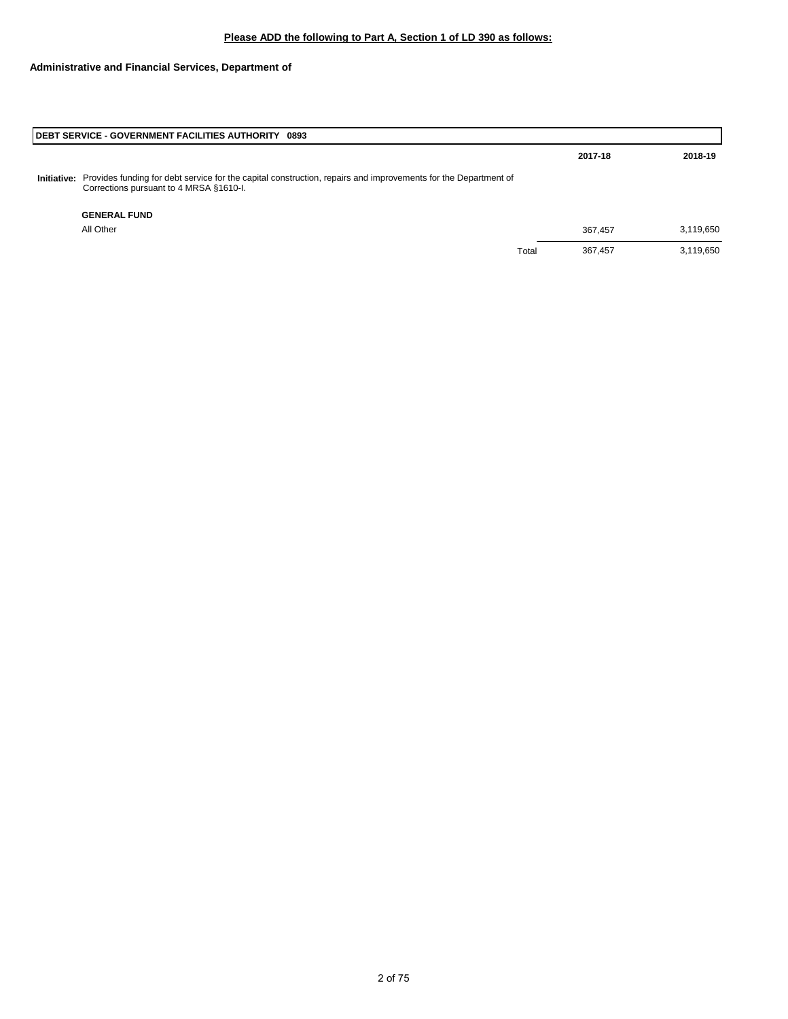| <b>IDEBT SERVICE - GOVERNMENT FACILITIES AUTHORITY 0893</b>                                                                                                           |       |         |           |
|-----------------------------------------------------------------------------------------------------------------------------------------------------------------------|-------|---------|-----------|
|                                                                                                                                                                       |       | 2017-18 | 2018-19   |
| Initiative: Provides funding for debt service for the capital construction, repairs and improvements for the Department of<br>Corrections pursuant to 4 MRSA §1610-I. |       |         |           |
| <b>GENERAL FUND</b>                                                                                                                                                   |       |         |           |
| All Other                                                                                                                                                             |       | 367.457 | 3,119,650 |
|                                                                                                                                                                       | Total | 367,457 | 3,119,650 |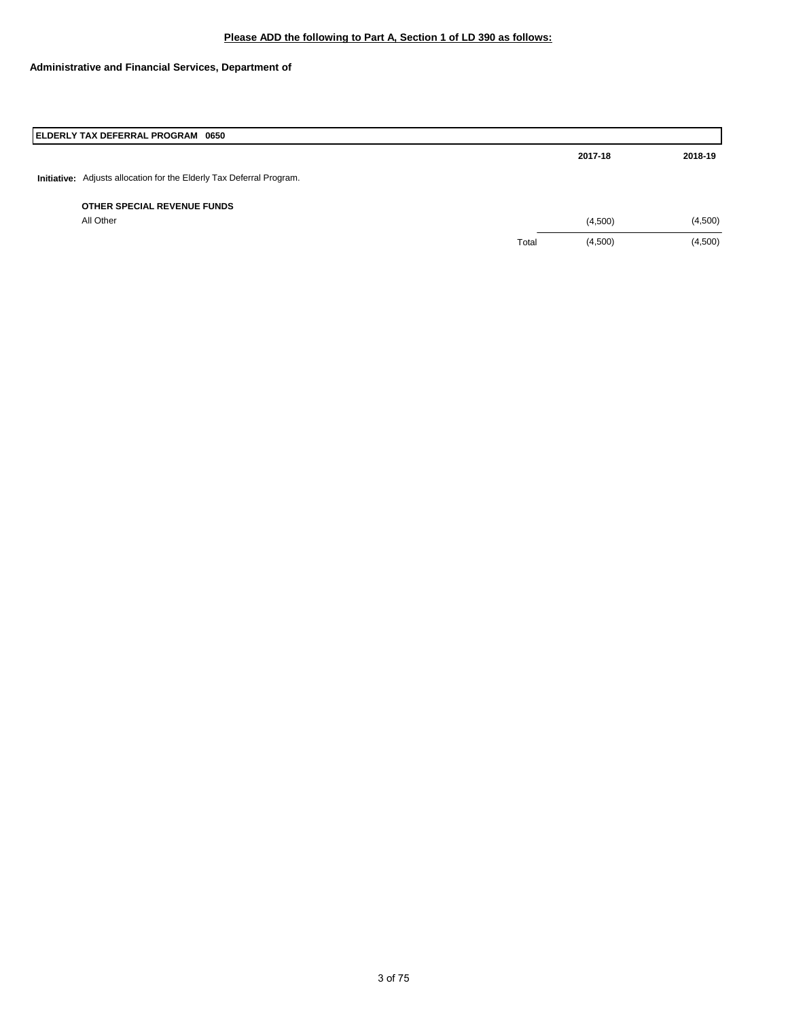|             | ELDERLY TAX DEFERRAL PROGRAM 0650                        |       |         |         |
|-------------|----------------------------------------------------------|-------|---------|---------|
|             |                                                          |       | 2017-18 | 2018-19 |
| Initiative: | Adjusts allocation for the Elderly Tax Deferral Program. |       |         |         |
|             | OTHER SPECIAL REVENUE FUNDS                              |       |         |         |
|             | All Other                                                |       | (4,500) | (4,500) |
|             |                                                          | Total | (4,500) | (4,500) |
|             |                                                          |       |         |         |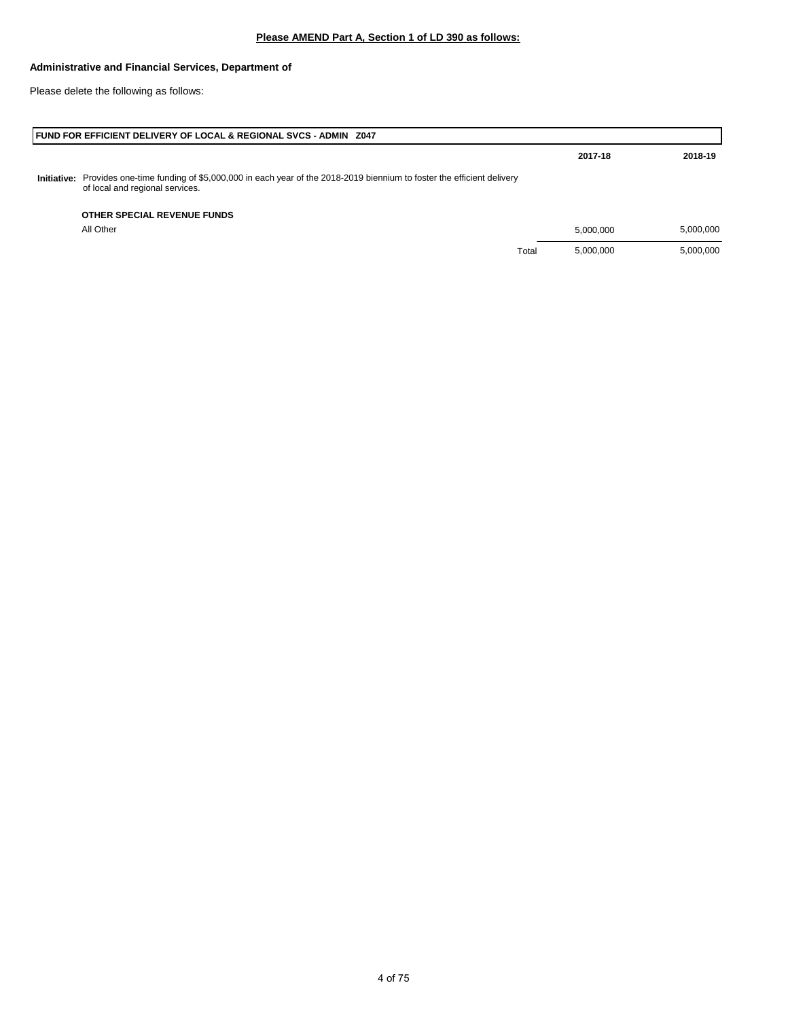Please delete the following as follows:

|             | <b>FUND FOR EFFICIENT DELIVERY OF LOCAL &amp; REGIONAL SVCS - ADMIN Z047</b>                                                                        |       |           |           |
|-------------|-----------------------------------------------------------------------------------------------------------------------------------------------------|-------|-----------|-----------|
|             |                                                                                                                                                     |       | 2017-18   | 2018-19   |
| Initiative: | Provides one-time funding of \$5,000,000 in each year of the 2018-2019 biennium to foster the efficient delivery<br>of local and regional services. |       |           |           |
|             | OTHER SPECIAL REVENUE FUNDS                                                                                                                         |       |           |           |
|             | All Other                                                                                                                                           |       | 5.000.000 | 5,000,000 |
|             |                                                                                                                                                     | Total | 5,000,000 | 5,000,000 |
|             |                                                                                                                                                     |       |           |           |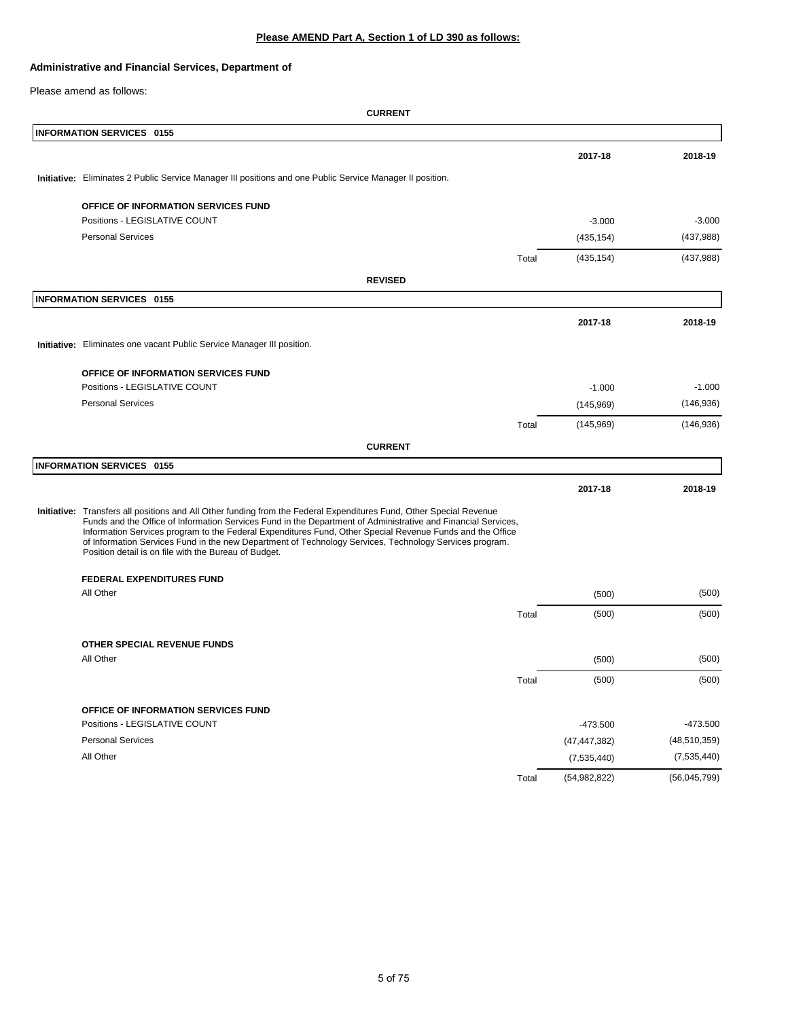# **Please AMEND Part A, Section 1 of LD 390 as follows:**

## **Administrative and Financial Services, Department of**

Please amend as follows:

| <b>INFORMATION SERVICES 0155</b>                                                                                                                                                                                                                                                                                                                                                                                                                                                                                      |       |                |                |
|-----------------------------------------------------------------------------------------------------------------------------------------------------------------------------------------------------------------------------------------------------------------------------------------------------------------------------------------------------------------------------------------------------------------------------------------------------------------------------------------------------------------------|-------|----------------|----------------|
|                                                                                                                                                                                                                                                                                                                                                                                                                                                                                                                       |       | 2017-18        | 2018-19        |
| Initiative: Eliminates 2 Public Service Manager III positions and one Public Service Manager II position.                                                                                                                                                                                                                                                                                                                                                                                                             |       |                |                |
| OFFICE OF INFORMATION SERVICES FUND                                                                                                                                                                                                                                                                                                                                                                                                                                                                                   |       |                |                |
| Positions - LEGISLATIVE COUNT                                                                                                                                                                                                                                                                                                                                                                                                                                                                                         |       | $-3.000$       | $-3.000$       |
| <b>Personal Services</b>                                                                                                                                                                                                                                                                                                                                                                                                                                                                                              |       | (435, 154)     | (437,988)      |
|                                                                                                                                                                                                                                                                                                                                                                                                                                                                                                                       | Total | (435, 154)     | (437,988)      |
| <b>REVISED</b>                                                                                                                                                                                                                                                                                                                                                                                                                                                                                                        |       |                |                |
| <b>INFORMATION SERVICES 0155</b>                                                                                                                                                                                                                                                                                                                                                                                                                                                                                      |       |                |                |
|                                                                                                                                                                                                                                                                                                                                                                                                                                                                                                                       |       | 2017-18        | 2018-19        |
| Initiative: Eliminates one vacant Public Service Manager III position.                                                                                                                                                                                                                                                                                                                                                                                                                                                |       |                |                |
|                                                                                                                                                                                                                                                                                                                                                                                                                                                                                                                       |       |                |                |
| OFFICE OF INFORMATION SERVICES FUND                                                                                                                                                                                                                                                                                                                                                                                                                                                                                   |       |                |                |
| Positions - LEGISLATIVE COUNT                                                                                                                                                                                                                                                                                                                                                                                                                                                                                         |       | $-1.000$       | $-1.000$       |
| <b>Personal Services</b>                                                                                                                                                                                                                                                                                                                                                                                                                                                                                              |       | (145,969)      | (146, 936)     |
|                                                                                                                                                                                                                                                                                                                                                                                                                                                                                                                       | Total | (145,969)      | (146, 936)     |
| <b>CURRENT</b>                                                                                                                                                                                                                                                                                                                                                                                                                                                                                                        |       |                |                |
| <b>INFORMATION SERVICES 0155</b>                                                                                                                                                                                                                                                                                                                                                                                                                                                                                      |       |                |                |
|                                                                                                                                                                                                                                                                                                                                                                                                                                                                                                                       |       | 2017-18        | 2018-19        |
| Initiative: Transfers all positions and All Other funding from the Federal Expenditures Fund, Other Special Revenue<br>Funds and the Office of Information Services Fund in the Department of Administrative and Financial Services,<br>Information Services program to the Federal Expenditures Fund, Other Special Revenue Funds and the Office<br>of Information Services Fund in the new Department of Technology Services, Technology Services program.<br>Position detail is on file with the Bureau of Budget. |       |                |                |
| <b>FEDERAL EXPENDITURES FUND</b>                                                                                                                                                                                                                                                                                                                                                                                                                                                                                      |       |                |                |
| All Other                                                                                                                                                                                                                                                                                                                                                                                                                                                                                                             |       | (500)          | (500)          |
|                                                                                                                                                                                                                                                                                                                                                                                                                                                                                                                       | Total | (500)          | (500)          |
| OTHER SPECIAL REVENUE FUNDS                                                                                                                                                                                                                                                                                                                                                                                                                                                                                           |       |                |                |
| All Other                                                                                                                                                                                                                                                                                                                                                                                                                                                                                                             |       | (500)          | (500)          |
|                                                                                                                                                                                                                                                                                                                                                                                                                                                                                                                       | Total | (500)          | (500)          |
| OFFICE OF INFORMATION SERVICES FUND                                                                                                                                                                                                                                                                                                                                                                                                                                                                                   |       |                |                |
| Positions - LEGISLATIVE COUNT                                                                                                                                                                                                                                                                                                                                                                                                                                                                                         |       | $-473.500$     | $-473.500$     |
| <b>Personal Services</b>                                                                                                                                                                                                                                                                                                                                                                                                                                                                                              |       | (47, 447, 382) | (48, 510, 359) |
| All Other                                                                                                                                                                                                                                                                                                                                                                                                                                                                                                             |       | (7,535,440)    | (7,535,440)    |
|                                                                                                                                                                                                                                                                                                                                                                                                                                                                                                                       | Total | (54,982,822)   | (56,045,799)   |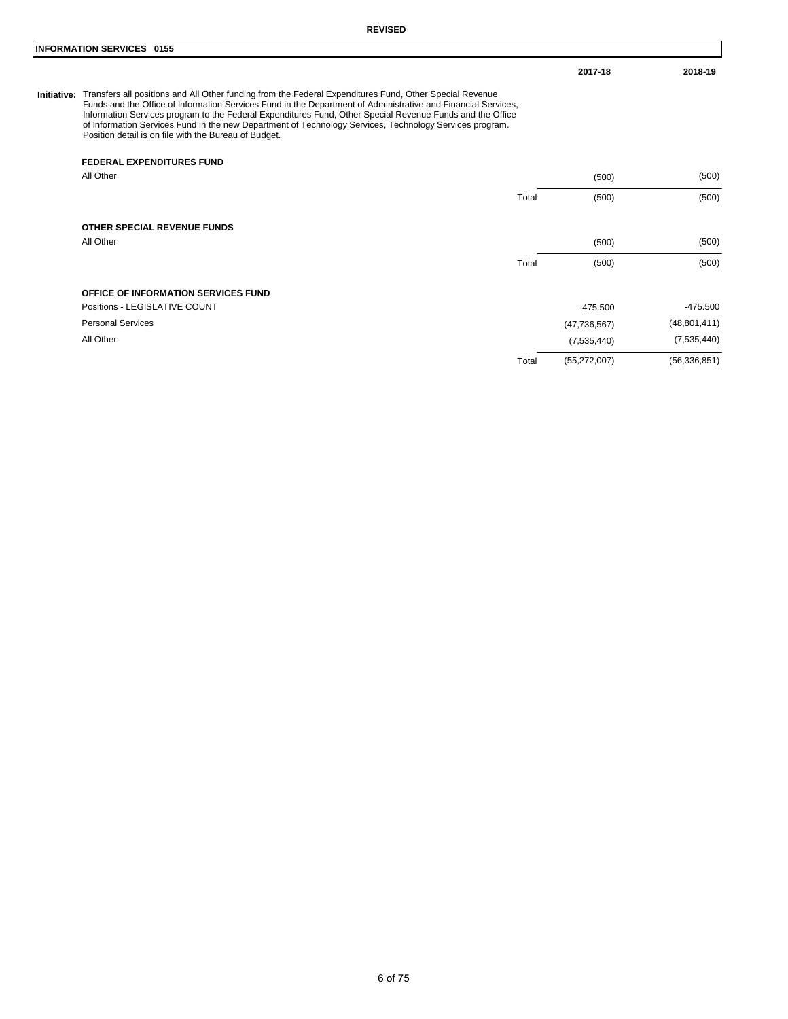#### **INFORMATION SERVICES 0155**

**2017-18 2018-19**

Initiative: Transfers all positions and All Other funding from the Federal Expenditures Fund, Other Special Revenue<br>Funds and the Office of Information Services Fund in the Department of Administrative and Financial Servic Position detail is on file with the Bureau of Budget.

#### **FEDERAL EXPENDITURES FUND**

| All Other                                  |       | (500)          | (500)          |
|--------------------------------------------|-------|----------------|----------------|
|                                            | Total | (500)          | (500)          |
| OTHER SPECIAL REVENUE FUNDS                |       |                |                |
| All Other                                  |       | (500)          | (500)          |
|                                            | Total | (500)          | (500)          |
| <b>OFFICE OF INFORMATION SERVICES FUND</b> |       |                |                |
| Positions - LEGISLATIVE COUNT              |       | $-475.500$     | $-475.500$     |
| <b>Personal Services</b>                   |       | (47, 736, 567) | (48, 801, 411) |
| All Other                                  |       | (7,535,440)    | (7,535,440)    |
|                                            | Total | (55, 272, 007) | (56, 336, 851) |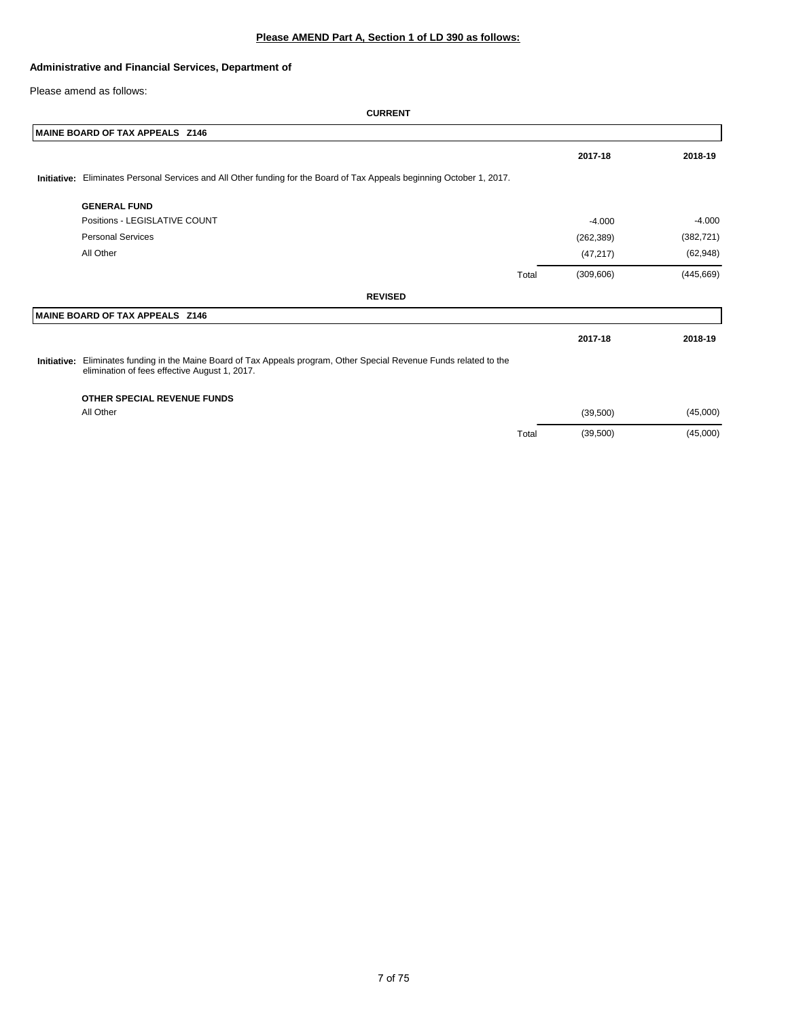Please amend as follows:

| MAINE BOARD OF TAX APPEALS Z146                                                                                                                                       |       |            |            |
|-----------------------------------------------------------------------------------------------------------------------------------------------------------------------|-------|------------|------------|
|                                                                                                                                                                       |       | 2017-18    | 2018-19    |
| Initiative: Eliminates Personal Services and All Other funding for the Board of Tax Appeals beginning October 1, 2017.                                                |       |            |            |
| <b>GENERAL FUND</b>                                                                                                                                                   |       |            |            |
| Positions - LEGISLATIVE COUNT                                                                                                                                         |       | $-4.000$   | $-4.000$   |
| <b>Personal Services</b>                                                                                                                                              |       | (262, 389) | (382, 721) |
| All Other                                                                                                                                                             |       | (47, 217)  | (62, 948)  |
|                                                                                                                                                                       | Total | (309, 606) | (445, 669) |
| <b>REVISED</b>                                                                                                                                                        |       |            |            |
| MAINE BOARD OF TAX APPEALS Z146                                                                                                                                       |       |            |            |
|                                                                                                                                                                       |       | 2017-18    | 2018-19    |
| Initiative: Eliminates funding in the Maine Board of Tax Appeals program, Other Special Revenue Funds related to the<br>elimination of fees effective August 1, 2017. |       |            |            |
| OTHER SPECIAL REVENUE FUNDS                                                                                                                                           |       |            |            |
| All Other                                                                                                                                                             |       | (39, 500)  | (45,000)   |
|                                                                                                                                                                       | Total | (39,500)   | (45,000)   |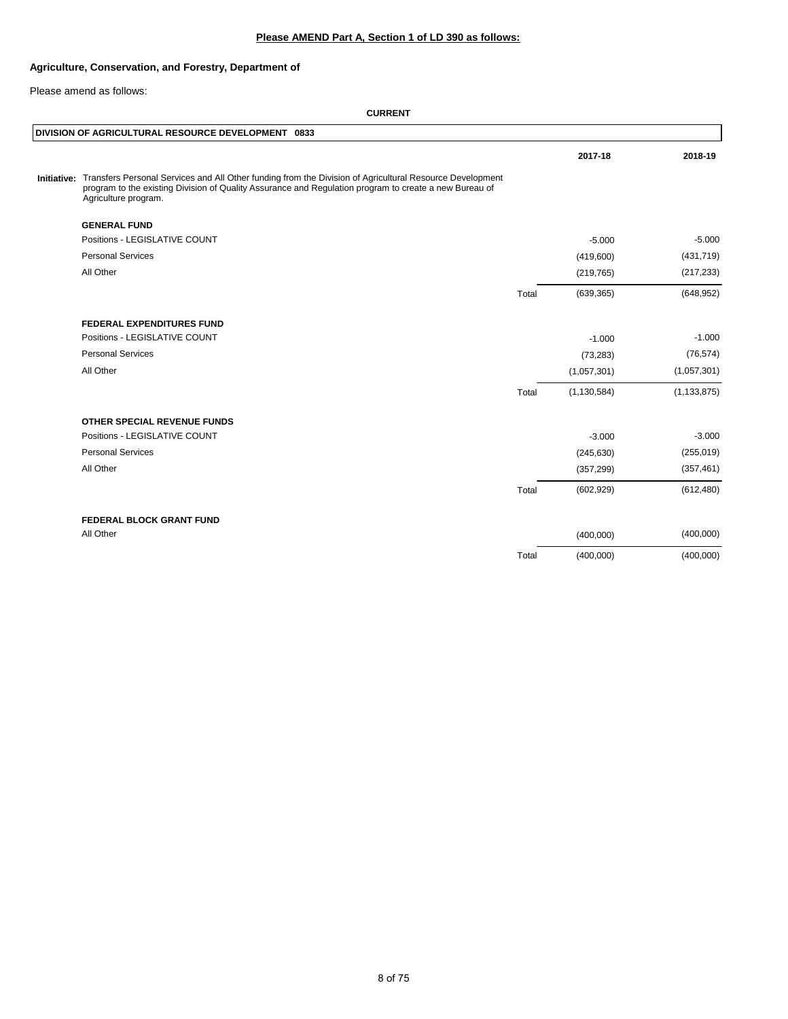# **Please AMEND Part A, Section 1 of LD 390 as follows:**

## **Agriculture, Conservation, and Forestry, Department of**

Please amend as follows:

|             |                                                                                                                                                                                                                                            |       | 2017-18       | 2018-19       |
|-------------|--------------------------------------------------------------------------------------------------------------------------------------------------------------------------------------------------------------------------------------------|-------|---------------|---------------|
|             |                                                                                                                                                                                                                                            |       |               |               |
| Initiative: | Transfers Personal Services and All Other funding from the Division of Agricultural Resource Development<br>program to the existing Division of Quality Assurance and Regulation program to create a new Bureau of<br>Agriculture program. |       |               |               |
|             | <b>GENERAL FUND</b>                                                                                                                                                                                                                        |       |               |               |
|             | Positions - LEGISLATIVE COUNT                                                                                                                                                                                                              |       | $-5.000$      | $-5.000$      |
|             | <b>Personal Services</b>                                                                                                                                                                                                                   |       | (419,600)     | (431, 719)    |
|             | All Other                                                                                                                                                                                                                                  |       | (219, 765)    | (217, 233)    |
|             |                                                                                                                                                                                                                                            | Total | (639, 365)    | (648, 952)    |
|             | <b>FEDERAL EXPENDITURES FUND</b>                                                                                                                                                                                                           |       |               |               |
|             | Positions - LEGISLATIVE COUNT                                                                                                                                                                                                              |       | $-1.000$      | $-1.000$      |
|             | <b>Personal Services</b>                                                                                                                                                                                                                   |       | (73, 283)     | (76, 574)     |
|             | All Other                                                                                                                                                                                                                                  |       | (1,057,301)   | (1,057,301)   |
|             |                                                                                                                                                                                                                                            | Total | (1, 130, 584) | (1, 133, 875) |
|             | <b>OTHER SPECIAL REVENUE FUNDS</b>                                                                                                                                                                                                         |       |               |               |
|             | Positions - LEGISLATIVE COUNT                                                                                                                                                                                                              |       | $-3.000$      | $-3.000$      |
|             | <b>Personal Services</b>                                                                                                                                                                                                                   |       | (245, 630)    | (255, 019)    |
|             | All Other                                                                                                                                                                                                                                  |       | (357, 299)    | (357, 461)    |
|             |                                                                                                                                                                                                                                            | Total | (602, 929)    | (612, 480)    |
|             | FEDERAL BLOCK GRANT FUND                                                                                                                                                                                                                   |       |               |               |
|             | All Other                                                                                                                                                                                                                                  |       | (400,000)     | (400,000)     |
|             |                                                                                                                                                                                                                                            | Total | (400,000)     | (400,000)     |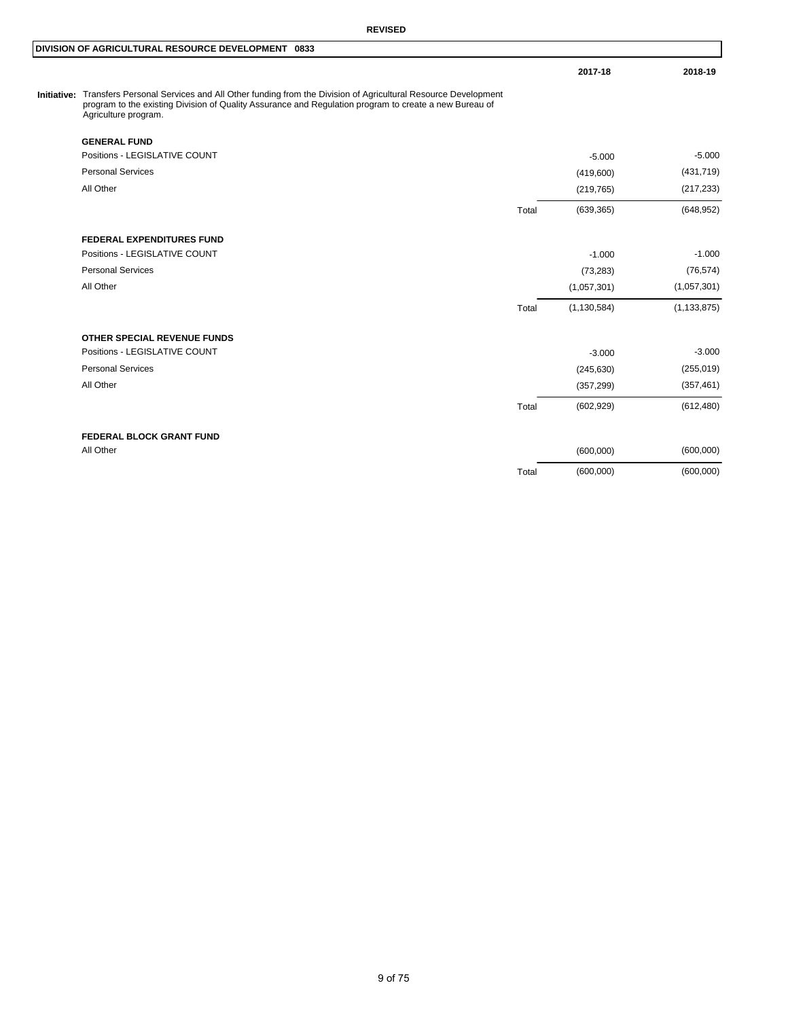# **REVISED**

#### **DIVISION OF AGRICULTURAL RESOURCE DEVELOPMENT 0833**

Initiative: Transfers Personal Services and All Other funding from the Division of Agricultural Resource Development<br>program to the existing Division of Quality Assurance and Regulation program to create a new Bureau of<br>Ag

| <b>GENERAL FUND</b>              |       |               |               |
|----------------------------------|-------|---------------|---------------|
| Positions - LEGISLATIVE COUNT    |       | $-5.000$      | $-5.000$      |
| <b>Personal Services</b>         |       | (419,600)     | (431, 719)    |
| All Other                        |       | (219, 765)    | (217, 233)    |
|                                  | Total | (639, 365)    | (648, 952)    |
| <b>FEDERAL EXPENDITURES FUND</b> |       |               |               |
| Positions - LEGISLATIVE COUNT    |       | $-1.000$      | $-1.000$      |
| <b>Personal Services</b>         |       | (73, 283)     | (76, 574)     |
| All Other                        |       | (1,057,301)   | (1,057,301)   |
|                                  | Total | (1, 130, 584) | (1, 133, 875) |
| OTHER SPECIAL REVENUE FUNDS      |       |               |               |
| Positions - LEGISLATIVE COUNT    |       | $-3.000$      | $-3.000$      |
| <b>Personal Services</b>         |       | (245, 630)    | (255, 019)    |
| All Other                        |       | (357, 299)    | (357, 461)    |
|                                  | Total | (602, 929)    | (612, 480)    |
| <b>FEDERAL BLOCK GRANT FUND</b>  |       |               |               |
| All Other                        |       | (600,000)     | (600,000)     |
|                                  | Total | (600,000)     | (600,000)     |
|                                  |       |               |               |

**2017-18 2018-19**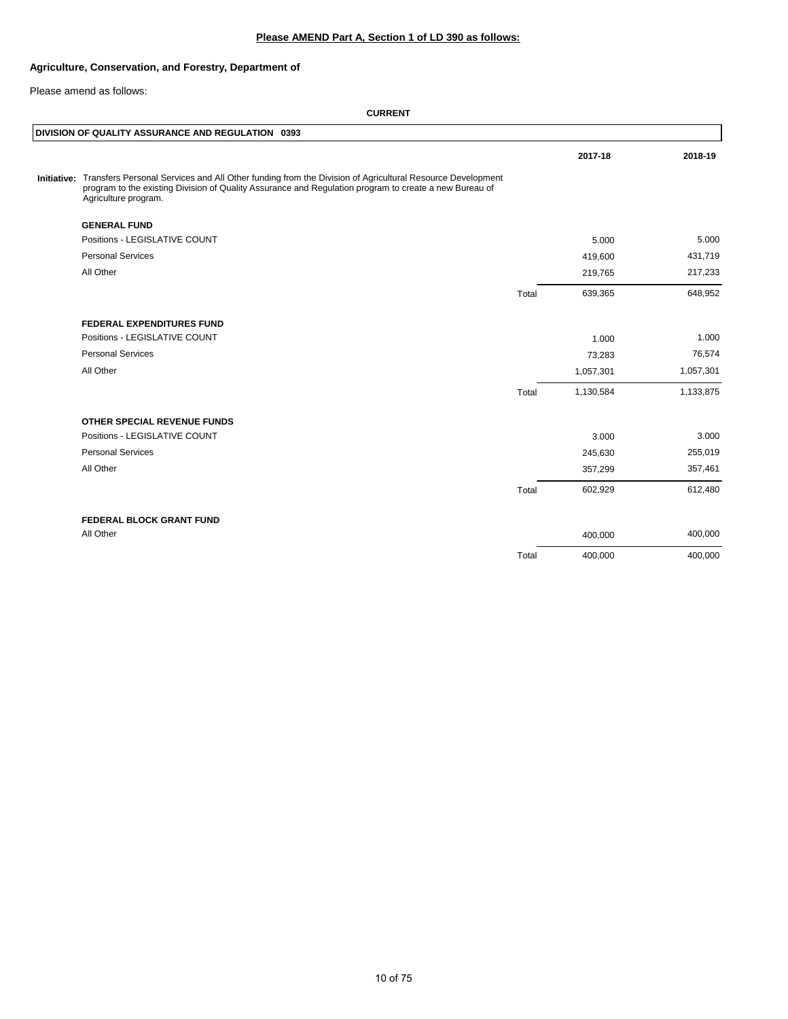# **Please AMEND Part A, Section 1 of LD 390 as follows:**

## **Agriculture, Conservation, and Forestry, Department of**

Please amend as follows:

|                                                                                                                                                                                                                                                        |       | 2017-18   | 2018-19   |
|--------------------------------------------------------------------------------------------------------------------------------------------------------------------------------------------------------------------------------------------------------|-------|-----------|-----------|
| Initiative: Transfers Personal Services and All Other funding from the Division of Agricultural Resource Development<br>program to the existing Division of Quality Assurance and Regulation program to create a new Bureau of<br>Agriculture program. |       |           |           |
| <b>GENERAL FUND</b>                                                                                                                                                                                                                                    |       |           |           |
| Positions - LEGISLATIVE COUNT                                                                                                                                                                                                                          |       | 5.000     | 5.000     |
| <b>Personal Services</b>                                                                                                                                                                                                                               |       | 419,600   | 431,719   |
| All Other                                                                                                                                                                                                                                              |       | 219,765   | 217,233   |
|                                                                                                                                                                                                                                                        | Total | 639,365   | 648,952   |
| <b>FEDERAL EXPENDITURES FUND</b>                                                                                                                                                                                                                       |       |           |           |
| Positions - LEGISLATIVE COUNT                                                                                                                                                                                                                          |       | 1.000     | 1.000     |
| <b>Personal Services</b>                                                                                                                                                                                                                               |       | 73,283    | 76,574    |
| All Other                                                                                                                                                                                                                                              |       | 1,057,301 | 1,057,301 |
|                                                                                                                                                                                                                                                        | Total | 1,130,584 | 1,133,875 |
| OTHER SPECIAL REVENUE FUNDS                                                                                                                                                                                                                            |       |           |           |
| Positions - LEGISLATIVE COUNT                                                                                                                                                                                                                          |       | 3.000     | 3.000     |
| <b>Personal Services</b>                                                                                                                                                                                                                               |       | 245,630   | 255,019   |
| All Other                                                                                                                                                                                                                                              |       | 357,299   | 357,461   |
|                                                                                                                                                                                                                                                        | Total | 602,929   | 612,480   |
| <b>FEDERAL BLOCK GRANT FUND</b>                                                                                                                                                                                                                        |       |           |           |
| All Other                                                                                                                                                                                                                                              |       | 400,000   | 400,000   |
|                                                                                                                                                                                                                                                        | Total | 400,000   | 400,000   |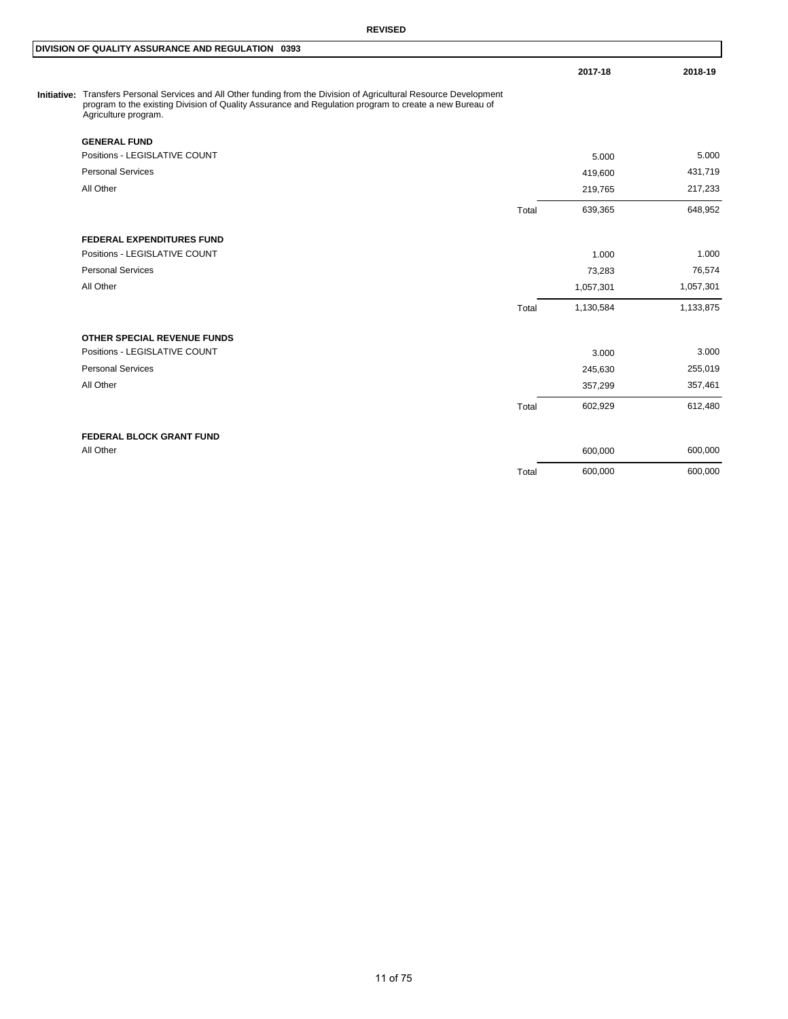#### **REVISED**

**2017-18 2018-19**

Initiative: Transfers Personal Services and All Other funding from the Division of Agricultural Resource Development<br>program to the existing Division of Quality Assurance and Regulation program to create a new Bureau of<br>Ag

| <b>GENERAL FUND</b>                |       |           |           |
|------------------------------------|-------|-----------|-----------|
| Positions - LEGISLATIVE COUNT      |       | 5.000     | 5.000     |
| <b>Personal Services</b>           |       | 419,600   | 431,719   |
| All Other                          |       | 219,765   | 217,233   |
|                                    | Total | 639,365   | 648,952   |
| <b>FEDERAL EXPENDITURES FUND</b>   |       |           |           |
| Positions - LEGISLATIVE COUNT      |       | 1.000     | 1.000     |
| <b>Personal Services</b>           |       | 73,283    | 76,574    |
| All Other                          |       | 1,057,301 | 1,057,301 |
|                                    | Total | 1,130,584 | 1,133,875 |
| <b>OTHER SPECIAL REVENUE FUNDS</b> |       |           |           |
| Positions - LEGISLATIVE COUNT      |       | 3.000     | 3.000     |
| <b>Personal Services</b>           |       | 245,630   | 255,019   |
| All Other                          |       | 357,299   | 357,461   |
|                                    | Total | 602,929   | 612,480   |
| <b>FEDERAL BLOCK GRANT FUND</b>    |       |           |           |
| All Other                          |       | 600,000   | 600,000   |
|                                    | Total | 600,000   | 600,000   |
|                                    |       |           |           |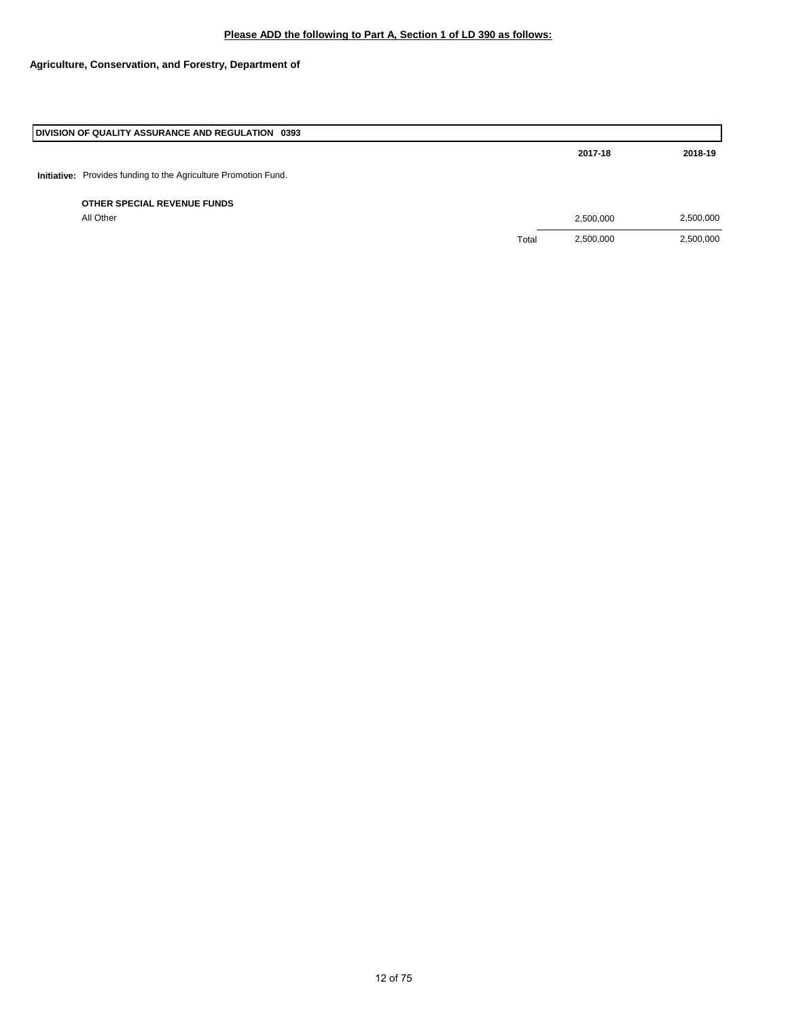## **Please ADD the following to Part A, Section 1 of LD 390 as follows:**

# **Agriculture, Conservation, and Forestry, Department of**

| DIVISION OF QUALITY ASSURANCE AND REGULATION 0393                      |       |           |           |
|------------------------------------------------------------------------|-------|-----------|-----------|
|                                                                        |       | 2017-18   | 2018-19   |
| <b>Initiative:</b> Provides funding to the Agriculture Promotion Fund. |       |           |           |
| OTHER SPECIAL REVENUE FUNDS                                            |       |           |           |
| All Other                                                              |       | 2,500,000 | 2,500,000 |
|                                                                        | Total | 2,500,000 | 2,500,000 |
|                                                                        |       |           |           |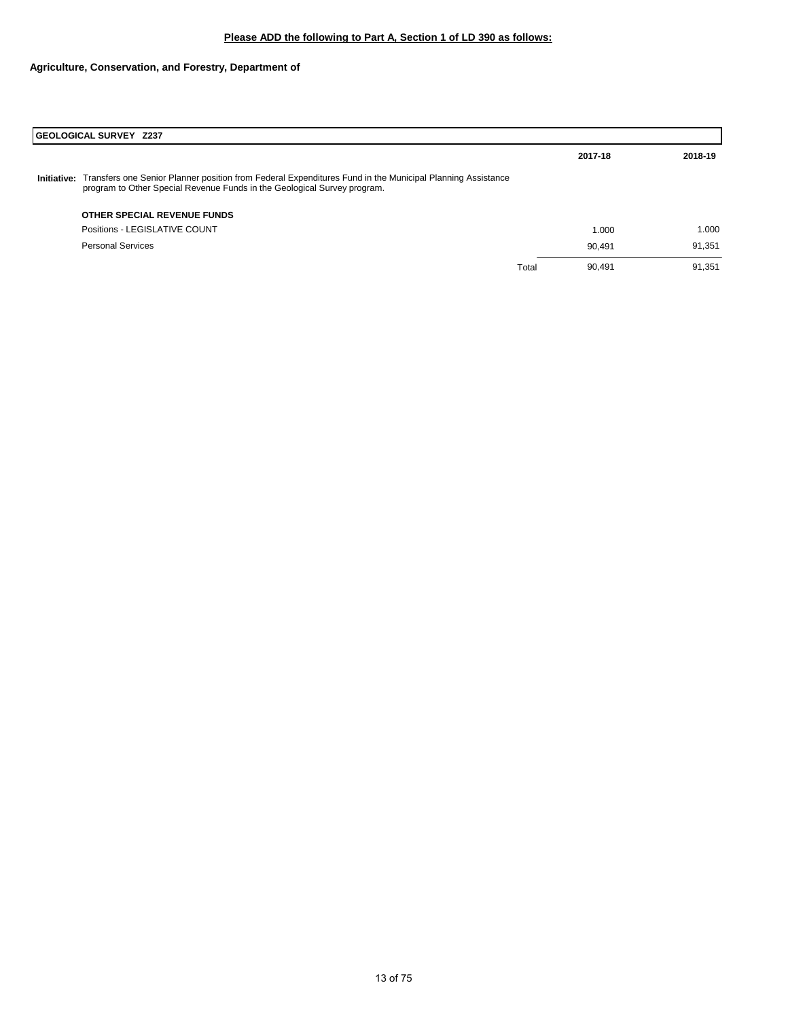# **Agriculture, Conservation, and Forestry, Department of**

|             | GEOLOGICAL SURVEY Z237                                                                                                                                                                |       |         |         |  |
|-------------|---------------------------------------------------------------------------------------------------------------------------------------------------------------------------------------|-------|---------|---------|--|
|             |                                                                                                                                                                                       |       | 2017-18 | 2018-19 |  |
| Initiative: | Transfers one Senior Planner position from Federal Expenditures Fund in the Municipal Planning Assistance<br>program to Other Special Revenue Funds in the Geological Survey program. |       |         |         |  |
|             | OTHER SPECIAL REVENUE FUNDS                                                                                                                                                           |       |         |         |  |
|             | Positions - LEGISLATIVE COUNT                                                                                                                                                         |       | 1.000   | 1.000   |  |
|             | <b>Personal Services</b>                                                                                                                                                              |       | 90.491  | 91,351  |  |
|             |                                                                                                                                                                                       | Total | 90.491  | 91.351  |  |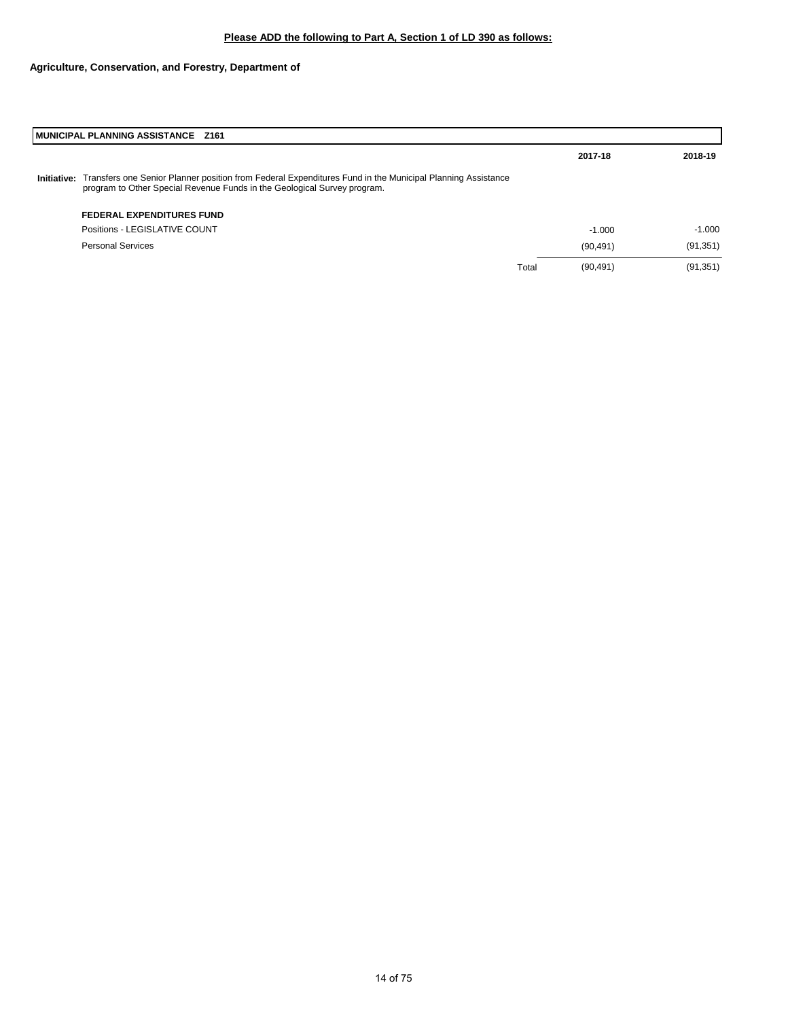# **Agriculture, Conservation, and Forestry, Department of**

|             | MUNICIPAL PLANNING ASSISTANCE Z161                                                                                                                                                    |       |           |           |  |
|-------------|---------------------------------------------------------------------------------------------------------------------------------------------------------------------------------------|-------|-----------|-----------|--|
|             |                                                                                                                                                                                       |       | 2017-18   | 2018-19   |  |
| Initiative: | Transfers one Senior Planner position from Federal Expenditures Fund in the Municipal Planning Assistance<br>program to Other Special Revenue Funds in the Geological Survey program. |       |           |           |  |
|             | <b>FEDERAL EXPENDITURES FUND</b>                                                                                                                                                      |       |           |           |  |
|             | Positions - LEGISLATIVE COUNT                                                                                                                                                         |       | $-1.000$  | $-1.000$  |  |
|             | <b>Personal Services</b>                                                                                                                                                              |       | (90, 491) | (91, 351) |  |
|             |                                                                                                                                                                                       | Total | (90, 491) | (91, 351) |  |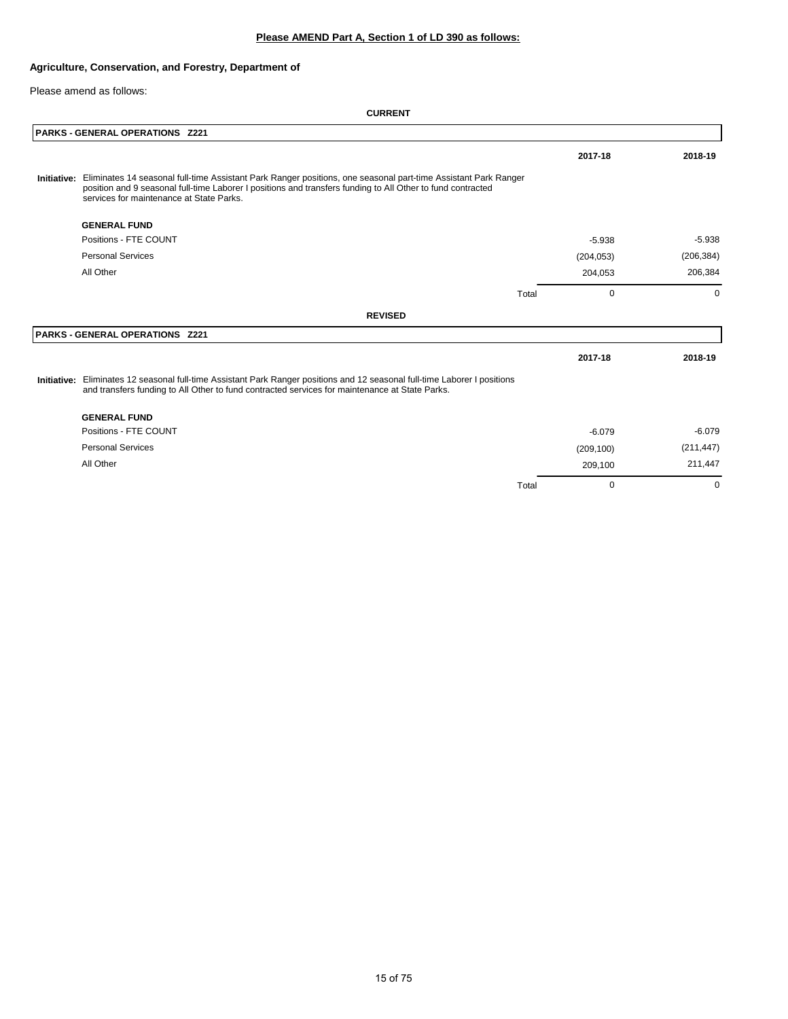## **Agriculture, Conservation, and Forestry, Department of**

Please amend as follows:

| PARKS - GENERAL OPERATIONS Z221                                                                                                                                                                                                                                                       |       |            |            |
|---------------------------------------------------------------------------------------------------------------------------------------------------------------------------------------------------------------------------------------------------------------------------------------|-------|------------|------------|
|                                                                                                                                                                                                                                                                                       |       | 2017-18    | 2018-19    |
| Initiative: Eliminates 14 seasonal full-time Assistant Park Ranger positions, one seasonal part-time Assistant Park Ranger<br>position and 9 seasonal full-time Laborer I positions and transfers funding to All Other to fund contracted<br>services for maintenance at State Parks. |       |            |            |
| <b>GENERAL FUND</b>                                                                                                                                                                                                                                                                   |       |            |            |
| Positions - FTE COUNT                                                                                                                                                                                                                                                                 |       | $-5.938$   | $-5.938$   |
| <b>Personal Services</b>                                                                                                                                                                                                                                                              |       | (204, 053) | (206, 384) |
| All Other                                                                                                                                                                                                                                                                             |       | 204,053    | 206,384    |
|                                                                                                                                                                                                                                                                                       | Total | $\Omega$   | $\Omega$   |
| <b>REVISED</b>                                                                                                                                                                                                                                                                        |       |            |            |
| PARKS - GENERAL OPERATIONS Z221                                                                                                                                                                                                                                                       |       |            |            |
|                                                                                                                                                                                                                                                                                       |       | 2017-18    | 2018-19    |
| Initiative: Eliminates 12 seasonal full-time Assistant Park Ranger positions and 12 seasonal full-time Laborer I positions<br>and transfers funding to All Other to fund contracted services for maintenance at State Parks.                                                          |       |            |            |
| <b>GENERAL FUND</b>                                                                                                                                                                                                                                                                   |       |            |            |
| Positions - FTE COUNT                                                                                                                                                                                                                                                                 |       | $-6.079$   | $-6.079$   |
| <b>Personal Services</b>                                                                                                                                                                                                                                                              |       | (209, 100) | (211, 447) |
| All Other                                                                                                                                                                                                                                                                             |       | 209,100    | 211,447    |
|                                                                                                                                                                                                                                                                                       | Total | 0          | 0          |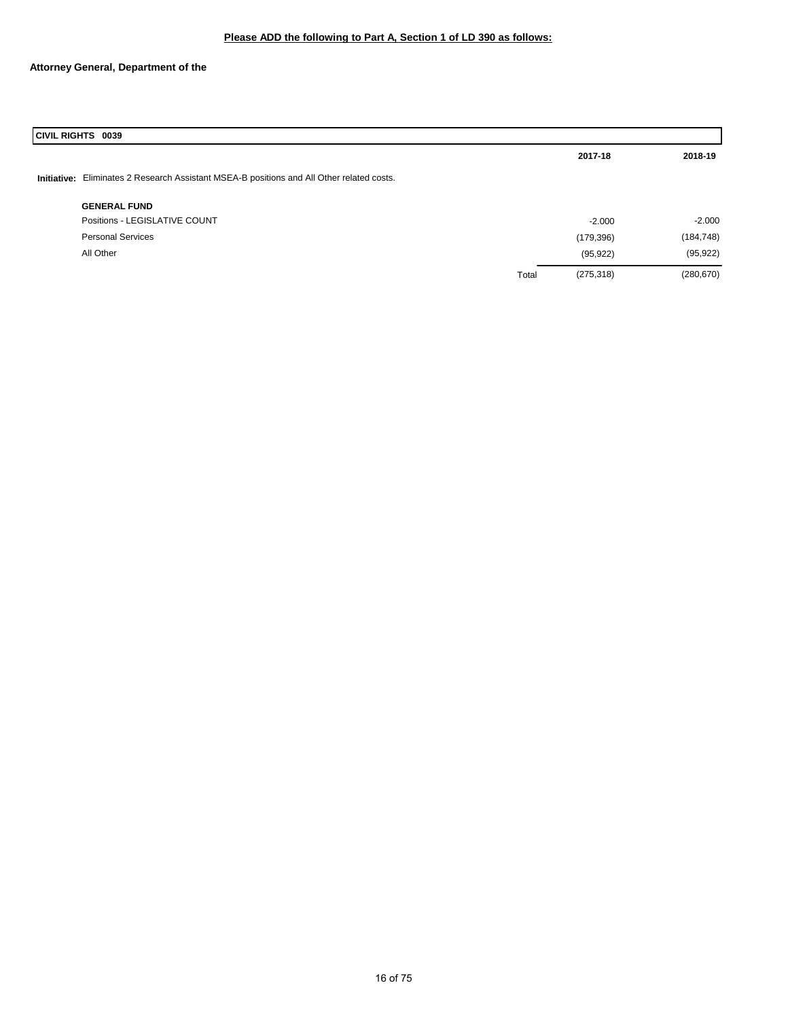## **Attorney General, Department of the**

| <b>CIVIL RIGHTS 0039</b>                                                                  |       |            |            |  |  |
|-------------------------------------------------------------------------------------------|-------|------------|------------|--|--|
|                                                                                           |       | 2017-18    | 2018-19    |  |  |
| Initiative: Eliminates 2 Research Assistant MSEA-B positions and All Other related costs. |       |            |            |  |  |
| <b>GENERAL FUND</b>                                                                       |       |            |            |  |  |
| Positions - LEGISLATIVE COUNT                                                             |       | $-2.000$   | $-2.000$   |  |  |
| <b>Personal Services</b>                                                                  |       | (179, 396) | (184, 748) |  |  |
| All Other                                                                                 |       | (95, 922)  | (95, 922)  |  |  |
|                                                                                           | Total | (275, 318) | (280, 670) |  |  |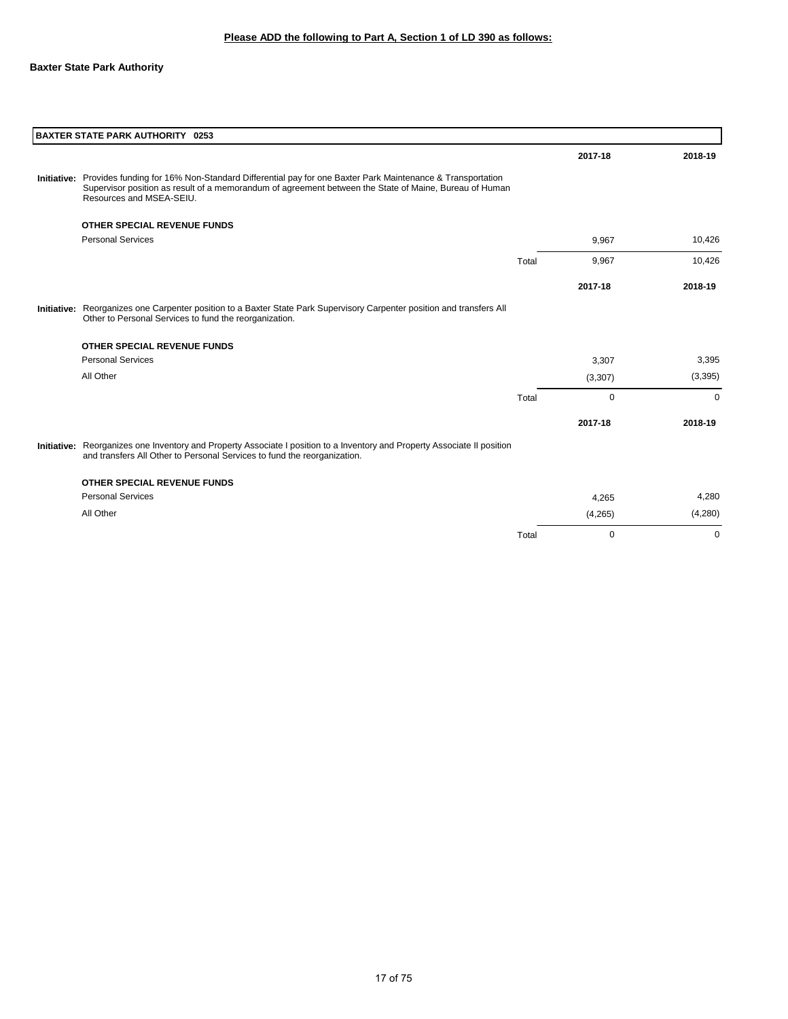## **Baxter State Park Authority**

| <b>BAXTER STATE PARK AUTHORITY 0253</b>                                                                                                                                                                                                                   |       |         |         |
|-----------------------------------------------------------------------------------------------------------------------------------------------------------------------------------------------------------------------------------------------------------|-------|---------|---------|
|                                                                                                                                                                                                                                                           |       | 2017-18 | 2018-19 |
| Initiative: Provides funding for 16% Non-Standard Differential pay for one Baxter Park Maintenance & Transportation<br>Supervisor position as result of a memorandum of agreement between the State of Maine, Bureau of Human<br>Resources and MSEA-SEIU. |       |         |         |
| OTHER SPECIAL REVENUE FUNDS                                                                                                                                                                                                                               |       |         |         |
| <b>Personal Services</b>                                                                                                                                                                                                                                  |       | 9,967   | 10,426  |
|                                                                                                                                                                                                                                                           | Total | 9,967   | 10,426  |
|                                                                                                                                                                                                                                                           |       | 2017-18 | 2018-19 |
| Initiative: Reorganizes one Carpenter position to a Baxter State Park Supervisory Carpenter position and transfers All<br>Other to Personal Services to fund the reorganization.                                                                          |       |         |         |
| <b>OTHER SPECIAL REVENUE FUNDS</b>                                                                                                                                                                                                                        |       |         |         |
| <b>Personal Services</b>                                                                                                                                                                                                                                  |       | 3,307   | 3,395   |
| All Other                                                                                                                                                                                                                                                 |       | (3,307) | (3,395) |
|                                                                                                                                                                                                                                                           | Total | 0       | 0       |
|                                                                                                                                                                                                                                                           |       | 2017-18 | 2018-19 |
| Initiative: Reorganizes one Inventory and Property Associate I position to a Inventory and Property Associate II position<br>and transfers All Other to Personal Services to fund the reorganization.                                                     |       |         |         |
| <b>OTHER SPECIAL REVENUE FUNDS</b>                                                                                                                                                                                                                        |       |         |         |
| <b>Personal Services</b>                                                                                                                                                                                                                                  |       | 4,265   | 4,280   |
| All Other                                                                                                                                                                                                                                                 |       | (4,265) | (4,280) |
|                                                                                                                                                                                                                                                           | Total | 0       | 0       |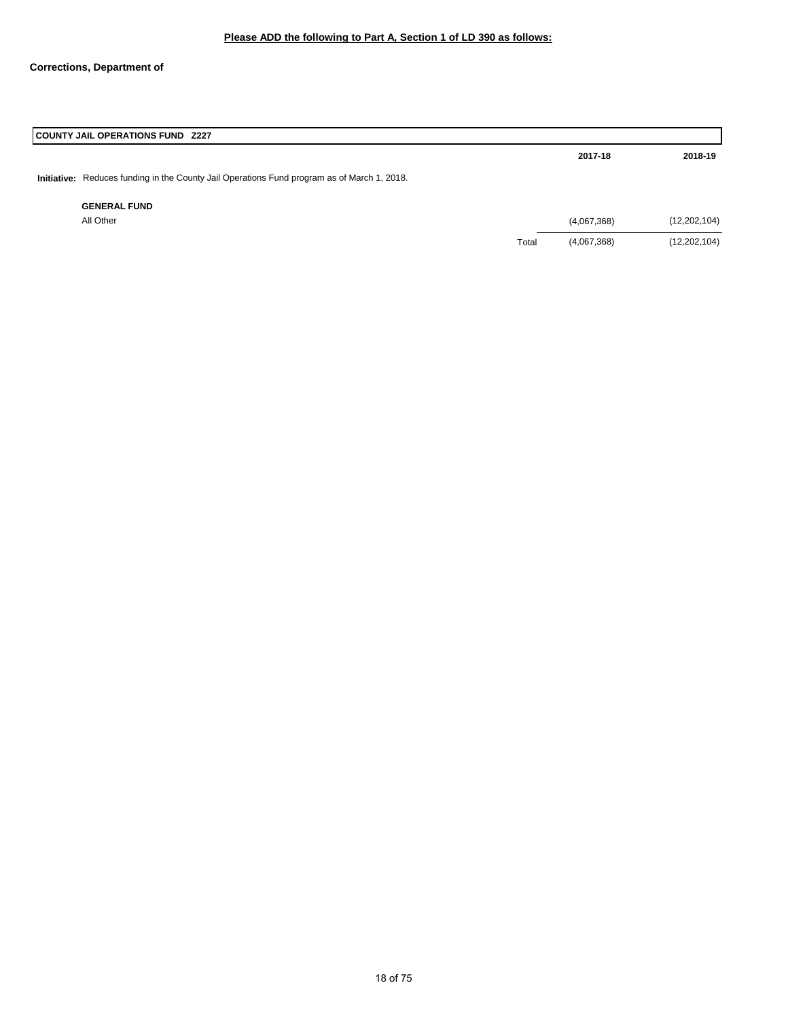## **Corrections, Department of**

| <b>COUNTY JAIL OPERATIONS FUND Z227</b>                                                     |       |             |                |
|---------------------------------------------------------------------------------------------|-------|-------------|----------------|
|                                                                                             |       | 2017-18     | 2018-19        |
| Initiative: Reduces funding in the County Jail Operations Fund program as of March 1, 2018. |       |             |                |
| <b>GENERAL FUND</b>                                                                         |       |             |                |
| All Other                                                                                   |       | (4,067,368) | (12, 202, 104) |
|                                                                                             | Total | (4,067,368) | (12, 202, 104) |
|                                                                                             |       |             |                |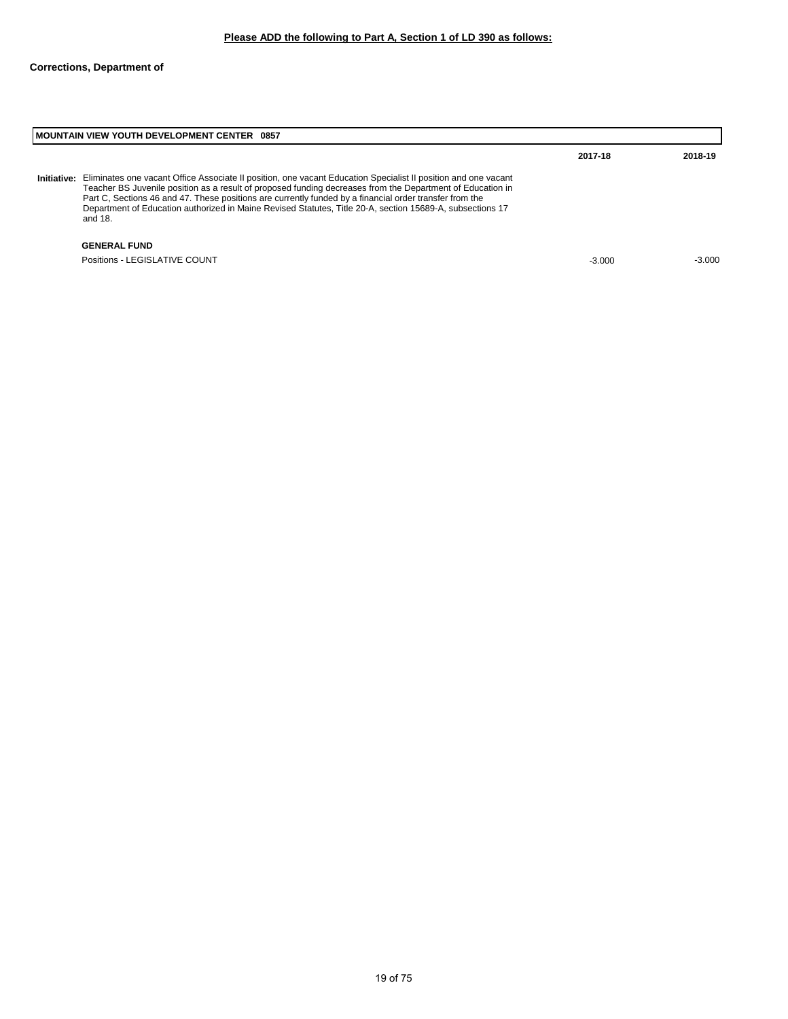| <b>MOUNTAIN VIEW YOUTH DEVELOPMENT CENTER 0857</b>                                                                                                                                                                                                                                                                                                                                                                                                              |                     |          |
|-----------------------------------------------------------------------------------------------------------------------------------------------------------------------------------------------------------------------------------------------------------------------------------------------------------------------------------------------------------------------------------------------------------------------------------------------------------------|---------------------|----------|
|                                                                                                                                                                                                                                                                                                                                                                                                                                                                 | 2017-18             | 2018-19  |
| Eliminates one vacant Office Associate II position, one vacant Education Specialist II position and one vacant<br>Teacher BS Juvenile position as a result of proposed funding decreases from the Department of Education in<br>Part C, Sections 46 and 47. These positions are currently funded by a financial order transfer from the<br>Department of Education authorized in Maine Revised Statutes, Title 20-A, section 15689-A, subsections 17<br>and 18. |                     |          |
|                                                                                                                                                                                                                                                                                                                                                                                                                                                                 |                     |          |
| Positions - LEGISLATIVE COUNT                                                                                                                                                                                                                                                                                                                                                                                                                                   | $-3.000$            | $-3.000$ |
| <b>Initiative:</b>                                                                                                                                                                                                                                                                                                                                                                                                                                              | <b>GENERAL FUND</b> |          |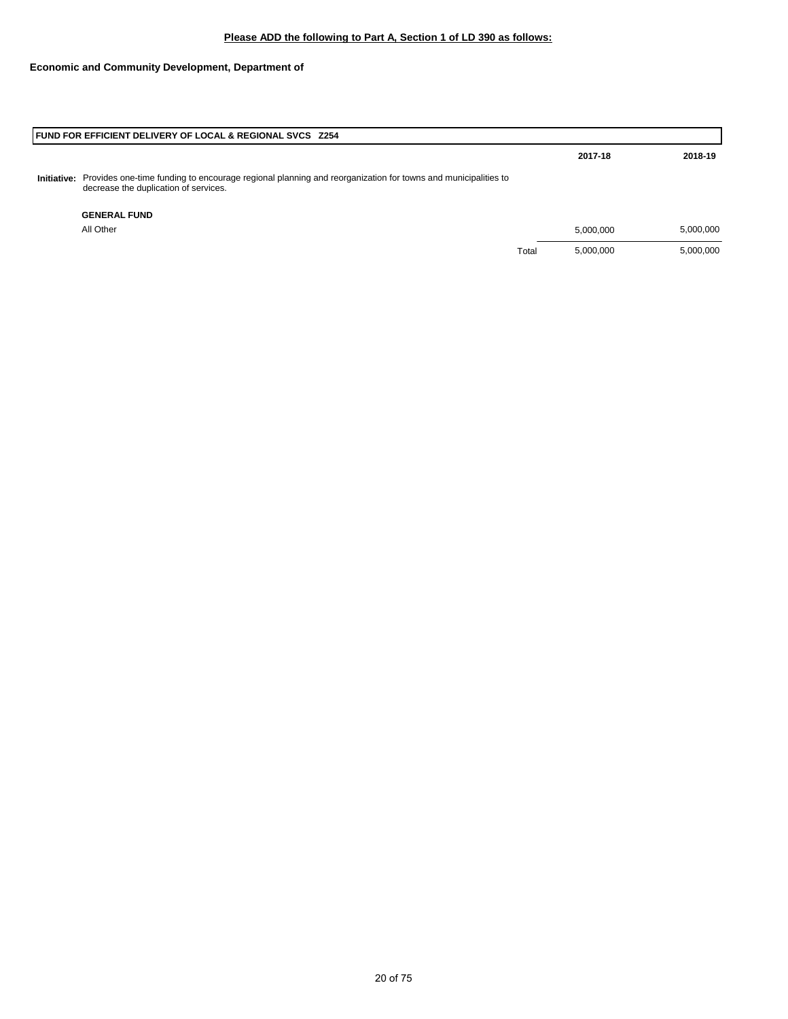# **Economic and Community Development, Department of**

| <b>FUND FOR EFFICIENT DELIVERY OF LOCAL &amp; REGIONAL SVCS Z254</b>                                                                                             |       |           |           |
|------------------------------------------------------------------------------------------------------------------------------------------------------------------|-------|-----------|-----------|
|                                                                                                                                                                  |       | 2017-18   | 2018-19   |
| Initiative: Provides one-time funding to encourage regional planning and reorganization for towns and municipalities to<br>decrease the duplication of services. |       |           |           |
| <b>GENERAL FUND</b>                                                                                                                                              |       |           |           |
| All Other                                                                                                                                                        |       | 5.000.000 | 5,000,000 |
|                                                                                                                                                                  | Total | 5,000,000 | 5,000,000 |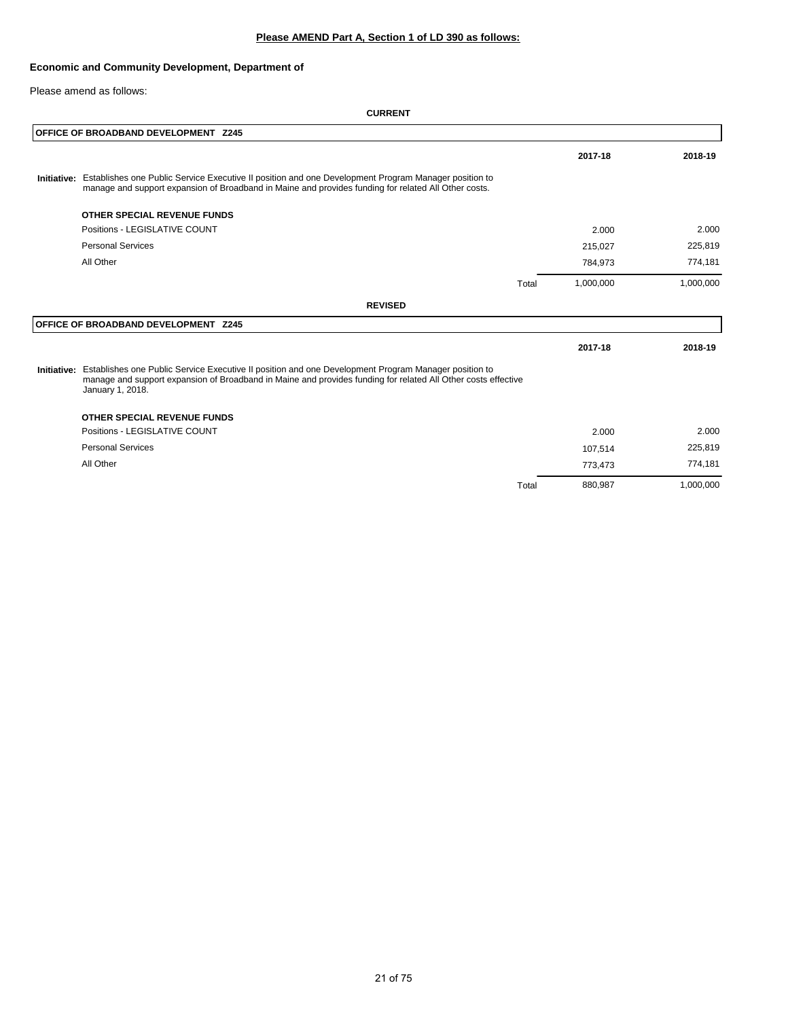## **Please AMEND Part A, Section 1 of LD 390 as follows:**

## **Economic and Community Development, Department of**

Please amend as follows:

| OFFICE OF BROADBAND DEVELOPMENT Z245                                                                                                                                                                                                                  |       |           |           |
|-------------------------------------------------------------------------------------------------------------------------------------------------------------------------------------------------------------------------------------------------------|-------|-----------|-----------|
|                                                                                                                                                                                                                                                       |       | 2017-18   | 2018-19   |
| Initiative: Establishes one Public Service Executive II position and one Development Program Manager position to<br>manage and support expansion of Broadband in Maine and provides funding for related All Other costs.                              |       |           |           |
| OTHER SPECIAL REVENUE FUNDS                                                                                                                                                                                                                           |       |           |           |
| Positions - LEGISLATIVE COUNT                                                                                                                                                                                                                         |       | 2.000     | 2.000     |
| <b>Personal Services</b>                                                                                                                                                                                                                              |       | 215,027   | 225,819   |
| All Other                                                                                                                                                                                                                                             |       | 784,973   | 774,181   |
|                                                                                                                                                                                                                                                       | Total | 1,000,000 | 1,000,000 |
| <b>REVISED</b>                                                                                                                                                                                                                                        |       |           |           |
| OFFICE OF BROADBAND DEVELOPMENT Z245                                                                                                                                                                                                                  |       |           |           |
|                                                                                                                                                                                                                                                       |       | 2017-18   | 2018-19   |
| Initiative: Establishes one Public Service Executive II position and one Development Program Manager position to<br>manage and support expansion of Broadband in Maine and provides funding for related All Other costs effective<br>January 1, 2018. |       |           |           |
| OTHER SPECIAL REVENUE FUNDS                                                                                                                                                                                                                           |       |           |           |
| Positions - LEGISLATIVE COUNT                                                                                                                                                                                                                         |       | 2.000     | 2.000     |
| <b>Personal Services</b>                                                                                                                                                                                                                              |       | 107,514   | 225,819   |
| All Other                                                                                                                                                                                                                                             |       | 773,473   | 774,181   |
|                                                                                                                                                                                                                                                       | Total | 880,987   | 1,000,000 |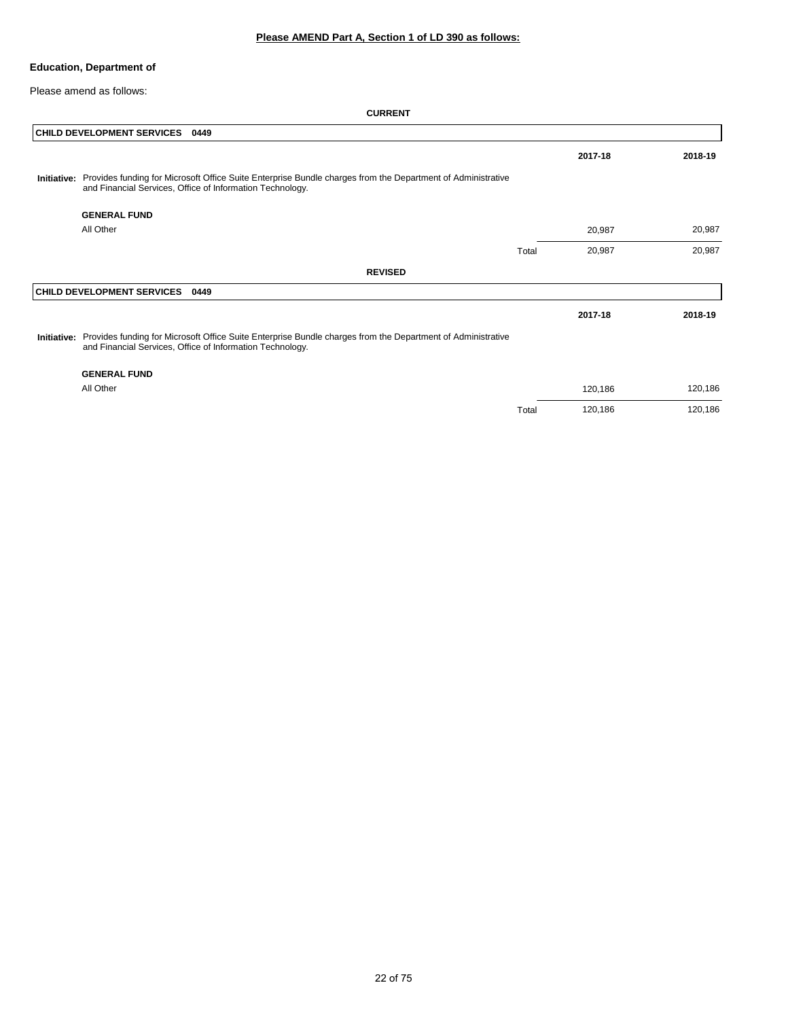Please amend as follows:

|             | <b>CHILD DEVELOPMENT SERVICES</b><br>0449                                                                                                                                            |       |         |         |
|-------------|--------------------------------------------------------------------------------------------------------------------------------------------------------------------------------------|-------|---------|---------|
|             |                                                                                                                                                                                      |       | 2017-18 | 2018-19 |
| Initiative: | Provides funding for Microsoft Office Suite Enterprise Bundle charges from the Department of Administrative<br>and Financial Services, Office of Information Technology.             |       |         |         |
|             | <b>GENERAL FUND</b>                                                                                                                                                                  |       |         |         |
|             | All Other                                                                                                                                                                            |       | 20,987  | 20,987  |
|             |                                                                                                                                                                                      | Total | 20,987  | 20,987  |
|             | <b>REVISED</b>                                                                                                                                                                       |       |         |         |
|             | <b>CHILD DEVELOPMENT SERVICES</b><br>0449                                                                                                                                            |       |         |         |
|             |                                                                                                                                                                                      |       | 2017-18 | 2018-19 |
|             | Initiative: Provides funding for Microsoft Office Suite Enterprise Bundle charges from the Department of Administrative<br>and Financial Services, Office of Information Technology. |       |         |         |
|             | <b>GENERAL FUND</b>                                                                                                                                                                  |       |         |         |
|             | All Other                                                                                                                                                                            |       | 120,186 | 120,186 |
|             |                                                                                                                                                                                      | Total | 120,186 | 120,186 |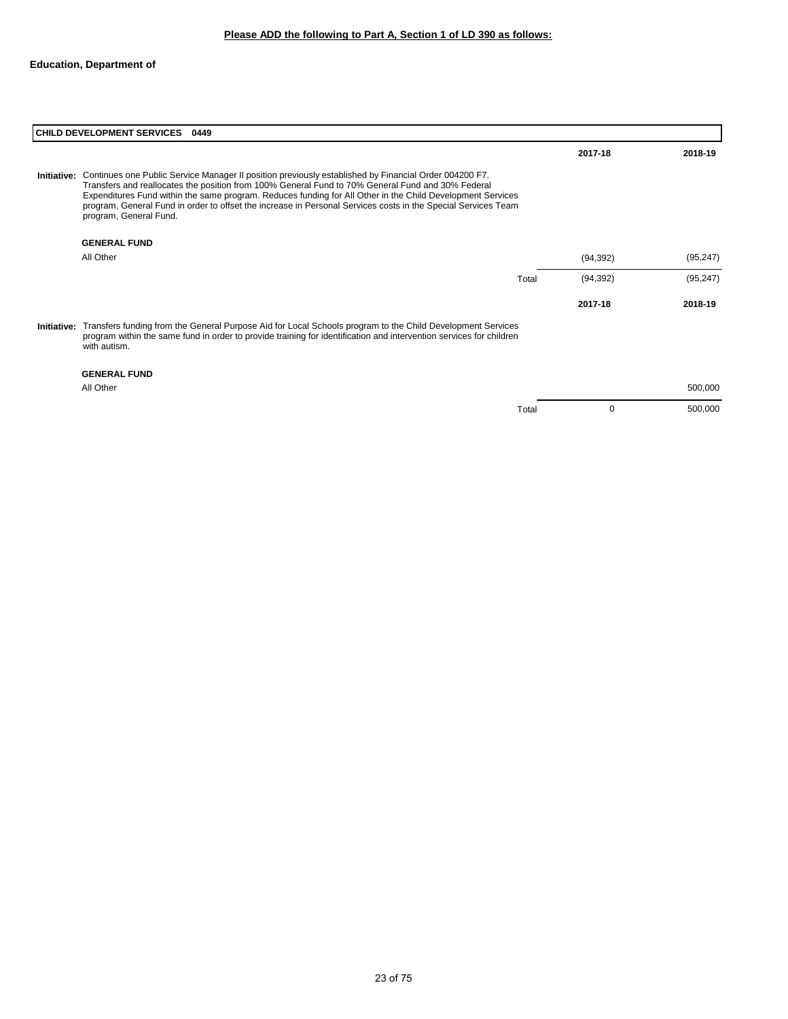|             | <b>CHILD DEVELOPMENT SERVICES</b><br>0449                                                                                                                                                                                                                                                                                                                                                                                                                                              |       |           |           |  |
|-------------|----------------------------------------------------------------------------------------------------------------------------------------------------------------------------------------------------------------------------------------------------------------------------------------------------------------------------------------------------------------------------------------------------------------------------------------------------------------------------------------|-------|-----------|-----------|--|
|             |                                                                                                                                                                                                                                                                                                                                                                                                                                                                                        |       | 2017-18   | 2018-19   |  |
|             | <b>Initiative:</b> Continues one Public Service Manager II position previously established by Financial Order 004200 F7.<br>Transfers and reallocates the position from 100% General Fund to 70% General Fund and 30% Federal<br>Expenditures Fund within the same program. Reduces funding for All Other in the Child Development Services<br>program, General Fund in order to offset the increase in Personal Services costs in the Special Services Team<br>program, General Fund. |       |           |           |  |
|             | <b>GENERAL FUND</b>                                                                                                                                                                                                                                                                                                                                                                                                                                                                    |       |           |           |  |
|             | All Other                                                                                                                                                                                                                                                                                                                                                                                                                                                                              |       | (94, 392) | (95, 247) |  |
|             |                                                                                                                                                                                                                                                                                                                                                                                                                                                                                        | Total | (94, 392) | (95, 247) |  |
|             |                                                                                                                                                                                                                                                                                                                                                                                                                                                                                        |       | 2017-18   | 2018-19   |  |
| Initiative: | Transfers funding from the General Purpose Aid for Local Schools program to the Child Development Services<br>program within the same fund in order to provide training for identification and intervention services for children<br>with autism.                                                                                                                                                                                                                                      |       |           |           |  |
|             | <b>GENERAL FUND</b>                                                                                                                                                                                                                                                                                                                                                                                                                                                                    |       |           |           |  |
|             | All Other                                                                                                                                                                                                                                                                                                                                                                                                                                                                              |       |           | 500,000   |  |

Total 0 500,000

23 of 75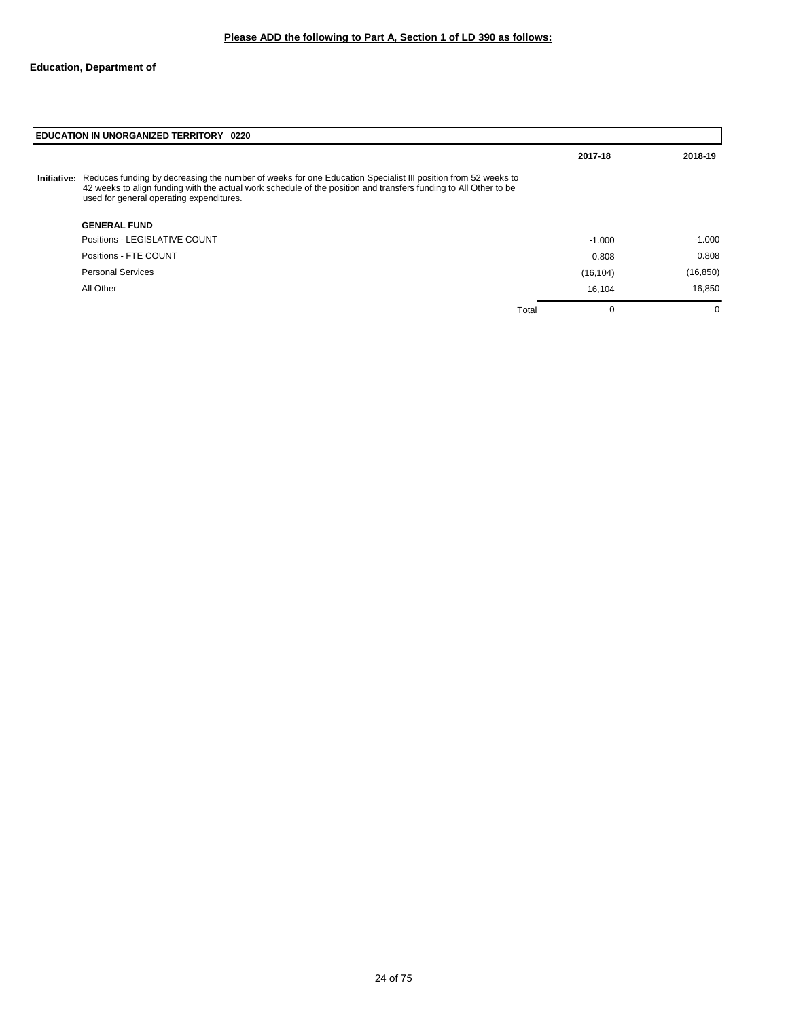|             | <b>EDUCATION IN UNORGANIZED TERRITORY 0220</b>                                                                                                                                                                                                                               |                      |           |  |  |
|-------------|------------------------------------------------------------------------------------------------------------------------------------------------------------------------------------------------------------------------------------------------------------------------------|----------------------|-----------|--|--|
|             |                                                                                                                                                                                                                                                                              | 2017-18              | 2018-19   |  |  |
| Initiative: | Reduces funding by decreasing the number of weeks for one Education Specialist III position from 52 weeks to<br>42 weeks to align funding with the actual work schedule of the position and transfers funding to All Other to be<br>used for general operating expenditures. |                      |           |  |  |
|             | <b>GENERAL FUND</b>                                                                                                                                                                                                                                                          |                      |           |  |  |
|             | Positions - LEGISLATIVE COUNT                                                                                                                                                                                                                                                | $-1.000$             | $-1.000$  |  |  |
|             | Positions - FTE COUNT                                                                                                                                                                                                                                                        | 0.808                | 0.808     |  |  |
|             | <b>Personal Services</b>                                                                                                                                                                                                                                                     | (16, 104)            | (16, 850) |  |  |
|             | All Other                                                                                                                                                                                                                                                                    | 16.104               | 16,850    |  |  |
|             |                                                                                                                                                                                                                                                                              | $\mathbf 0$<br>Total | 0         |  |  |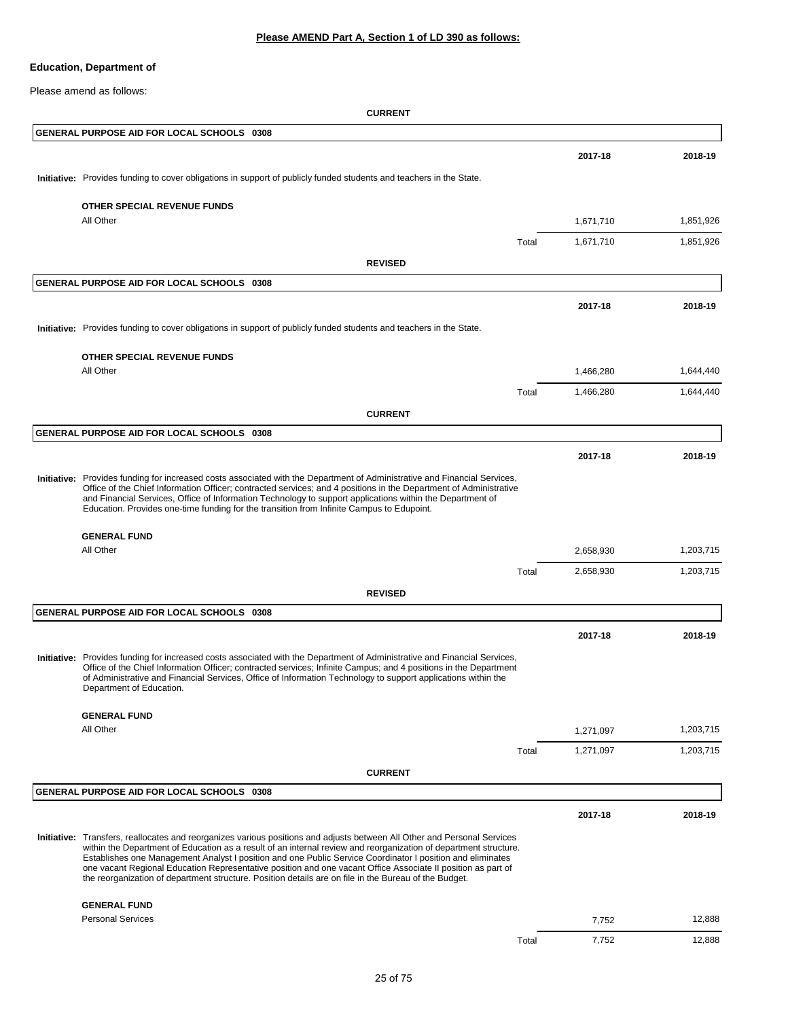Please amend as follows:

| GENERAL PURPOSE AID FOR LOCAL SCHOOLS 0308                                                                                                                                                                                                                                                                                                                                                                                                                                                                                                                                          |       |           |           |
|-------------------------------------------------------------------------------------------------------------------------------------------------------------------------------------------------------------------------------------------------------------------------------------------------------------------------------------------------------------------------------------------------------------------------------------------------------------------------------------------------------------------------------------------------------------------------------------|-------|-----------|-----------|
|                                                                                                                                                                                                                                                                                                                                                                                                                                                                                                                                                                                     |       | 2017-18   | 2018-19   |
| Initiative: Provides funding to cover obligations in support of publicly funded students and teachers in the State.                                                                                                                                                                                                                                                                                                                                                                                                                                                                 |       |           |           |
| OTHER SPECIAL REVENUE FUNDS                                                                                                                                                                                                                                                                                                                                                                                                                                                                                                                                                         |       |           |           |
| All Other                                                                                                                                                                                                                                                                                                                                                                                                                                                                                                                                                                           |       | 1,671,710 | 1,851,926 |
|                                                                                                                                                                                                                                                                                                                                                                                                                                                                                                                                                                                     | Total | 1,671,710 | 1,851,926 |
| <b>REVISED</b>                                                                                                                                                                                                                                                                                                                                                                                                                                                                                                                                                                      |       |           |           |
| GENERAL PURPOSE AID FOR LOCAL SCHOOLS 0308                                                                                                                                                                                                                                                                                                                                                                                                                                                                                                                                          |       |           |           |
|                                                                                                                                                                                                                                                                                                                                                                                                                                                                                                                                                                                     |       |           |           |
|                                                                                                                                                                                                                                                                                                                                                                                                                                                                                                                                                                                     |       | 2017-18   | 2018-19   |
| Initiative: Provides funding to cover obligations in support of publicly funded students and teachers in the State.                                                                                                                                                                                                                                                                                                                                                                                                                                                                 |       |           |           |
| OTHER SPECIAL REVENUE FUNDS                                                                                                                                                                                                                                                                                                                                                                                                                                                                                                                                                         |       |           |           |
| All Other                                                                                                                                                                                                                                                                                                                                                                                                                                                                                                                                                                           |       | 1,466,280 | 1,644,440 |
|                                                                                                                                                                                                                                                                                                                                                                                                                                                                                                                                                                                     | Total | 1,466,280 | 1,644,440 |
| <b>CURRENT</b>                                                                                                                                                                                                                                                                                                                                                                                                                                                                                                                                                                      |       |           |           |
| GENERAL PURPOSE AID FOR LOCAL SCHOOLS 0308                                                                                                                                                                                                                                                                                                                                                                                                                                                                                                                                          |       |           |           |
|                                                                                                                                                                                                                                                                                                                                                                                                                                                                                                                                                                                     |       | 2017-18   | 2018-19   |
|                                                                                                                                                                                                                                                                                                                                                                                                                                                                                                                                                                                     |       |           |           |
| Initiative: Provides funding for increased costs associated with the Department of Administrative and Financial Services,<br>Office of the Chief Information Officer; contracted services; and 4 positions in the Department of Administrative<br>and Financial Services, Office of Information Technology to support applications within the Department of<br>Education. Provides one-time funding for the transition from Infinite Campus to Edupoint.                                                                                                                            |       |           |           |
| <b>GENERAL FUND</b>                                                                                                                                                                                                                                                                                                                                                                                                                                                                                                                                                                 |       |           |           |
| All Other                                                                                                                                                                                                                                                                                                                                                                                                                                                                                                                                                                           |       | 2,658,930 | 1,203,715 |
|                                                                                                                                                                                                                                                                                                                                                                                                                                                                                                                                                                                     | Total | 2,658,930 | 1,203,715 |
| <b>REVISED</b>                                                                                                                                                                                                                                                                                                                                                                                                                                                                                                                                                                      |       |           |           |
| GENERAL PURPOSE AID FOR LOCAL SCHOOLS 0308                                                                                                                                                                                                                                                                                                                                                                                                                                                                                                                                          |       |           |           |
|                                                                                                                                                                                                                                                                                                                                                                                                                                                                                                                                                                                     |       | 2017-18   | 2018-19   |
| Initiative: Provides funding for increased costs associated with the Department of Administrative and Financial Services,<br>Office of the Chief Information Officer; contracted services; Infinite Campus; and 4 positions in the Department<br>of Administrative and Financial Services, Office of Information Technology to support applications within the<br>Department of Education.                                                                                                                                                                                          |       |           |           |
| <b>GENERAL FUND</b>                                                                                                                                                                                                                                                                                                                                                                                                                                                                                                                                                                 |       |           |           |
| All Other                                                                                                                                                                                                                                                                                                                                                                                                                                                                                                                                                                           |       | 1,271,097 | 1,203,715 |
|                                                                                                                                                                                                                                                                                                                                                                                                                                                                                                                                                                                     | Total | 1,271,097 | 1,203,715 |
| <b>CURRENT</b>                                                                                                                                                                                                                                                                                                                                                                                                                                                                                                                                                                      |       |           |           |
| GENERAL PURPOSE AID FOR LOCAL SCHOOLS 0308                                                                                                                                                                                                                                                                                                                                                                                                                                                                                                                                          |       |           |           |
|                                                                                                                                                                                                                                                                                                                                                                                                                                                                                                                                                                                     |       | 2017-18   | 2018-19   |
| Initiative: Transfers, reallocates and reorganizes various positions and adjusts between All Other and Personal Services<br>within the Department of Education as a result of an internal review and reorganization of department structure.<br>Establishes one Management Analyst I position and one Public Service Coordinator I position and eliminates<br>one vacant Regional Education Representative position and one vacant Office Associate II position as part of<br>the reorganization of department structure. Position details are on file in the Bureau of the Budget. |       |           |           |
| <b>GENERAL FUND</b>                                                                                                                                                                                                                                                                                                                                                                                                                                                                                                                                                                 |       |           |           |
| <b>Personal Services</b>                                                                                                                                                                                                                                                                                                                                                                                                                                                                                                                                                            |       | 7,752     | 12,888    |
|                                                                                                                                                                                                                                                                                                                                                                                                                                                                                                                                                                                     | Total | 7,752     | 12,888    |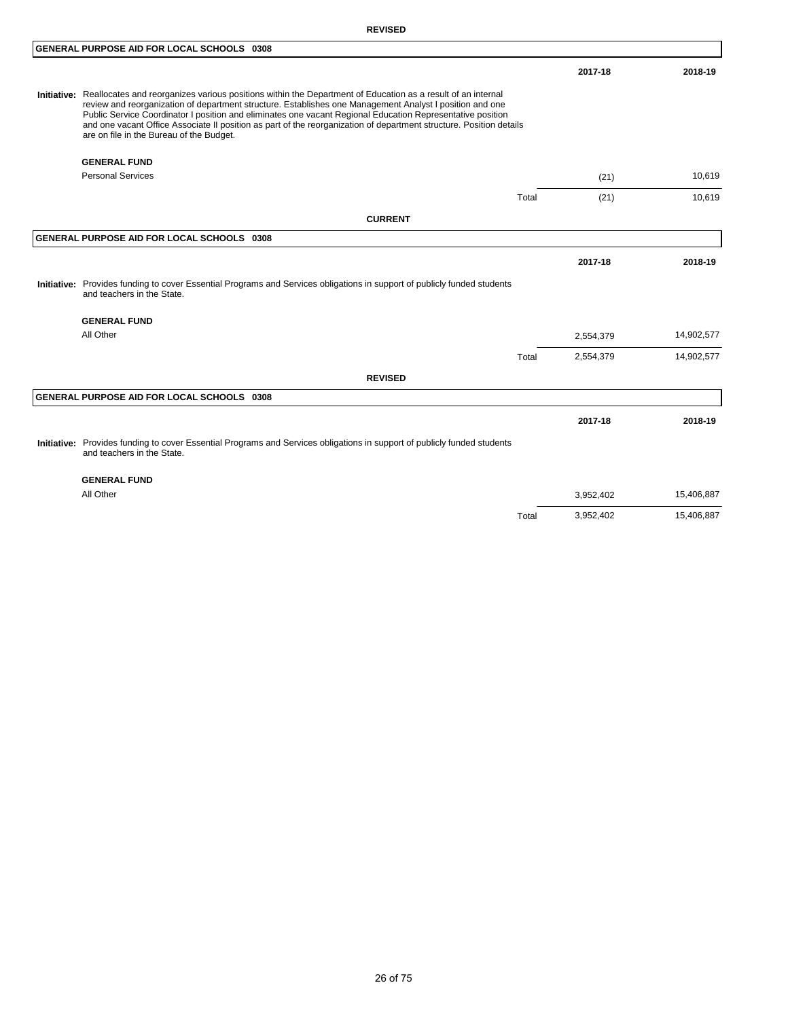|                                                                                                                                                                                                                                                                                                                                                                                                                                                                                                                      |       | 2017-18   | 2018-19    |
|----------------------------------------------------------------------------------------------------------------------------------------------------------------------------------------------------------------------------------------------------------------------------------------------------------------------------------------------------------------------------------------------------------------------------------------------------------------------------------------------------------------------|-------|-----------|------------|
| Initiative: Reallocates and reorganizes various positions within the Department of Education as a result of an internal<br>review and reorganization of department structure. Establishes one Management Analyst I position and one<br>Public Service Coordinator I position and eliminates one vacant Regional Education Representative position<br>and one vacant Office Associate II position as part of the reorganization of department structure. Position details<br>are on file in the Bureau of the Budget. |       |           |            |
| <b>GENERAL FUND</b>                                                                                                                                                                                                                                                                                                                                                                                                                                                                                                  |       |           |            |
| <b>Personal Services</b>                                                                                                                                                                                                                                                                                                                                                                                                                                                                                             |       | (21)      | 10,619     |
|                                                                                                                                                                                                                                                                                                                                                                                                                                                                                                                      | Total | (21)      | 10,619     |
| <b>CURRENT</b>                                                                                                                                                                                                                                                                                                                                                                                                                                                                                                       |       |           |            |
| GENERAL PURPOSE AID FOR LOCAL SCHOOLS 0308                                                                                                                                                                                                                                                                                                                                                                                                                                                                           |       |           |            |
|                                                                                                                                                                                                                                                                                                                                                                                                                                                                                                                      |       | 2017-18   | 2018-19    |
| Initiative: Provides funding to cover Essential Programs and Services obligations in support of publicly funded students<br>and teachers in the State.                                                                                                                                                                                                                                                                                                                                                               |       |           |            |
| <b>GENERAL FUND</b>                                                                                                                                                                                                                                                                                                                                                                                                                                                                                                  |       |           |            |
| All Other                                                                                                                                                                                                                                                                                                                                                                                                                                                                                                            |       | 2,554,379 | 14,902,577 |
|                                                                                                                                                                                                                                                                                                                                                                                                                                                                                                                      | Total | 2,554,379 | 14,902,577 |
| <b>REVISED</b>                                                                                                                                                                                                                                                                                                                                                                                                                                                                                                       |       |           |            |
| GENERAL PURPOSE AID FOR LOCAL SCHOOLS 0308                                                                                                                                                                                                                                                                                                                                                                                                                                                                           |       |           |            |
|                                                                                                                                                                                                                                                                                                                                                                                                                                                                                                                      |       | 2017-18   | 2018-19    |
| Initiative: Provides funding to cover Essential Programs and Services obligations in support of publicly funded students<br>and teachers in the State.                                                                                                                                                                                                                                                                                                                                                               |       |           |            |
| <b>GENERAL FUND</b>                                                                                                                                                                                                                                                                                                                                                                                                                                                                                                  |       |           |            |
| $ -$                                                                                                                                                                                                                                                                                                                                                                                                                                                                                                                 |       |           | $   -$     |

All Other 3,952,402 15,406,887 15,406,887 Total 3,952,402 15,406,887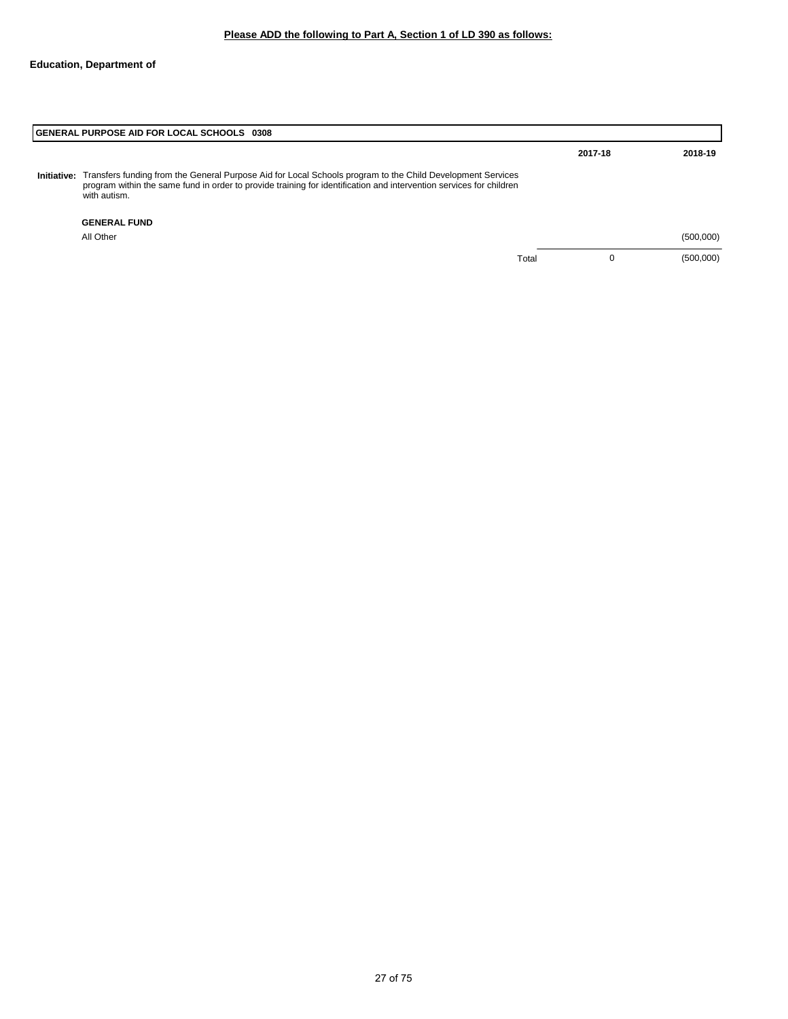# **GENERAL PURPOSE AID FOR LOCAL SCHOOLS 0308 GENERAL FUND** All Other (500,000) Total 0 (500,000) **2017-18 2018-19** Initiative: Transfers funding from the General Purpose Aid for Local Schools program to the Child Development Services<br>program within the same fund in order to provide training for identification and intervention services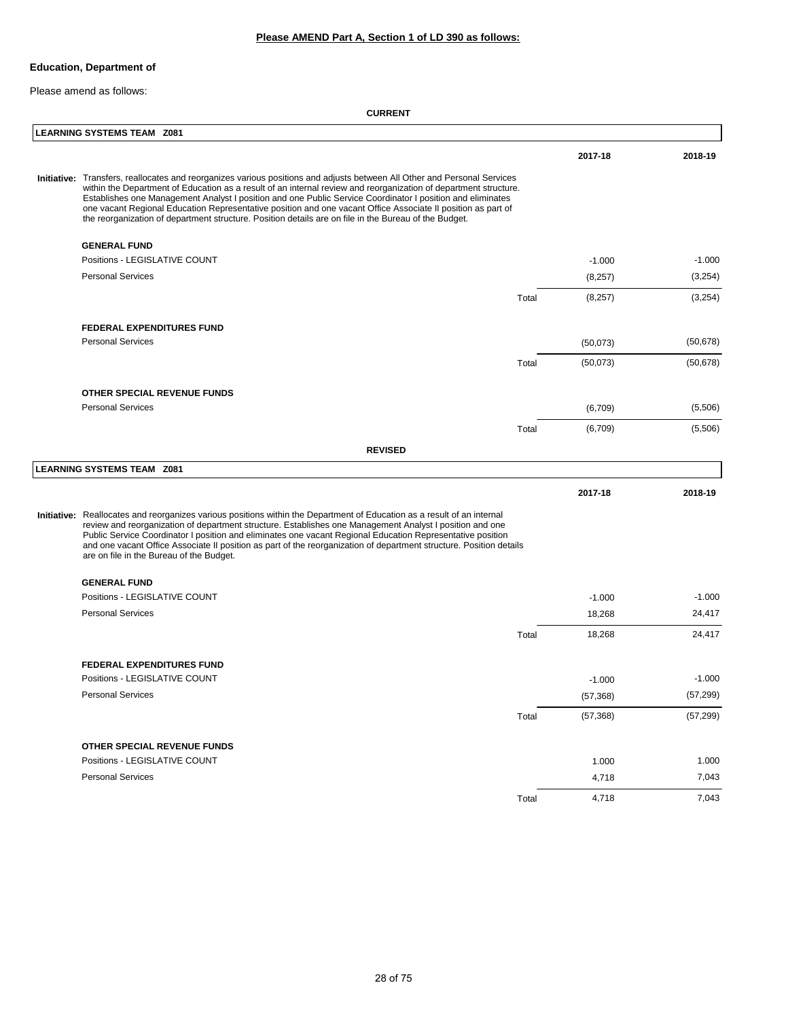## **Please AMEND Part A, Section 1 of LD 390 as follows:**

## **Education, Department of**

Please amend as follows:

| <b>LEARNING SYSTEMS TEAM Z081</b>                                                                                                                                                                                                                                                                                                                                                                                                                                                                                                                                                   |       |           |           |
|-------------------------------------------------------------------------------------------------------------------------------------------------------------------------------------------------------------------------------------------------------------------------------------------------------------------------------------------------------------------------------------------------------------------------------------------------------------------------------------------------------------------------------------------------------------------------------------|-------|-----------|-----------|
|                                                                                                                                                                                                                                                                                                                                                                                                                                                                                                                                                                                     |       | 2017-18   | 2018-19   |
| Initiative: Transfers, reallocates and reorganizes various positions and adjusts between All Other and Personal Services<br>within the Department of Education as a result of an internal review and reorganization of department structure.<br>Establishes one Management Analyst I position and one Public Service Coordinator I position and eliminates<br>one vacant Regional Education Representative position and one vacant Office Associate II position as part of<br>the reorganization of department structure. Position details are on file in the Bureau of the Budget. |       |           |           |
| <b>GENERAL FUND</b>                                                                                                                                                                                                                                                                                                                                                                                                                                                                                                                                                                 |       |           |           |
| Positions - LEGISLATIVE COUNT                                                                                                                                                                                                                                                                                                                                                                                                                                                                                                                                                       |       | $-1.000$  | $-1.000$  |
| <b>Personal Services</b>                                                                                                                                                                                                                                                                                                                                                                                                                                                                                                                                                            |       | (8,257)   | (3, 254)  |
|                                                                                                                                                                                                                                                                                                                                                                                                                                                                                                                                                                                     | Total | (8,257)   | (3,254)   |
| <b>FEDERAL EXPENDITURES FUND</b>                                                                                                                                                                                                                                                                                                                                                                                                                                                                                                                                                    |       |           |           |
| <b>Personal Services</b>                                                                                                                                                                                                                                                                                                                                                                                                                                                                                                                                                            |       | (50,073)  | (50, 678) |
|                                                                                                                                                                                                                                                                                                                                                                                                                                                                                                                                                                                     | Total | (50,073)  | (50, 678) |
| <b>OTHER SPECIAL REVENUE FUNDS</b>                                                                                                                                                                                                                                                                                                                                                                                                                                                                                                                                                  |       |           |           |
| <b>Personal Services</b>                                                                                                                                                                                                                                                                                                                                                                                                                                                                                                                                                            |       | (6,709)   | (5,506)   |
|                                                                                                                                                                                                                                                                                                                                                                                                                                                                                                                                                                                     | Total | (6,709)   | (5,506)   |
| <b>REVISED</b>                                                                                                                                                                                                                                                                                                                                                                                                                                                                                                                                                                      |       |           |           |
| <b>LEARNING SYSTEMS TEAM Z081</b>                                                                                                                                                                                                                                                                                                                                                                                                                                                                                                                                                   |       |           |           |
|                                                                                                                                                                                                                                                                                                                                                                                                                                                                                                                                                                                     |       | 2017-18   | 2018-19   |
| Initiative: Reallocates and reorganizes various positions within the Department of Education as a result of an internal<br>review and reorganization of department structure. Establishes one Management Analyst I position and one<br>Public Service Coordinator I position and eliminates one vacant Regional Education Representative position<br>and one vacant Office Associate II position as part of the reorganization of department structure. Position details<br>are on file in the Bureau of the Budget.                                                                |       |           |           |
| <b>GENERAL FUND</b>                                                                                                                                                                                                                                                                                                                                                                                                                                                                                                                                                                 |       |           |           |
| Positions - LEGISLATIVE COUNT                                                                                                                                                                                                                                                                                                                                                                                                                                                                                                                                                       |       | $-1.000$  | $-1.000$  |
| <b>Personal Services</b>                                                                                                                                                                                                                                                                                                                                                                                                                                                                                                                                                            |       | 18,268    | 24,417    |
|                                                                                                                                                                                                                                                                                                                                                                                                                                                                                                                                                                                     | Total | 18,268    | 24,417    |
| FEDERAL EXPENDITURES FUND                                                                                                                                                                                                                                                                                                                                                                                                                                                                                                                                                           |       |           |           |
| Positions - LEGISLATIVE COUNT                                                                                                                                                                                                                                                                                                                                                                                                                                                                                                                                                       |       | $-1.000$  | $-1.000$  |
| <b>Personal Services</b>                                                                                                                                                                                                                                                                                                                                                                                                                                                                                                                                                            |       | (57, 368) | (57, 299) |
|                                                                                                                                                                                                                                                                                                                                                                                                                                                                                                                                                                                     | Total | (57, 368) | (57, 299) |
| OTHER SPECIAL REVENUE FUNDS                                                                                                                                                                                                                                                                                                                                                                                                                                                                                                                                                         |       |           |           |
| Positions - LEGISLATIVE COUNT                                                                                                                                                                                                                                                                                                                                                                                                                                                                                                                                                       |       | 1.000     | 1.000     |
| <b>Personal Services</b>                                                                                                                                                                                                                                                                                                                                                                                                                                                                                                                                                            |       | 4,718     | 7,043     |
|                                                                                                                                                                                                                                                                                                                                                                                                                                                                                                                                                                                     | Total | 4,718     | 7,043     |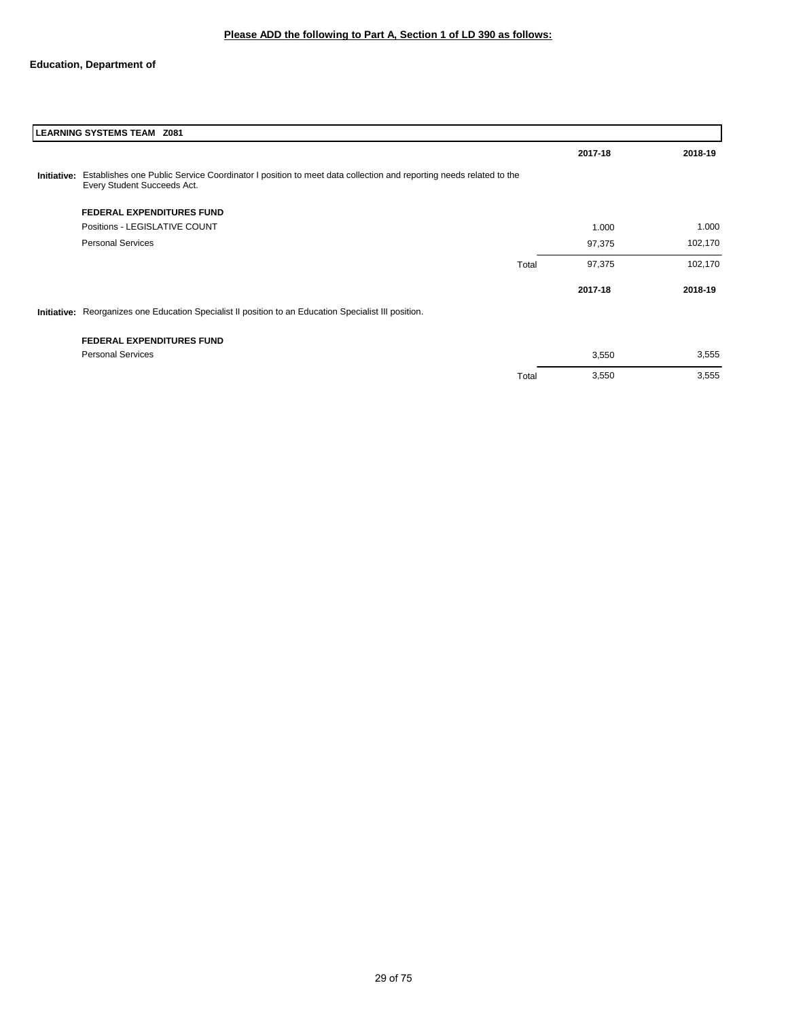| LEARNING SYSTEMS TEAM Z081                                                                                                                                  |       |         |         |  |  |
|-------------------------------------------------------------------------------------------------------------------------------------------------------------|-------|---------|---------|--|--|
|                                                                                                                                                             |       | 2017-18 | 2018-19 |  |  |
| Initiative: Establishes one Public Service Coordinator I position to meet data collection and reporting needs related to the<br>Every Student Succeeds Act. |       |         |         |  |  |
| <b>FEDERAL EXPENDITURES FUND</b>                                                                                                                            |       |         |         |  |  |
| Positions - LEGISLATIVE COUNT                                                                                                                               |       | 1.000   | 1.000   |  |  |
| <b>Personal Services</b>                                                                                                                                    |       | 97,375  | 102,170 |  |  |
|                                                                                                                                                             | Total | 97,375  | 102,170 |  |  |
|                                                                                                                                                             |       | 2017-18 | 2018-19 |  |  |
| Initiative: Reorganizes one Education Specialist II position to an Education Specialist III position.                                                       |       |         |         |  |  |
| <b>FEDERAL EXPENDITURES FUND</b>                                                                                                                            |       |         |         |  |  |
| <b>Personal Services</b>                                                                                                                                    |       | 3,550   | 3,555   |  |  |
|                                                                                                                                                             | Total | 3,550   | 3,555   |  |  |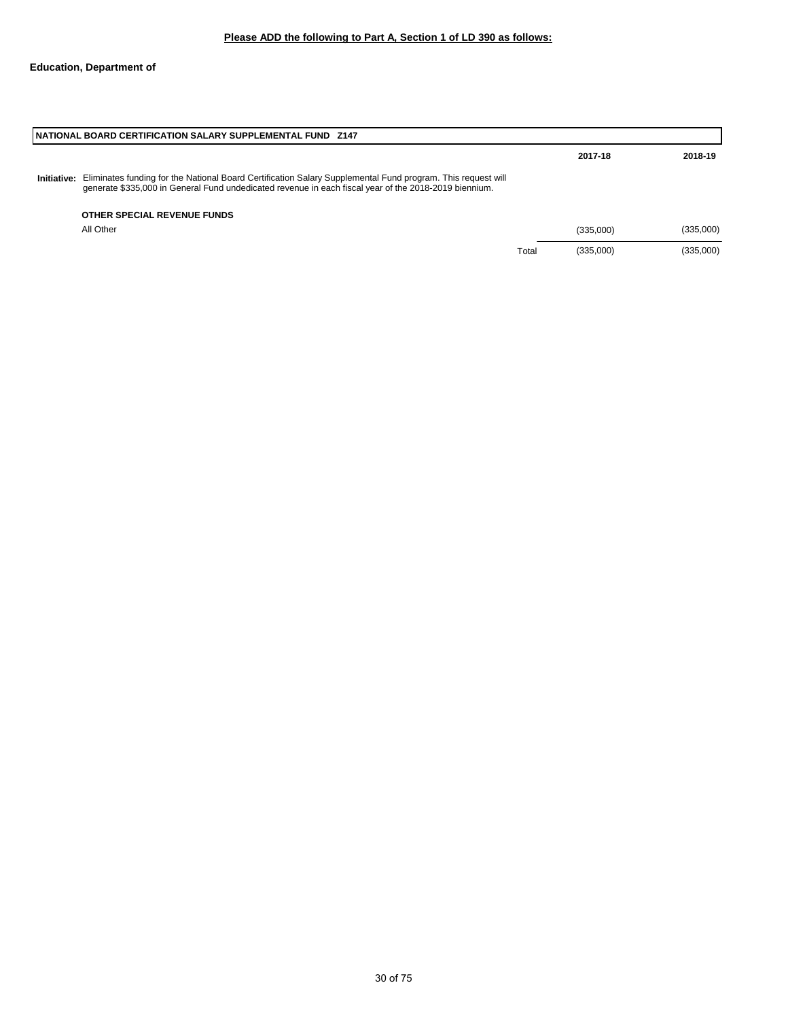|             | NATIONAL BOARD CERTIFICATION SALARY SUPPLEMENTAL FUND 2147                                                                                                                                                           |       |           |           |  |  |
|-------------|----------------------------------------------------------------------------------------------------------------------------------------------------------------------------------------------------------------------|-------|-----------|-----------|--|--|
|             |                                                                                                                                                                                                                      |       | 2017-18   | 2018-19   |  |  |
| Initiative: | Eliminates funding for the National Board Certification Salary Supplemental Fund program. This request will<br>generate \$335,000 in General Fund undedicated revenue in each fiscal year of the 2018-2019 biennium. |       |           |           |  |  |
|             | OTHER SPECIAL REVENUE FUNDS                                                                                                                                                                                          |       |           |           |  |  |
|             | All Other                                                                                                                                                                                                            |       | (335,000) | (335,000) |  |  |
|             |                                                                                                                                                                                                                      | Total | (335,000) | (335,000) |  |  |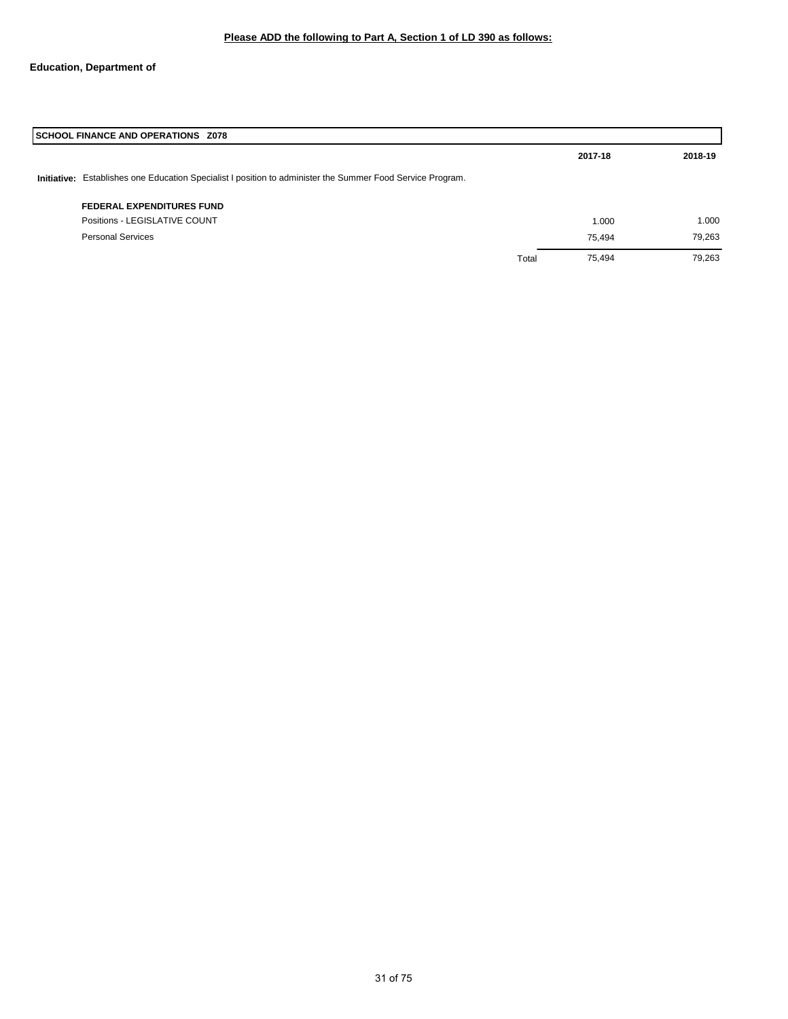| SCHOOL FINANCE AND OPERATIONS Z078                                                                         |       |         |         |  |
|------------------------------------------------------------------------------------------------------------|-------|---------|---------|--|
|                                                                                                            |       | 2017-18 | 2018-19 |  |
| Initiative: Establishes one Education Specialist I position to administer the Summer Food Service Program. |       |         |         |  |
| <b>FEDERAL EXPENDITURES FUND</b>                                                                           |       |         |         |  |
| Positions - LEGISLATIVE COUNT                                                                              |       | 1.000   | 1.000   |  |
| <b>Personal Services</b>                                                                                   |       | 75.494  | 79,263  |  |
|                                                                                                            | Total | 75.494  | 79,263  |  |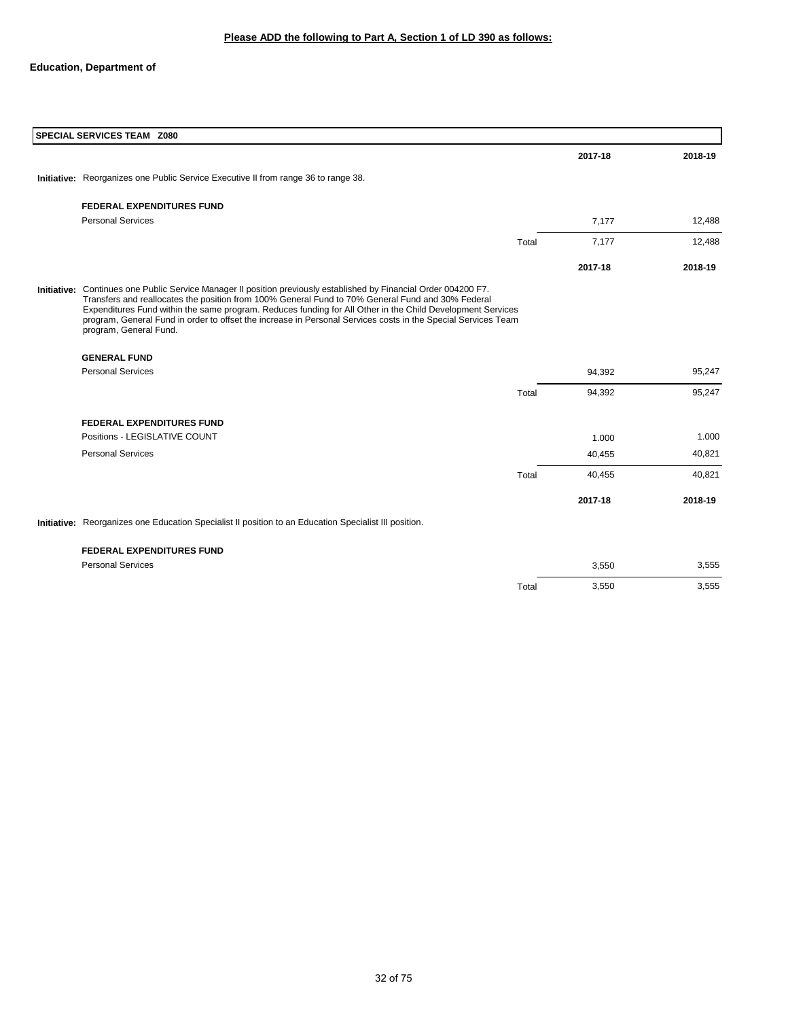| SPECIAL SERVICES TEAM Z080                                                                                                                                                                                                                                                                                                                                                                                                                                                      |       |         |         |
|---------------------------------------------------------------------------------------------------------------------------------------------------------------------------------------------------------------------------------------------------------------------------------------------------------------------------------------------------------------------------------------------------------------------------------------------------------------------------------|-------|---------|---------|
|                                                                                                                                                                                                                                                                                                                                                                                                                                                                                 |       | 2017-18 | 2018-19 |
| Initiative: Reorganizes one Public Service Executive II from range 36 to range 38.                                                                                                                                                                                                                                                                                                                                                                                              |       |         |         |
| <b>FEDERAL EXPENDITURES FUND</b>                                                                                                                                                                                                                                                                                                                                                                                                                                                |       |         |         |
| <b>Personal Services</b>                                                                                                                                                                                                                                                                                                                                                                                                                                                        |       | 7,177   | 12,488  |
|                                                                                                                                                                                                                                                                                                                                                                                                                                                                                 | Total | 7,177   | 12,488  |
|                                                                                                                                                                                                                                                                                                                                                                                                                                                                                 |       | 2017-18 | 2018-19 |
| Initiative: Continues one Public Service Manager II position previously established by Financial Order 004200 F7.<br>Transfers and reallocates the position from 100% General Fund to 70% General Fund and 30% Federal<br>Expenditures Fund within the same program. Reduces funding for All Other in the Child Development Services<br>program, General Fund in order to offset the increase in Personal Services costs in the Special Services Team<br>program, General Fund. |       |         |         |
| <b>GENERAL FUND</b>                                                                                                                                                                                                                                                                                                                                                                                                                                                             |       |         |         |
| <b>Personal Services</b>                                                                                                                                                                                                                                                                                                                                                                                                                                                        |       | 94,392  | 95,247  |
|                                                                                                                                                                                                                                                                                                                                                                                                                                                                                 | Total | 94,392  | 95,247  |
| <b>FEDERAL EXPENDITURES FUND</b>                                                                                                                                                                                                                                                                                                                                                                                                                                                |       |         |         |
| Positions - LEGISLATIVE COUNT                                                                                                                                                                                                                                                                                                                                                                                                                                                   |       | 1.000   | 1.000   |
| <b>Personal Services</b>                                                                                                                                                                                                                                                                                                                                                                                                                                                        |       | 40,455  | 40,821  |
|                                                                                                                                                                                                                                                                                                                                                                                                                                                                                 | Total | 40,455  | 40,821  |
|                                                                                                                                                                                                                                                                                                                                                                                                                                                                                 |       | 2017-18 | 2018-19 |
| Initiative: Reorganizes one Education Specialist II position to an Education Specialist III position.                                                                                                                                                                                                                                                                                                                                                                           |       |         |         |

**FEDERAL EXPENDITURES FUND**

| <b>I CDCIVAL CAI CNDITURES I OND</b> |       |       |       |
|--------------------------------------|-------|-------|-------|
| <b>Personal Services</b>             |       | 3,550 | 3,555 |
|                                      | Total | 3,550 | 3,555 |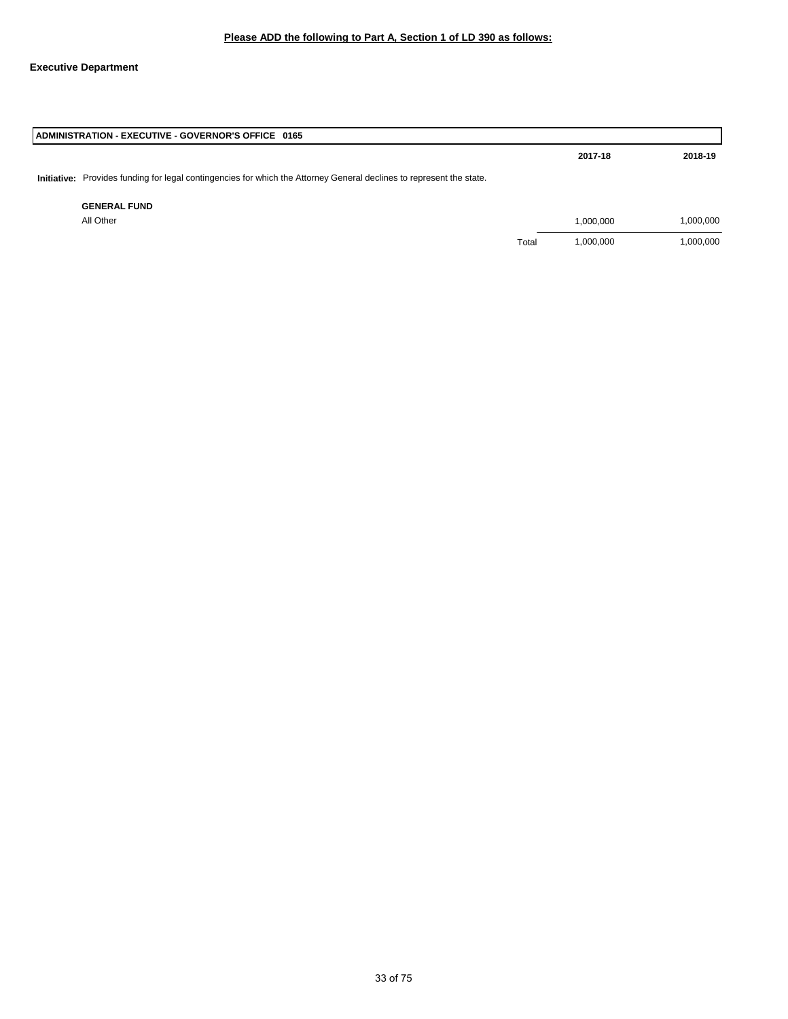## **Executive Department**

| ADMINISTRATION - EXECUTIVE - GOVERNOR'S OFFICE 0165                                                                  |       |           |           |  |  |
|----------------------------------------------------------------------------------------------------------------------|-------|-----------|-----------|--|--|
|                                                                                                                      |       | 2017-18   | 2018-19   |  |  |
| Initiative: Provides funding for legal contingencies for which the Attorney General declines to represent the state. |       |           |           |  |  |
| <b>GENERAL FUND</b>                                                                                                  |       |           |           |  |  |
| All Other                                                                                                            |       | 1,000,000 | 1,000,000 |  |  |
|                                                                                                                      | Total | 1,000,000 | 1,000,000 |  |  |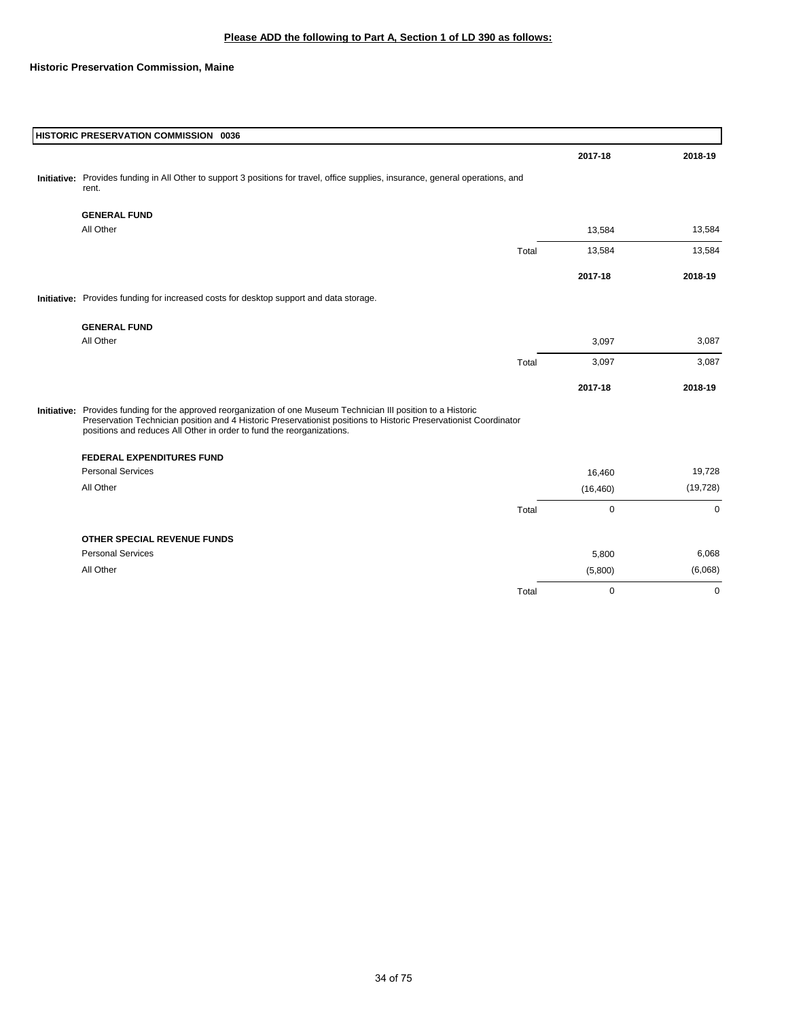**Historic Preservation Commission, Maine**

| HISTORIC PRESERVATION COMMISSION 0036                                                                                                                                                                                                                                                                          |       |             |             |
|----------------------------------------------------------------------------------------------------------------------------------------------------------------------------------------------------------------------------------------------------------------------------------------------------------------|-------|-------------|-------------|
|                                                                                                                                                                                                                                                                                                                |       | 2017-18     | 2018-19     |
| Initiative: Provides funding in All Other to support 3 positions for travel, office supplies, insurance, general operations, and<br>rent.                                                                                                                                                                      |       |             |             |
| <b>GENERAL FUND</b>                                                                                                                                                                                                                                                                                            |       |             |             |
| All Other                                                                                                                                                                                                                                                                                                      |       | 13,584      | 13,584      |
|                                                                                                                                                                                                                                                                                                                | Total | 13,584      | 13,584      |
|                                                                                                                                                                                                                                                                                                                |       | 2017-18     | 2018-19     |
| Initiative: Provides funding for increased costs for desktop support and data storage.                                                                                                                                                                                                                         |       |             |             |
| <b>GENERAL FUND</b>                                                                                                                                                                                                                                                                                            |       |             |             |
| All Other                                                                                                                                                                                                                                                                                                      |       | 3,097       | 3,087       |
|                                                                                                                                                                                                                                                                                                                | Total | 3,097       | 3,087       |
|                                                                                                                                                                                                                                                                                                                |       | 2017-18     | 2018-19     |
| Initiative: Provides funding for the approved reorganization of one Museum Technician III position to a Historic<br>Preservation Technician position and 4 Historic Preservationist positions to Historic Preservationist Coordinator<br>positions and reduces All Other in order to fund the reorganizations. |       |             |             |
| <b>FEDERAL EXPENDITURES FUND</b>                                                                                                                                                                                                                                                                               |       |             |             |
| <b>Personal Services</b>                                                                                                                                                                                                                                                                                       |       | 16,460      | 19,728      |
| All Other                                                                                                                                                                                                                                                                                                      |       | (16, 460)   | (19, 728)   |
|                                                                                                                                                                                                                                                                                                                | Total | 0           | $\mathbf 0$ |
| <b>OTHER SPECIAL REVENUE FUNDS</b>                                                                                                                                                                                                                                                                             |       |             |             |
| <b>Personal Services</b>                                                                                                                                                                                                                                                                                       |       | 5,800       | 6,068       |
| All Other                                                                                                                                                                                                                                                                                                      |       | (5,800)     | (6,068)     |
|                                                                                                                                                                                                                                                                                                                | Total | $\mathbf 0$ | $\mathbf 0$ |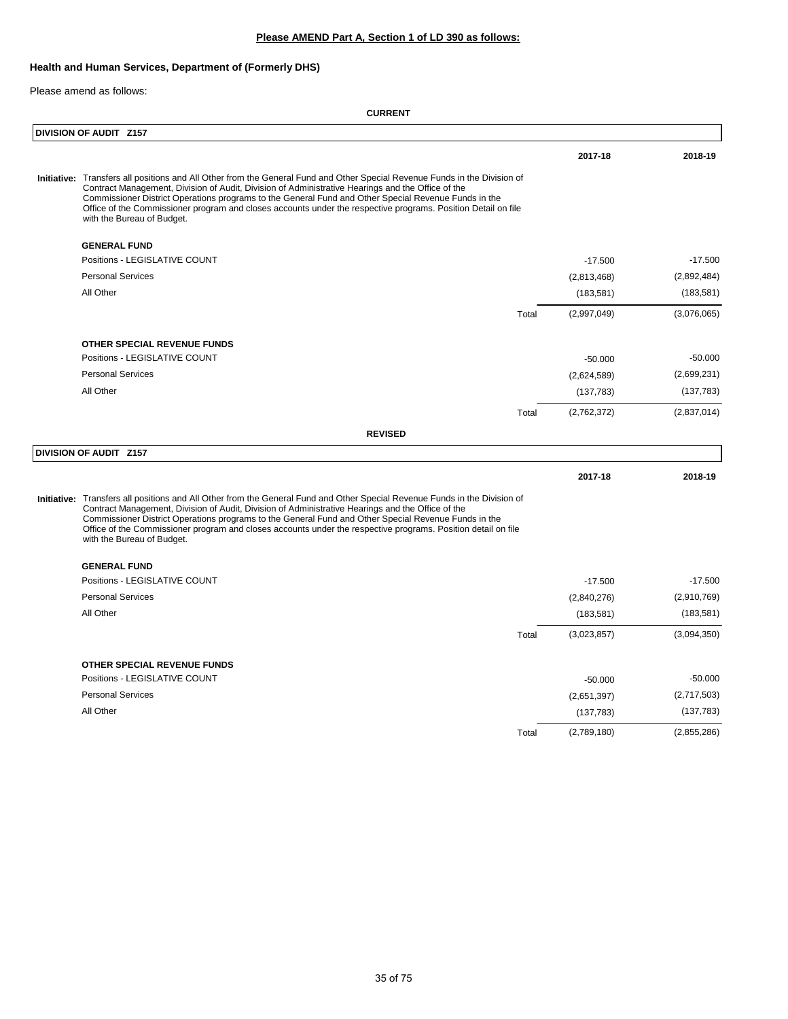# **Please AMEND Part A, Section 1 of LD 390 as follows:**

## **Health and Human Services, Department of (Formerly DHS)**

Please amend as follows:

| DIVISION OF AUDIT Z157                                                                                                                                                                                                                                                                                                                                                                                                                                                                 |       |             |             |
|----------------------------------------------------------------------------------------------------------------------------------------------------------------------------------------------------------------------------------------------------------------------------------------------------------------------------------------------------------------------------------------------------------------------------------------------------------------------------------------|-------|-------------|-------------|
|                                                                                                                                                                                                                                                                                                                                                                                                                                                                                        |       | 2017-18     | 2018-19     |
| Initiative: Transfers all positions and All Other from the General Fund and Other Special Revenue Funds in the Division of<br>Contract Management, Division of Audit, Division of Administrative Hearings and the Office of the<br>Commissioner District Operations programs to the General Fund and Other Special Revenue Funds in the<br>Office of the Commissioner program and closes accounts under the respective programs. Position Detail on file<br>with the Bureau of Budget. |       |             |             |
| <b>GENERAL FUND</b>                                                                                                                                                                                                                                                                                                                                                                                                                                                                    |       |             |             |
| Positions - LEGISLATIVE COUNT                                                                                                                                                                                                                                                                                                                                                                                                                                                          |       | $-17.500$   | $-17.500$   |
| <b>Personal Services</b>                                                                                                                                                                                                                                                                                                                                                                                                                                                               |       | (2,813,468) | (2,892,484) |
| All Other                                                                                                                                                                                                                                                                                                                                                                                                                                                                              |       | (183, 581)  | (183, 581)  |
|                                                                                                                                                                                                                                                                                                                                                                                                                                                                                        | Total | (2,997,049) | (3,076,065) |
| OTHER SPECIAL REVENUE FUNDS                                                                                                                                                                                                                                                                                                                                                                                                                                                            |       |             |             |
| Positions - LEGISLATIVE COUNT                                                                                                                                                                                                                                                                                                                                                                                                                                                          |       | $-50.000$   | $-50.000$   |
| <b>Personal Services</b>                                                                                                                                                                                                                                                                                                                                                                                                                                                               |       | (2,624,589) | (2,699,231) |
| All Other                                                                                                                                                                                                                                                                                                                                                                                                                                                                              |       | (137, 783)  | (137, 783)  |
|                                                                                                                                                                                                                                                                                                                                                                                                                                                                                        | Total | (2,762,372) | (2,837,014) |
| <b>REVISED</b>                                                                                                                                                                                                                                                                                                                                                                                                                                                                         |       |             |             |
| DIVISION OF AUDIT Z157                                                                                                                                                                                                                                                                                                                                                                                                                                                                 |       |             |             |
|                                                                                                                                                                                                                                                                                                                                                                                                                                                                                        |       | 2017-18     | 2018-19     |
| Initiative: Transfers all positions and All Other from the General Fund and Other Special Revenue Funds in the Division of<br>Contract Management, Division of Audit, Division of Administrative Hearings and the Office of the<br>Commissioner District Operations programs to the General Fund and Other Special Revenue Funds in the<br>Office of the Commissioner program and closes accounts under the respective programs. Position detail on file<br>with the Bureau of Budget. |       |             |             |
| <b>GENERAL FUND</b>                                                                                                                                                                                                                                                                                                                                                                                                                                                                    |       |             |             |
| Positions - LEGISLATIVE COUNT                                                                                                                                                                                                                                                                                                                                                                                                                                                          |       | $-17.500$   | $-17.500$   |
| <b>Personal Services</b>                                                                                                                                                                                                                                                                                                                                                                                                                                                               |       | (2,840,276) | (2,910,769) |
| All Other                                                                                                                                                                                                                                                                                                                                                                                                                                                                              |       | (183, 581)  | (183, 581)  |
|                                                                                                                                                                                                                                                                                                                                                                                                                                                                                        | Total | (3,023,857) | (3,094,350) |
| OTHER SPECIAL REVENUE FUNDS                                                                                                                                                                                                                                                                                                                                                                                                                                                            |       |             |             |
| Positions - LEGISLATIVE COUNT                                                                                                                                                                                                                                                                                                                                                                                                                                                          |       | $-50.000$   | $-50.000$   |
| <b>Personal Services</b>                                                                                                                                                                                                                                                                                                                                                                                                                                                               |       | (2,651,397) | (2,717,503) |
| All Other                                                                                                                                                                                                                                                                                                                                                                                                                                                                              |       | (137, 783)  | (137, 783)  |
|                                                                                                                                                                                                                                                                                                                                                                                                                                                                                        | Total | (2,789,180) | (2,855,286) |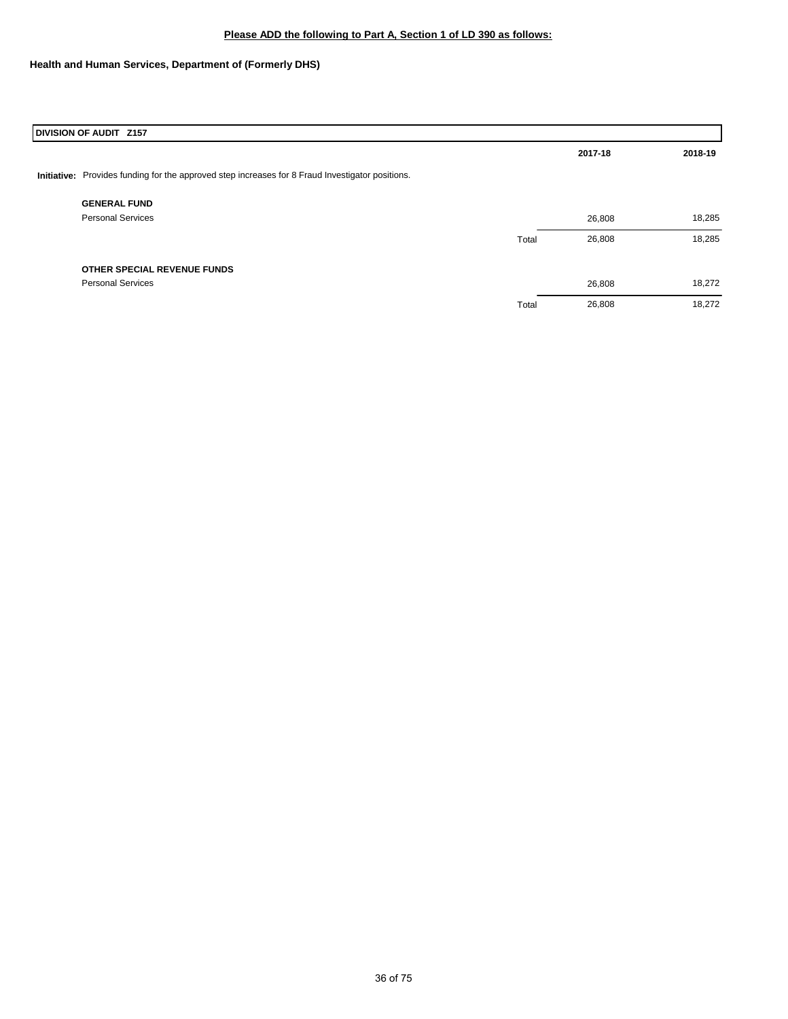## **Please ADD the following to Part A, Section 1 of LD 390 as follows:**

# **Health and Human Services, Department of (Formerly DHS)**

| DIVISION OF AUDIT Z157                                                                           |       |         |         |  |  |
|--------------------------------------------------------------------------------------------------|-------|---------|---------|--|--|
|                                                                                                  |       | 2017-18 | 2018-19 |  |  |
| Initiative: Provides funding for the approved step increases for 8 Fraud Investigator positions. |       |         |         |  |  |
| <b>GENERAL FUND</b>                                                                              |       |         |         |  |  |
| <b>Personal Services</b>                                                                         |       | 26,808  | 18,285  |  |  |
|                                                                                                  | Total | 26,808  | 18,285  |  |  |
| OTHER SPECIAL REVENUE FUNDS                                                                      |       |         |         |  |  |
| <b>Personal Services</b>                                                                         |       | 26,808  | 18,272  |  |  |
|                                                                                                  | Total | 26,808  | 18,272  |  |  |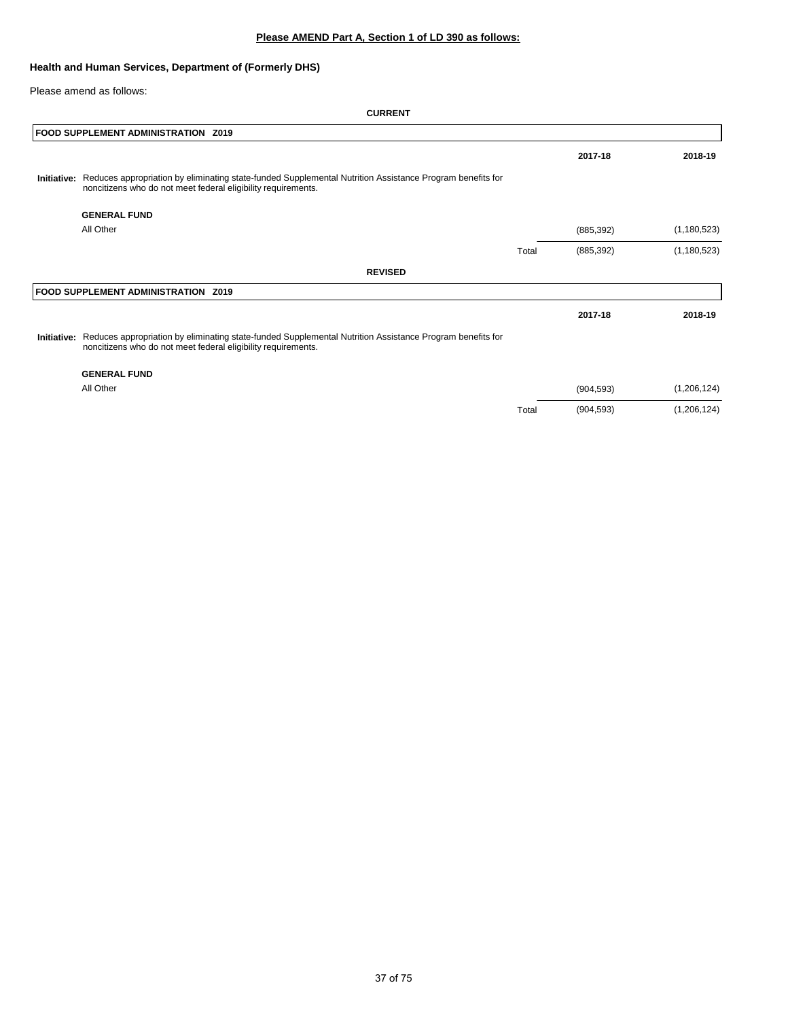## **Health and Human Services, Department of (Formerly DHS)**

Please amend as follows:

|             | <b>FOOD SUPPLEMENT ADMINISTRATION Z019</b>                                                                                                                                |       |            |               |
|-------------|---------------------------------------------------------------------------------------------------------------------------------------------------------------------------|-------|------------|---------------|
|             |                                                                                                                                                                           |       | 2017-18    | 2018-19       |
| Initiative: | Reduces appropriation by eliminating state-funded Supplemental Nutrition Assistance Program benefits for<br>noncitizens who do not meet federal eligibility requirements. |       |            |               |
|             | <b>GENERAL FUND</b>                                                                                                                                                       |       |            |               |
|             | All Other                                                                                                                                                                 |       | (885, 392) | (1, 180, 523) |
|             |                                                                                                                                                                           | Total | (885, 392) | (1, 180, 523) |
|             | <b>REVISED</b>                                                                                                                                                            |       |            |               |
|             | FOOD SUPPLEMENT ADMINISTRATION Z019                                                                                                                                       |       |            |               |
|             |                                                                                                                                                                           |       | 2017-18    | 2018-19       |
| Initiative: | Reduces appropriation by eliminating state-funded Supplemental Nutrition Assistance Program benefits for<br>noncitizens who do not meet federal eligibility requirements. |       |            |               |
|             | <b>GENERAL FUND</b>                                                                                                                                                       |       |            |               |
|             | All Other                                                                                                                                                                 |       | (904, 593) | (1, 206, 124) |
|             |                                                                                                                                                                           | Total | (904, 593) | (1,206,124)   |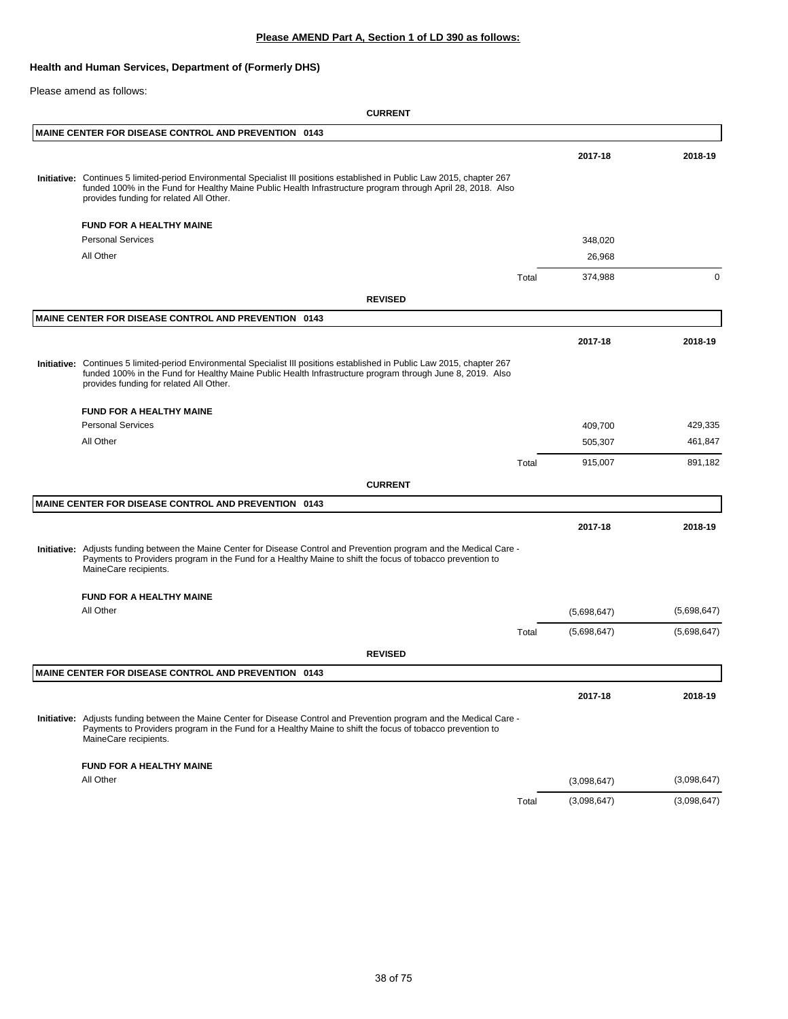### **Health and Human Services, Department of (Formerly DHS)**

Please amend as follows:

|  | <b>MAINE CENTER FOR DISEASE CONTROL AND PREVENTION 0143</b>                                                                                                                                                                                                                         |       |             |             |
|--|-------------------------------------------------------------------------------------------------------------------------------------------------------------------------------------------------------------------------------------------------------------------------------------|-------|-------------|-------------|
|  |                                                                                                                                                                                                                                                                                     |       | 2017-18     | 2018-19     |
|  | Initiative: Continues 5 limited-period Environmental Specialist III positions established in Public Law 2015, chapter 267<br>funded 100% in the Fund for Healthy Maine Public Health Infrastructure program through April 28, 2018. Also<br>provides funding for related All Other. |       |             |             |
|  | <b>FUND FOR A HEALTHY MAINE</b>                                                                                                                                                                                                                                                     |       |             |             |
|  | <b>Personal Services</b>                                                                                                                                                                                                                                                            |       | 348,020     |             |
|  | All Other                                                                                                                                                                                                                                                                           |       | 26,968      |             |
|  |                                                                                                                                                                                                                                                                                     | Total | 374,988     | 0           |
|  | <b>REVISED</b>                                                                                                                                                                                                                                                                      |       |             |             |
|  | <b>MAINE CENTER FOR DISEASE CONTROL AND PREVENTION 0143</b>                                                                                                                                                                                                                         |       |             |             |
|  |                                                                                                                                                                                                                                                                                     |       | 2017-18     | 2018-19     |
|  | Initiative: Continues 5 limited-period Environmental Specialist III positions established in Public Law 2015, chapter 267<br>funded 100% in the Fund for Healthy Maine Public Health Infrastructure program through June 8, 2019. Also<br>provides funding for related All Other.   |       |             |             |
|  | <b>FUND FOR A HEALTHY MAINE</b>                                                                                                                                                                                                                                                     |       |             |             |
|  | <b>Personal Services</b>                                                                                                                                                                                                                                                            |       | 409,700     | 429,335     |
|  | All Other                                                                                                                                                                                                                                                                           |       | 505,307     | 461,847     |
|  |                                                                                                                                                                                                                                                                                     | Total | 915,007     | 891,182     |
|  | <b>CURRENT</b>                                                                                                                                                                                                                                                                      |       |             |             |
|  | <b>MAINE CENTER FOR DISEASE CONTROL AND PREVENTION 0143</b>                                                                                                                                                                                                                         |       |             |             |
|  |                                                                                                                                                                                                                                                                                     |       | 2017-18     | 2018-19     |
|  | Initiative: Adjusts funding between the Maine Center for Disease Control and Prevention program and the Medical Care -<br>Payments to Providers program in the Fund for a Healthy Maine to shift the focus of tobacco prevention to<br>MaineCare recipients.                        |       |             |             |
|  | <b>FUND FOR A HEALTHY MAINE</b>                                                                                                                                                                                                                                                     |       |             |             |
|  | All Other                                                                                                                                                                                                                                                                           |       | (5,698,647) | (5,698,647) |
|  |                                                                                                                                                                                                                                                                                     | Total | (5,698,647) | (5,698,647) |
|  | <b>REVISED</b>                                                                                                                                                                                                                                                                      |       |             |             |
|  | <b>MAINE CENTER FOR DISEASE CONTROL AND PREVENTION 0143</b>                                                                                                                                                                                                                         |       |             |             |
|  |                                                                                                                                                                                                                                                                                     |       | 2017-18     | 2018-19     |
|  | Initiative: Adjusts funding between the Maine Center for Disease Control and Prevention program and the Medical Care -<br>Payments to Providers program in the Fund for a Healthy Maine to shift the focus of tobacco prevention to<br>MaineCare recipients.                        |       |             |             |
|  | <b>FUND FOR A HEALTHY MAINE</b>                                                                                                                                                                                                                                                     |       |             |             |
|  | All Other                                                                                                                                                                                                                                                                           |       | (3,098,647) | (3,098,647) |
|  |                                                                                                                                                                                                                                                                                     | Total | (3,098,647) | (3,098,647) |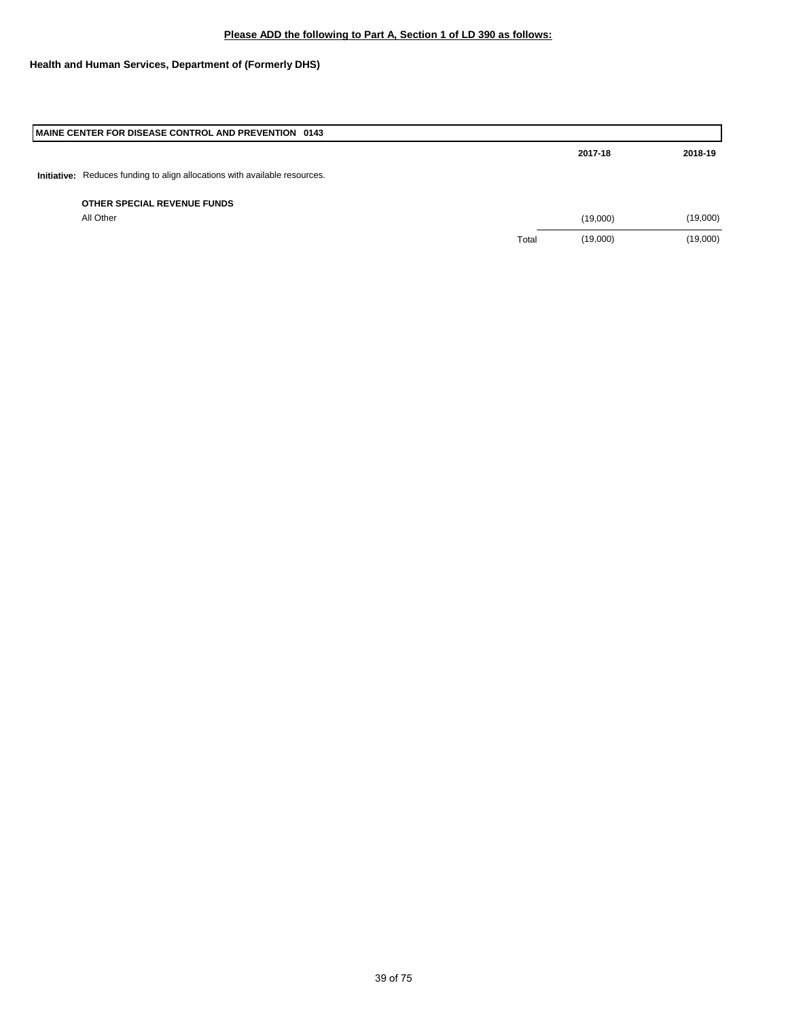## **Health and Human Services, Department of (Formerly DHS)**

| MAINE CENTER FOR DISEASE CONTROL AND PREVENTION 0143                       |       |          |          |
|----------------------------------------------------------------------------|-------|----------|----------|
|                                                                            |       | 2017-18  | 2018-19  |
| Initiative: Reduces funding to align allocations with available resources. |       |          |          |
| OTHER SPECIAL REVENUE FUNDS                                                |       |          |          |
| All Other                                                                  |       | (19,000) | (19,000) |
|                                                                            | Total | (19,000) | (19,000) |
|                                                                            |       |          |          |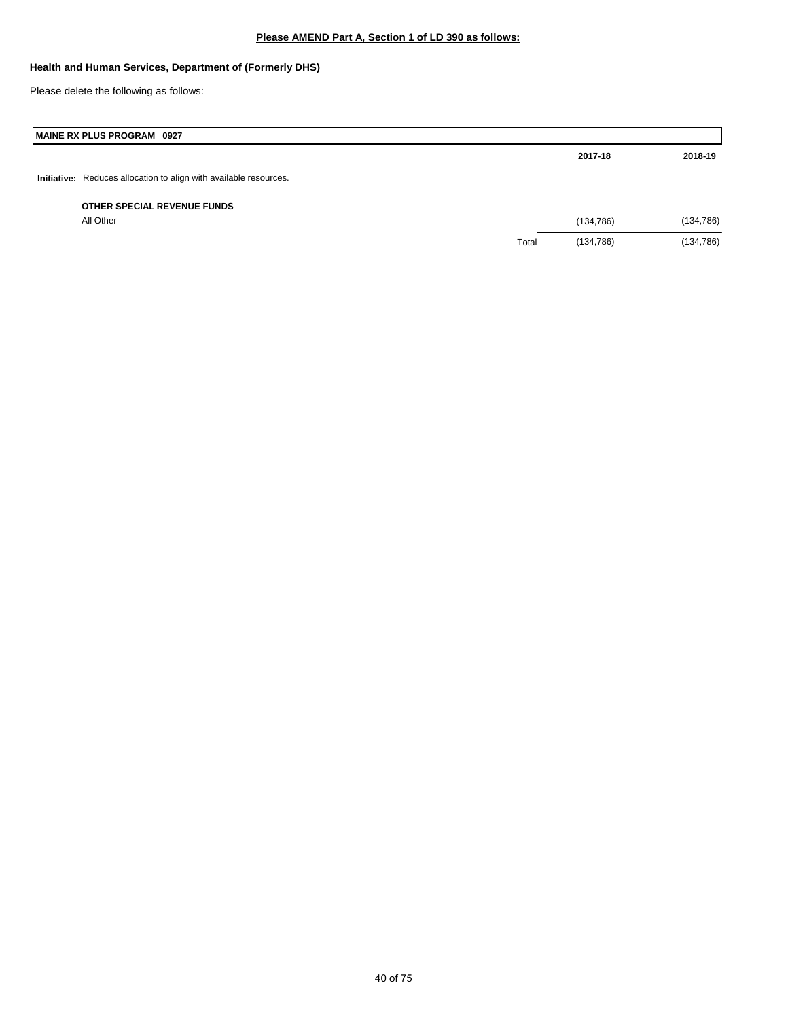## **Health and Human Services, Department of (Formerly DHS)**

Please delete the following as follows:

# **MAINE RX PLUS PROGRAM 0927**

|                                                                   |       | 2017-18    | 2018-19    |
|-------------------------------------------------------------------|-------|------------|------------|
| Initiative: Reduces allocation to align with available resources. |       |            |            |
| OTHER SPECIAL REVENUE FUNDS                                       |       |            |            |
| All Other                                                         |       | (134, 786) | (134, 786) |
|                                                                   | Total | (134, 786) | (134, 786) |
|                                                                   |       |            |            |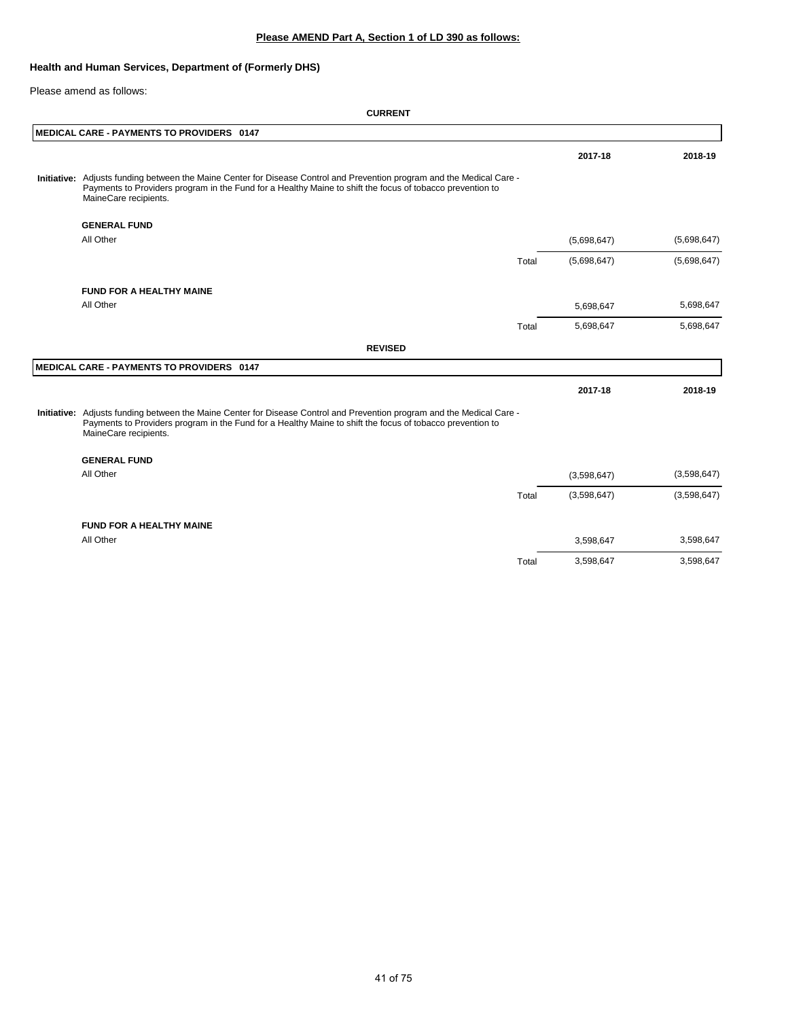## **Health and Human Services, Department of (Formerly DHS)**

Please amend as follows:

| <b>MEDICAL CARE - PAYMENTS TO PROVIDERS 0147</b>                                                                                                                                                                                                             |       |             |             |
|--------------------------------------------------------------------------------------------------------------------------------------------------------------------------------------------------------------------------------------------------------------|-------|-------------|-------------|
|                                                                                                                                                                                                                                                              |       | 2017-18     | 2018-19     |
| Initiative: Adjusts funding between the Maine Center for Disease Control and Prevention program and the Medical Care -<br>Payments to Providers program in the Fund for a Healthy Maine to shift the focus of tobacco prevention to<br>MaineCare recipients. |       |             |             |
| <b>GENERAL FUND</b>                                                                                                                                                                                                                                          |       |             |             |
| All Other                                                                                                                                                                                                                                                    |       | (5,698,647) | (5,698,647) |
|                                                                                                                                                                                                                                                              | Total | (5,698,647) | (5,698,647) |
| <b>FUND FOR A HEALTHY MAINE</b>                                                                                                                                                                                                                              |       |             |             |
| All Other                                                                                                                                                                                                                                                    |       | 5,698,647   | 5,698,647   |
|                                                                                                                                                                                                                                                              | Total | 5,698,647   | 5,698,647   |
| <b>REVISED</b>                                                                                                                                                                                                                                               |       |             |             |
| <b>MEDICAL CARE - PAYMENTS TO PROVIDERS 0147</b>                                                                                                                                                                                                             |       |             |             |
|                                                                                                                                                                                                                                                              |       | 2017-18     | 2018-19     |
| Initiative: Adjusts funding between the Maine Center for Disease Control and Prevention program and the Medical Care -<br>Payments to Providers program in the Fund for a Healthy Maine to shift the focus of tobacco prevention to<br>MaineCare recipients. |       |             |             |
| <b>GENERAL FUND</b>                                                                                                                                                                                                                                          |       |             |             |
| All Other                                                                                                                                                                                                                                                    |       | (3,598,647) | (3,598,647) |
|                                                                                                                                                                                                                                                              | Total | (3,598,647) | (3,598,647) |
| <b>FUND FOR A HEALTHY MAINE</b>                                                                                                                                                                                                                              |       |             |             |
| All Other                                                                                                                                                                                                                                                    |       | 3,598,647   | 3,598,647   |
|                                                                                                                                                                                                                                                              | Total | 3,598,647   | 3,598,647   |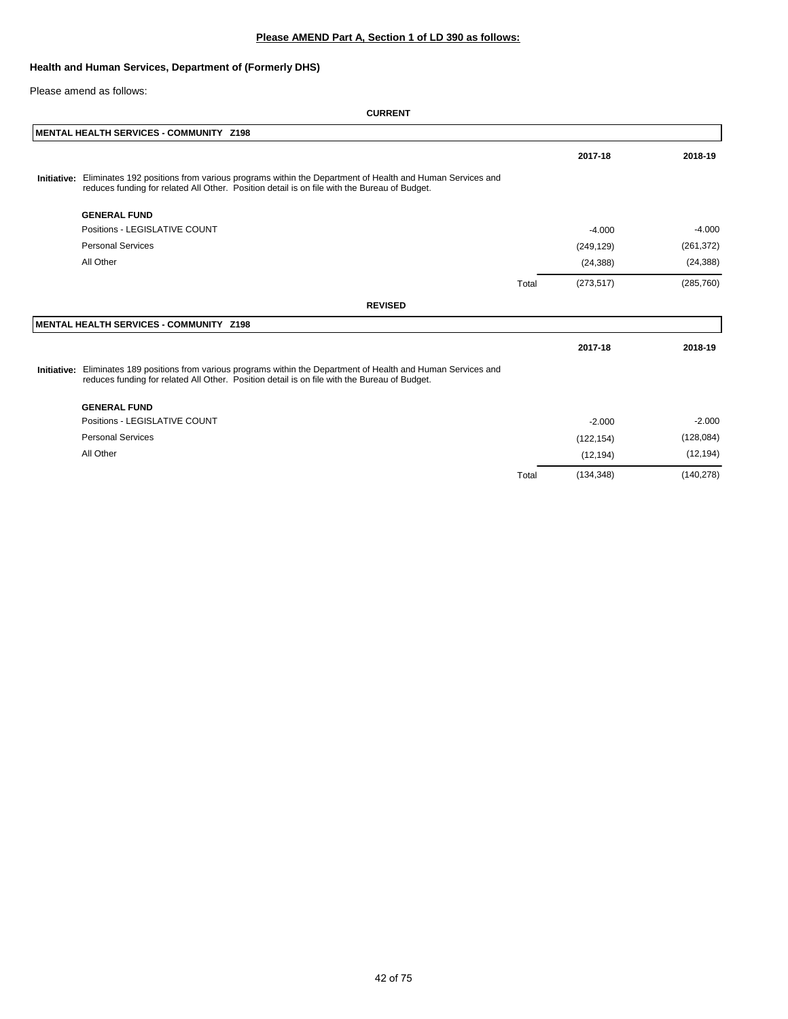### **Health and Human Services, Department of (Formerly DHS)**

#### Please amend as follows:

| MENTAL HEALTH SERVICES - COMMUNITY Z198                                                                                                                                                                           |       |            |            |
|-------------------------------------------------------------------------------------------------------------------------------------------------------------------------------------------------------------------|-------|------------|------------|
|                                                                                                                                                                                                                   |       | 2017-18    | 2018-19    |
| Initiative: Eliminates 192 positions from various programs within the Department of Health and Human Services and<br>reduces funding for related All Other. Position detail is on file with the Bureau of Budget. |       |            |            |
| <b>GENERAL FUND</b>                                                                                                                                                                                               |       |            |            |
| Positions - LEGISLATIVE COUNT                                                                                                                                                                                     |       | $-4.000$   | $-4.000$   |
| <b>Personal Services</b>                                                                                                                                                                                          |       | (249, 129) | (261, 372) |
| All Other                                                                                                                                                                                                         |       | (24, 388)  | (24, 388)  |
|                                                                                                                                                                                                                   | Total | (273, 517) | (285, 760) |
| <b>REVISED</b>                                                                                                                                                                                                    |       |            |            |
| MENTAL HEALTH SERVICES - COMMUNITY Z198                                                                                                                                                                           |       |            |            |
|                                                                                                                                                                                                                   |       | 2017-18    | 2018-19    |
| Initiative: Eliminates 189 positions from various programs within the Department of Health and Human Services and<br>reduces funding for related All Other. Position detail is on file with the Bureau of Budget. |       |            |            |
| <b>GENERAL FUND</b>                                                                                                                                                                                               |       |            |            |
| Positions - LEGISLATIVE COUNT                                                                                                                                                                                     |       | $-2.000$   | $-2.000$   |
| <b>Personal Services</b>                                                                                                                                                                                          |       | (122, 154) | (128, 084) |
| All Other                                                                                                                                                                                                         |       | (12, 194)  | (12, 194)  |
|                                                                                                                                                                                                                   | Total | (134, 348) | (140, 278) |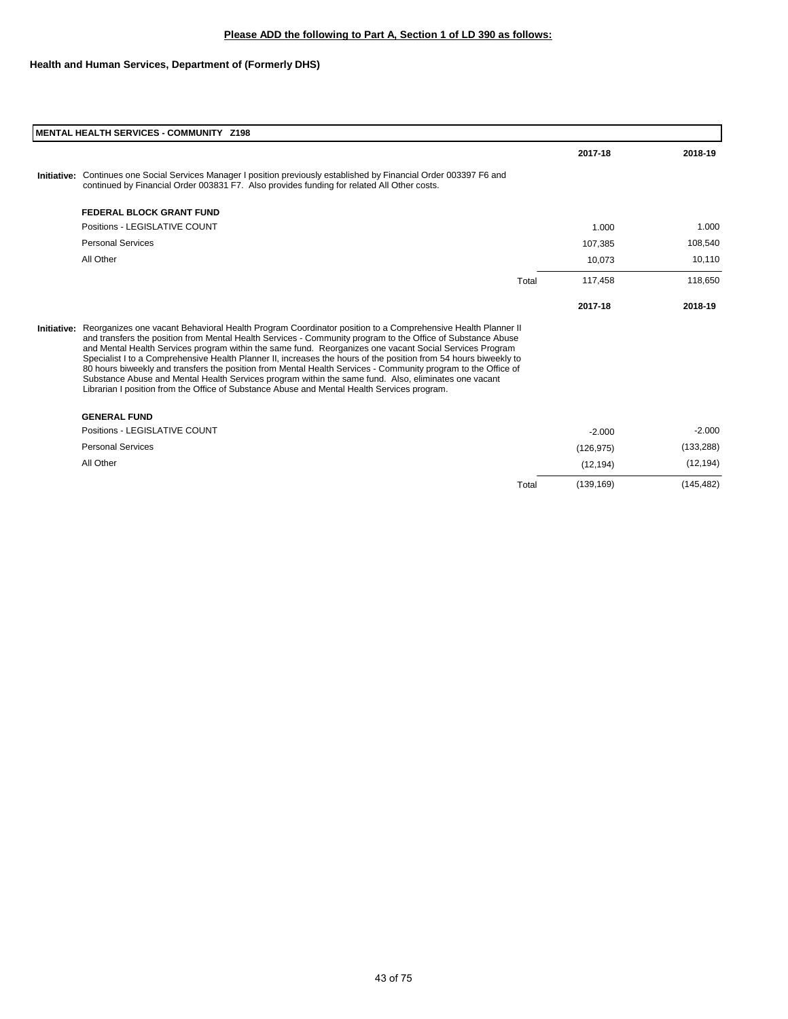| <b>MENTAL HEALTH SERVICES - COMMUNITY Z198</b>                                                                                                                                                                                                                                                                                                                                                                                                                                                                                                                                                                                                                                                                                                                                               |       |            |            |
|----------------------------------------------------------------------------------------------------------------------------------------------------------------------------------------------------------------------------------------------------------------------------------------------------------------------------------------------------------------------------------------------------------------------------------------------------------------------------------------------------------------------------------------------------------------------------------------------------------------------------------------------------------------------------------------------------------------------------------------------------------------------------------------------|-------|------------|------------|
|                                                                                                                                                                                                                                                                                                                                                                                                                                                                                                                                                                                                                                                                                                                                                                                              |       | 2017-18    | 2018-19    |
| Initiative: Continues one Social Services Manager I position previously established by Financial Order 003397 F6 and<br>continued by Financial Order 003831 F7. Also provides funding for related All Other costs.                                                                                                                                                                                                                                                                                                                                                                                                                                                                                                                                                                           |       |            |            |
| <b>FEDERAL BLOCK GRANT FUND</b>                                                                                                                                                                                                                                                                                                                                                                                                                                                                                                                                                                                                                                                                                                                                                              |       |            |            |
| Positions - LEGISLATIVE COUNT                                                                                                                                                                                                                                                                                                                                                                                                                                                                                                                                                                                                                                                                                                                                                                |       | 1.000      | 1.000      |
| <b>Personal Services</b>                                                                                                                                                                                                                                                                                                                                                                                                                                                                                                                                                                                                                                                                                                                                                                     |       | 107,385    | 108,540    |
| All Other                                                                                                                                                                                                                                                                                                                                                                                                                                                                                                                                                                                                                                                                                                                                                                                    |       | 10,073     | 10,110     |
|                                                                                                                                                                                                                                                                                                                                                                                                                                                                                                                                                                                                                                                                                                                                                                                              | Total | 117.458    | 118,650    |
|                                                                                                                                                                                                                                                                                                                                                                                                                                                                                                                                                                                                                                                                                                                                                                                              |       | 2017-18    | 2018-19    |
| Initiative: Reorganizes one vacant Behavioral Health Program Coordinator position to a Comprehensive Health Planner II<br>and transfers the position from Mental Health Services - Community program to the Office of Substance Abuse<br>and Mental Health Services program within the same fund. Reorganizes one vacant Social Services Program<br>Specialist I to a Comprehensive Health Planner II, increases the hours of the position from 54 hours biweekly to<br>80 hours biweekly and transfers the position from Mental Health Services - Community program to the Office of<br>Substance Abuse and Mental Health Services program within the same fund. Also, eliminates one vacant<br>Librarian I position from the Office of Substance Abuse and Mental Health Services program. |       |            |            |
| <b>GENERAL FUND</b>                                                                                                                                                                                                                                                                                                                                                                                                                                                                                                                                                                                                                                                                                                                                                                          |       |            |            |
| Positions - LEGISLATIVE COUNT                                                                                                                                                                                                                                                                                                                                                                                                                                                                                                                                                                                                                                                                                                                                                                |       | $-2.000$   | $-2.000$   |
| <b>Personal Services</b>                                                                                                                                                                                                                                                                                                                                                                                                                                                                                                                                                                                                                                                                                                                                                                     |       | (126, 975) | (133, 288) |
| All Other                                                                                                                                                                                                                                                                                                                                                                                                                                                                                                                                                                                                                                                                                                                                                                                    |       | (12, 194)  | (12, 194)  |
|                                                                                                                                                                                                                                                                                                                                                                                                                                                                                                                                                                                                                                                                                                                                                                                              | Total | (139, 169) | (145, 482) |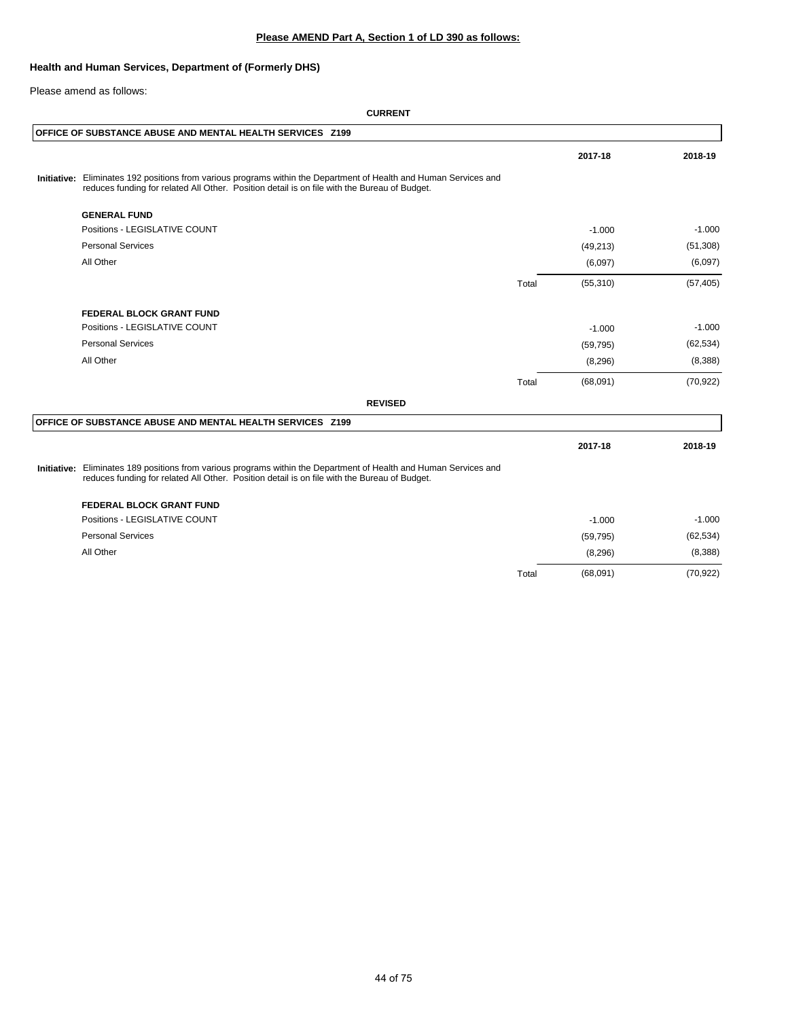### **Health and Human Services, Department of (Formerly DHS)**

Please amend as follows:

#### **CURRENT**

| OFFICE OF SUBSTANCE ABUSE AND MENTAL HEALTH SERVICES Z199                                                                                                                                                         |       |           |           |
|-------------------------------------------------------------------------------------------------------------------------------------------------------------------------------------------------------------------|-------|-----------|-----------|
|                                                                                                                                                                                                                   |       | 2017-18   | 2018-19   |
| Initiative: Eliminates 192 positions from various programs within the Department of Health and Human Services and<br>reduces funding for related All Other. Position detail is on file with the Bureau of Budget. |       |           |           |
| <b>GENERAL FUND</b>                                                                                                                                                                                               |       |           |           |
| Positions - LEGISLATIVE COUNT                                                                                                                                                                                     |       | $-1.000$  | $-1.000$  |
| <b>Personal Services</b>                                                                                                                                                                                          |       | (49, 213) | (51,308)  |
| All Other                                                                                                                                                                                                         |       | (6,097)   | (6,097)   |
|                                                                                                                                                                                                                   | Total | (55, 310) | (57, 405) |
| <b>FEDERAL BLOCK GRANT FUND</b>                                                                                                                                                                                   |       |           |           |
| Positions - LEGISLATIVE COUNT                                                                                                                                                                                     |       | $-1.000$  | $-1.000$  |
| <b>Personal Services</b>                                                                                                                                                                                          |       | (59, 795) | (62, 534) |
| All Other                                                                                                                                                                                                         |       | (8, 296)  | (8,388)   |
|                                                                                                                                                                                                                   | Total | (68,091)  | (70, 922) |
| <b>REVISED</b>                                                                                                                                                                                                    |       |           |           |
| OFFICE OF SUBSTANCE ABUSE AND MENTAL HEALTH SERVICES Z199                                                                                                                                                         |       |           |           |
|                                                                                                                                                                                                                   |       | 2017-18   | 2018-19   |
| Initiative: Eliminates 189 positions from various programs within the Department of Health and Human Services and<br>reduces funding for related All Other. Position detail is on file with the Bureau of Budget. |       |           |           |
| <b>FEDERAL BLOCK GRANT FUND</b>                                                                                                                                                                                   |       |           |           |
| Positions - LEGISLATIVE COUNT                                                                                                                                                                                     |       | $-1.000$  | $-1.000$  |
| <b>Personal Services</b>                                                                                                                                                                                          |       | (59, 795) | (62, 534) |
| All Other                                                                                                                                                                                                         |       | (8, 296)  | (8,388)   |

Total (68,091) (70,922)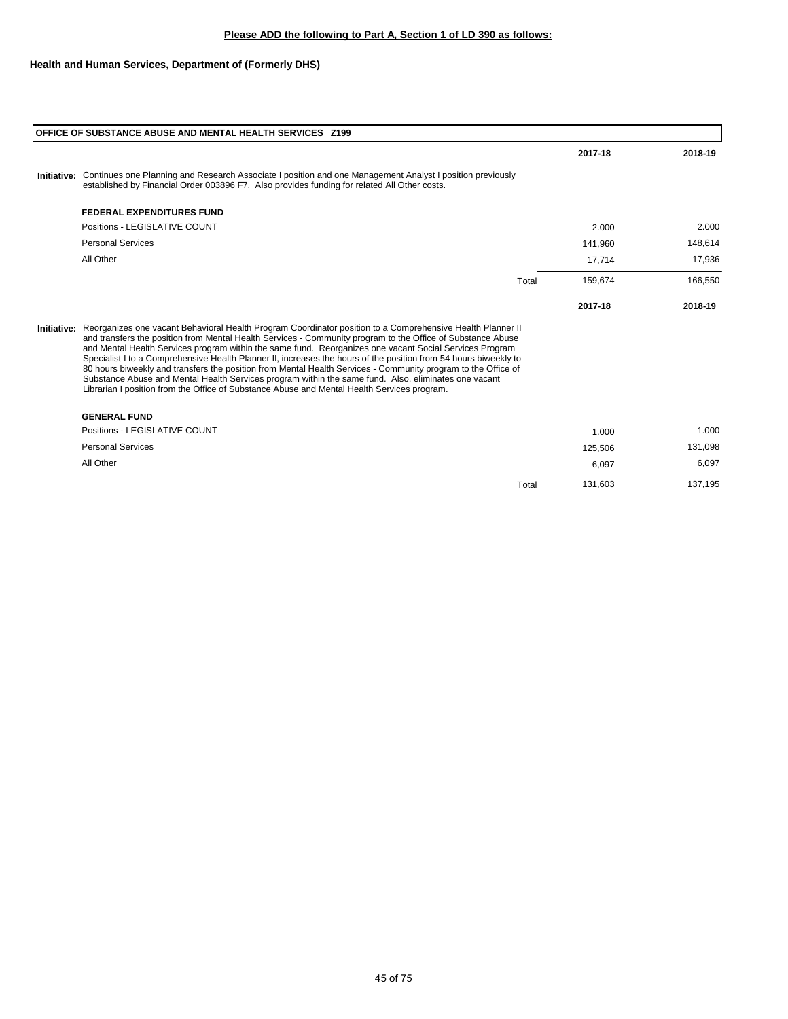## **Health and Human Services, Department of (Formerly DHS)**

| <b>OFFICE OF SUBSTANCE ABUSE AND MENTAL HEALTH SERVICES 2199</b>                                                                                                                                                                                                                                                                                                                                                                                                                                                                                                                                                                                                                                                                                                                             |         |         |
|----------------------------------------------------------------------------------------------------------------------------------------------------------------------------------------------------------------------------------------------------------------------------------------------------------------------------------------------------------------------------------------------------------------------------------------------------------------------------------------------------------------------------------------------------------------------------------------------------------------------------------------------------------------------------------------------------------------------------------------------------------------------------------------------|---------|---------|
|                                                                                                                                                                                                                                                                                                                                                                                                                                                                                                                                                                                                                                                                                                                                                                                              | 2017-18 | 2018-19 |
| Initiative: Continues one Planning and Research Associate I position and one Management Analyst I position previously<br>established by Financial Order 003896 F7. Also provides funding for related All Other costs.                                                                                                                                                                                                                                                                                                                                                                                                                                                                                                                                                                        |         |         |
| <b>FEDERAL EXPENDITURES FUND</b>                                                                                                                                                                                                                                                                                                                                                                                                                                                                                                                                                                                                                                                                                                                                                             |         |         |
| Positions - LEGISLATIVE COUNT                                                                                                                                                                                                                                                                                                                                                                                                                                                                                                                                                                                                                                                                                                                                                                | 2.000   | 2.000   |
| <b>Personal Services</b>                                                                                                                                                                                                                                                                                                                                                                                                                                                                                                                                                                                                                                                                                                                                                                     | 141,960 | 148,614 |
| All Other                                                                                                                                                                                                                                                                                                                                                                                                                                                                                                                                                                                                                                                                                                                                                                                    | 17,714  | 17,936  |
| Total                                                                                                                                                                                                                                                                                                                                                                                                                                                                                                                                                                                                                                                                                                                                                                                        | 159,674 | 166,550 |
|                                                                                                                                                                                                                                                                                                                                                                                                                                                                                                                                                                                                                                                                                                                                                                                              | 2017-18 | 2018-19 |
| Initiative: Reorganizes one vacant Behavioral Health Program Coordinator position to a Comprehensive Health Planner II<br>and transfers the position from Mental Health Services - Community program to the Office of Substance Abuse<br>and Mental Health Services program within the same fund. Reorganizes one vacant Social Services Program<br>Specialist I to a Comprehensive Health Planner II, increases the hours of the position from 54 hours biweekly to<br>80 hours biweekly and transfers the position from Mental Health Services - Community program to the Office of<br>Substance Abuse and Mental Health Services program within the same fund. Also, eliminates one vacant<br>Librarian I position from the Office of Substance Abuse and Mental Health Services program. |         |         |
| <b>GENERAL FUND</b>                                                                                                                                                                                                                                                                                                                                                                                                                                                                                                                                                                                                                                                                                                                                                                          |         |         |
| Positions - LEGISLATIVE COUNT                                                                                                                                                                                                                                                                                                                                                                                                                                                                                                                                                                                                                                                                                                                                                                | 1.000   | 1.000   |
| <b>Personal Services</b>                                                                                                                                                                                                                                                                                                                                                                                                                                                                                                                                                                                                                                                                                                                                                                     | 125,506 | 131,098 |
| All Other                                                                                                                                                                                                                                                                                                                                                                                                                                                                                                                                                                                                                                                                                                                                                                                    | 6,097   | 6,097   |

Total 131,603 137,195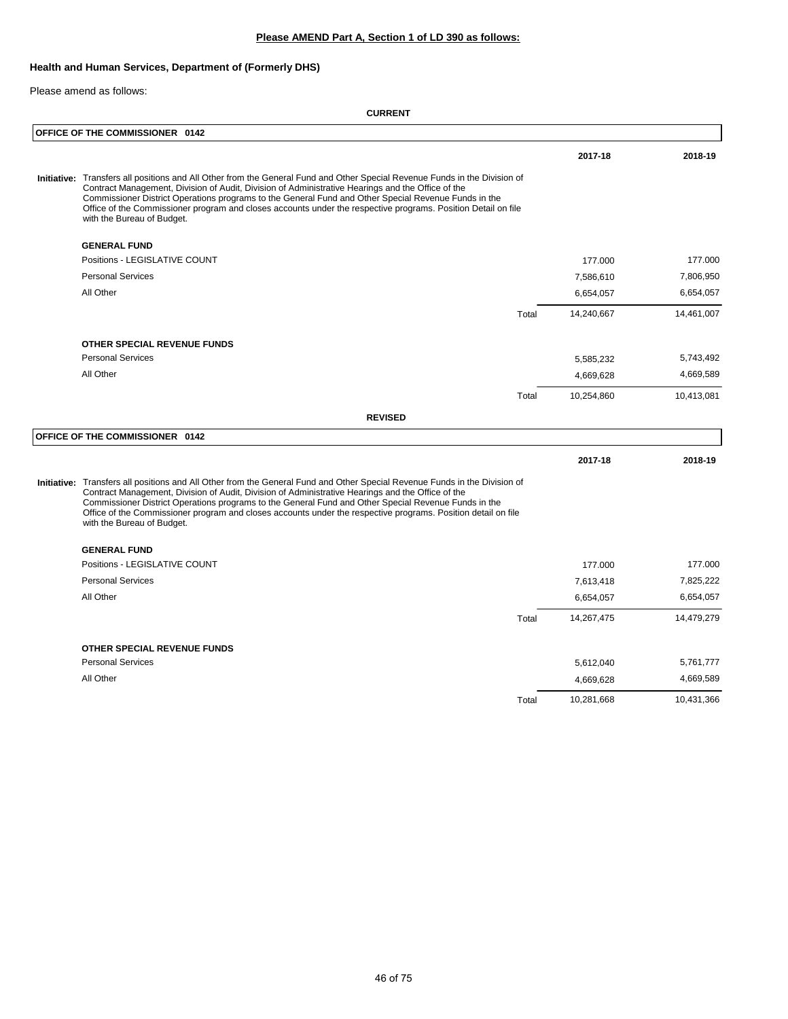## **Health and Human Services, Department of (Formerly DHS)**

#### Please amend as follows:

|  | OFFICE OF THE COMMISSIONER 0142                                                                                                                                                                                                                                                                                                                                                                                                                                                        |       |            |            |
|--|----------------------------------------------------------------------------------------------------------------------------------------------------------------------------------------------------------------------------------------------------------------------------------------------------------------------------------------------------------------------------------------------------------------------------------------------------------------------------------------|-------|------------|------------|
|  |                                                                                                                                                                                                                                                                                                                                                                                                                                                                                        |       | 2017-18    | 2018-19    |
|  | Initiative: Transfers all positions and All Other from the General Fund and Other Special Revenue Funds in the Division of<br>Contract Management, Division of Audit, Division of Administrative Hearings and the Office of the<br>Commissioner District Operations programs to the General Fund and Other Special Revenue Funds in the<br>Office of the Commissioner program and closes accounts under the respective programs. Position Detail on file<br>with the Bureau of Budget. |       |            |            |
|  | <b>GENERAL FUND</b>                                                                                                                                                                                                                                                                                                                                                                                                                                                                    |       |            |            |
|  | Positions - LEGISLATIVE COUNT                                                                                                                                                                                                                                                                                                                                                                                                                                                          |       | 177.000    | 177.000    |
|  | <b>Personal Services</b>                                                                                                                                                                                                                                                                                                                                                                                                                                                               |       | 7,586,610  | 7,806,950  |
|  | All Other                                                                                                                                                                                                                                                                                                                                                                                                                                                                              |       | 6,654,057  | 6,654,057  |
|  |                                                                                                                                                                                                                                                                                                                                                                                                                                                                                        | Total | 14,240,667 | 14,461,007 |
|  | OTHER SPECIAL REVENUE FUNDS                                                                                                                                                                                                                                                                                                                                                                                                                                                            |       |            |            |
|  | <b>Personal Services</b>                                                                                                                                                                                                                                                                                                                                                                                                                                                               |       | 5,585,232  | 5,743,492  |
|  | All Other                                                                                                                                                                                                                                                                                                                                                                                                                                                                              |       | 4,669,628  | 4,669,589  |
|  |                                                                                                                                                                                                                                                                                                                                                                                                                                                                                        | Total | 10,254,860 | 10,413,081 |
|  | <b>REVISED</b>                                                                                                                                                                                                                                                                                                                                                                                                                                                                         |       |            |            |
|  | OFFICE OF THE COMMISSIONER 0142                                                                                                                                                                                                                                                                                                                                                                                                                                                        |       |            |            |
|  |                                                                                                                                                                                                                                                                                                                                                                                                                                                                                        |       | 2017-18    | 2018-19    |
|  | Initiative: Transfers all positions and All Other from the General Fund and Other Special Revenue Funds in the Division of<br>Contract Management, Division of Audit, Division of Administrative Hearings and the Office of the<br>Commissioner District Operations programs to the General Fund and Other Special Revenue Funds in the<br>Office of the Commissioner program and closes accounts under the respective programs. Position detail on file<br>with the Bureau of Budget. |       |            |            |
|  | <b>GENERAL FUND</b>                                                                                                                                                                                                                                                                                                                                                                                                                                                                    |       |            |            |
|  | Positions - LEGISLATIVE COUNT                                                                                                                                                                                                                                                                                                                                                                                                                                                          |       | 177.000    | 177.000    |
|  | <b>Personal Services</b>                                                                                                                                                                                                                                                                                                                                                                                                                                                               |       | 7,613,418  | 7,825,222  |
|  | All Other                                                                                                                                                                                                                                                                                                                                                                                                                                                                              |       | 6,654,057  | 6,654,057  |
|  |                                                                                                                                                                                                                                                                                                                                                                                                                                                                                        | Total | 14,267,475 | 14,479,279 |
|  | OTHER SPECIAL REVENUE FUNDS                                                                                                                                                                                                                                                                                                                                                                                                                                                            |       |            |            |
|  | <b>Personal Services</b>                                                                                                                                                                                                                                                                                                                                                                                                                                                               |       | 5,612,040  | 5,761,777  |
|  | All Other                                                                                                                                                                                                                                                                                                                                                                                                                                                                              |       | 4,669,628  | 4,669,589  |
|  |                                                                                                                                                                                                                                                                                                                                                                                                                                                                                        | Total | 10,281,668 | 10,431,366 |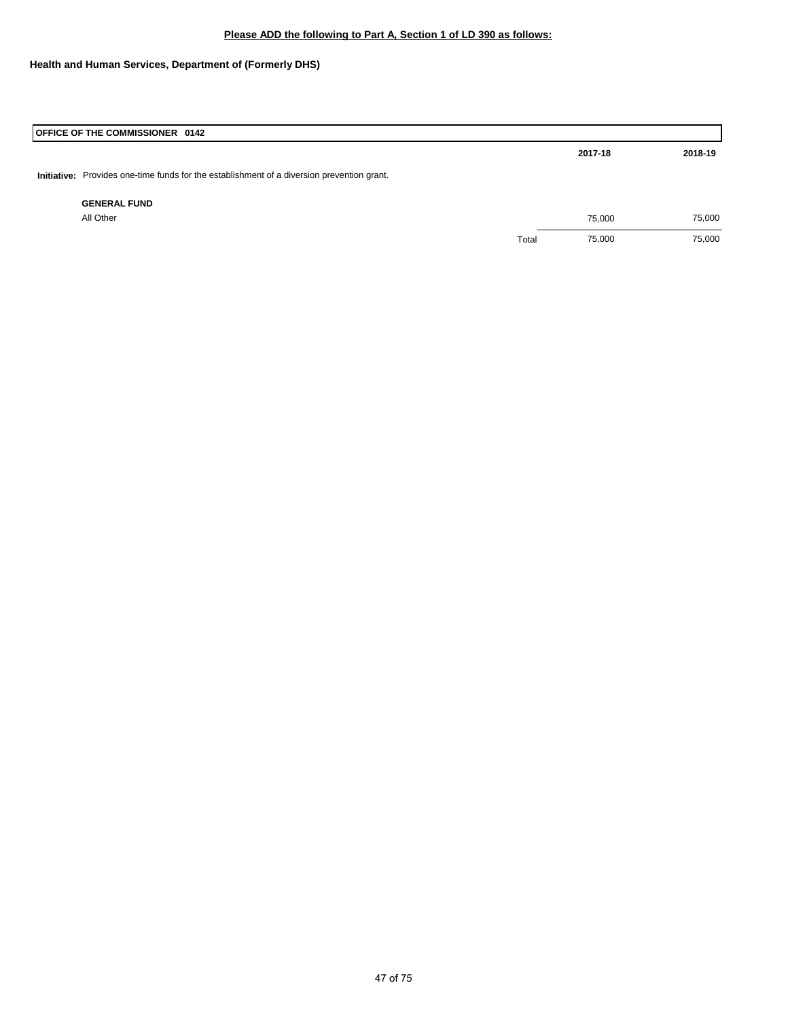**Health and Human Services, Department of (Formerly DHS)**

| OFFICE OF THE COMMISSIONER 0142                                                            |       |         |         |
|--------------------------------------------------------------------------------------------|-------|---------|---------|
|                                                                                            |       | 2017-18 | 2018-19 |
| Initiative: Provides one-time funds for the establishment of a diversion prevention grant. |       |         |         |
| <b>GENERAL FUND</b>                                                                        |       |         |         |
| All Other                                                                                  |       | 75,000  | 75,000  |
|                                                                                            | Total | 75,000  | 75,000  |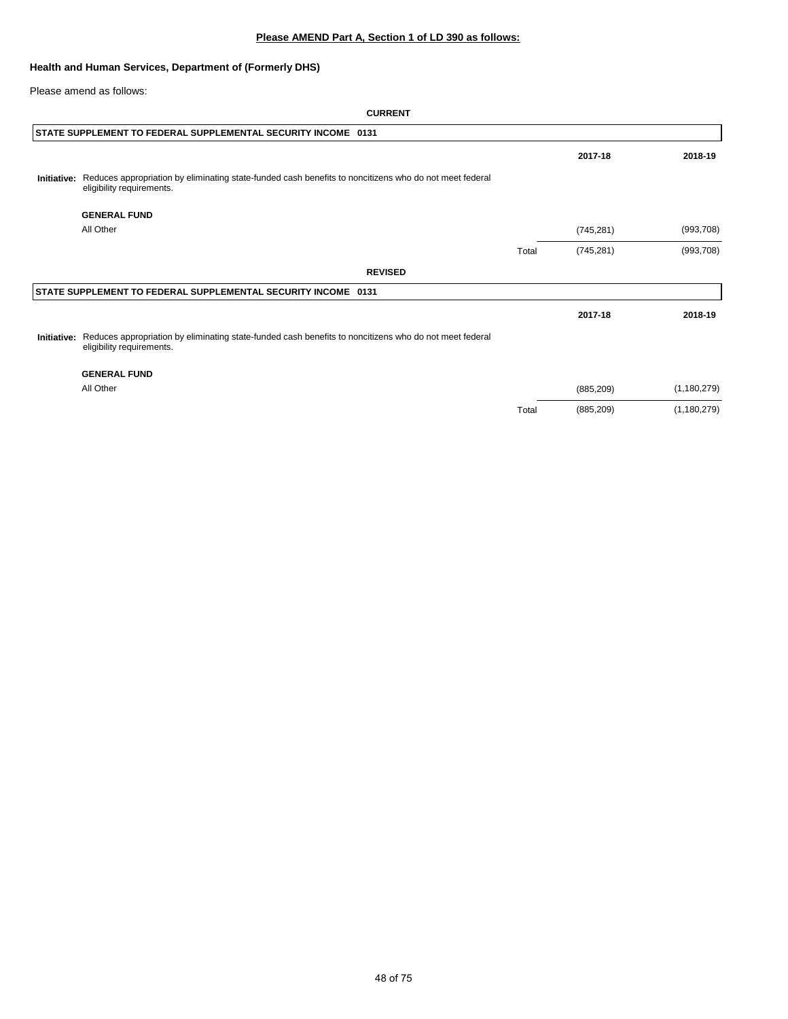### **Health and Human Services, Department of (Formerly DHS)**

Please amend as follows:

#### **CURRENT**

| STATE SUPPLEMENT TO FEDERAL SUPPLEMENTAL SECURITY INCOME 0131                                                                                   |       |            |               |
|-------------------------------------------------------------------------------------------------------------------------------------------------|-------|------------|---------------|
|                                                                                                                                                 |       | 2017-18    | 2018-19       |
| Initiative: Reduces appropriation by eliminating state-funded cash benefits to noncitizens who do not meet federal<br>eligibility requirements. |       |            |               |
| <b>GENERAL FUND</b>                                                                                                                             |       |            |               |
| All Other                                                                                                                                       |       | (745, 281) | (993, 708)    |
|                                                                                                                                                 | Total | (745, 281) | (993, 708)    |
| <b>REVISED</b>                                                                                                                                  |       |            |               |
| STATE SUPPLEMENT TO FEDERAL SUPPLEMENTAL SECURITY INCOME 0131                                                                                   |       |            |               |
|                                                                                                                                                 |       | 2017-18    | 2018-19       |
| Initiative: Reduces appropriation by eliminating state-funded cash benefits to noncitizens who do not meet federal<br>eligibility requirements. |       |            |               |
| <b>GENERAL FUND</b>                                                                                                                             |       |            |               |
| All Other                                                                                                                                       |       | (885, 209) | (1, 180, 279) |

Total (885,209) (1,180,279)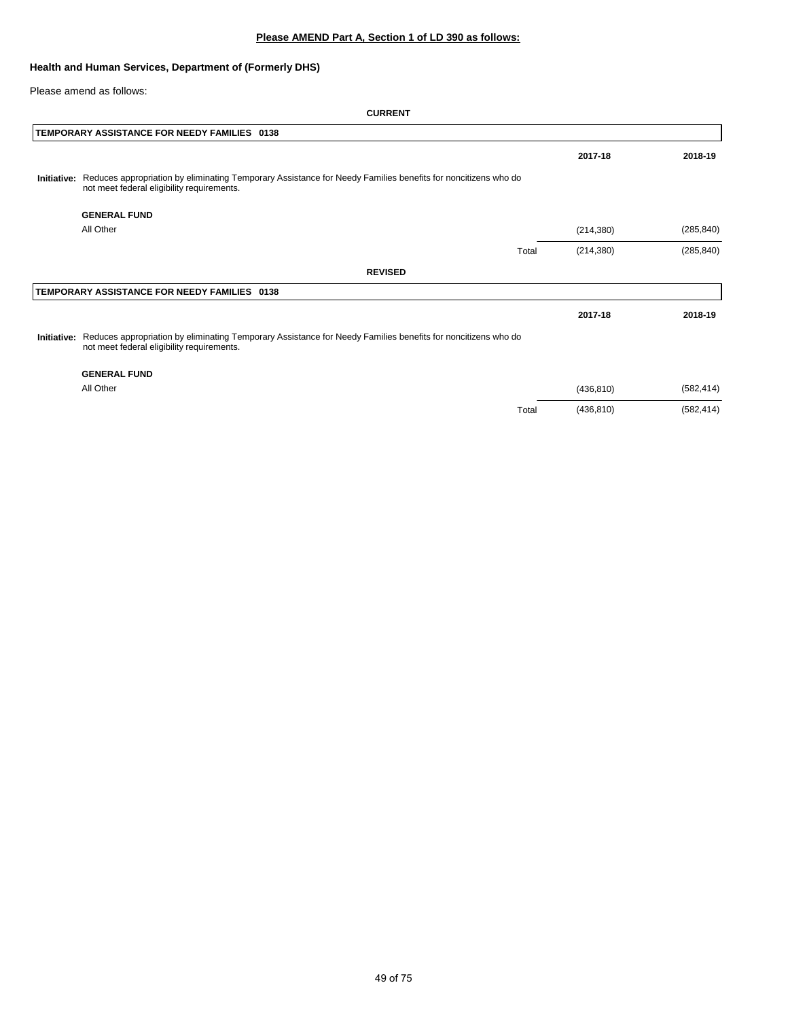### **Health and Human Services, Department of (Formerly DHS)**

Please amend as follows:

#### **CURRENT**

|             | TEMPORARY ASSISTANCE FOR NEEDY FAMILIES 0138                                                                                                                           |            |            |
|-------------|------------------------------------------------------------------------------------------------------------------------------------------------------------------------|------------|------------|
|             |                                                                                                                                                                        | 2017-18    | 2018-19    |
| Initiative: | Reduces appropriation by eliminating Temporary Assistance for Needy Families benefits for noncitizens who do<br>not meet federal eligibility requirements.             |            |            |
|             | <b>GENERAL FUND</b>                                                                                                                                                    |            |            |
|             | All Other                                                                                                                                                              | (214, 380) | (285, 840) |
|             | Total                                                                                                                                                                  | (214, 380) | (285, 840) |
|             | <b>REVISED</b>                                                                                                                                                         |            |            |
|             | TEMPORARY ASSISTANCE FOR NEEDY FAMILIES 0138                                                                                                                           |            |            |
|             |                                                                                                                                                                        | 2017-18    | 2018-19    |
|             | Initiative: Reduces appropriation by eliminating Temporary Assistance for Needy Families benefits for noncitizens who do<br>not meet federal eligibility requirements. |            |            |
|             | <b>GENERAL FUND</b>                                                                                                                                                    |            |            |
|             | All Other                                                                                                                                                              | (436, 810) | (582, 414) |

Total (436,810) (582,414)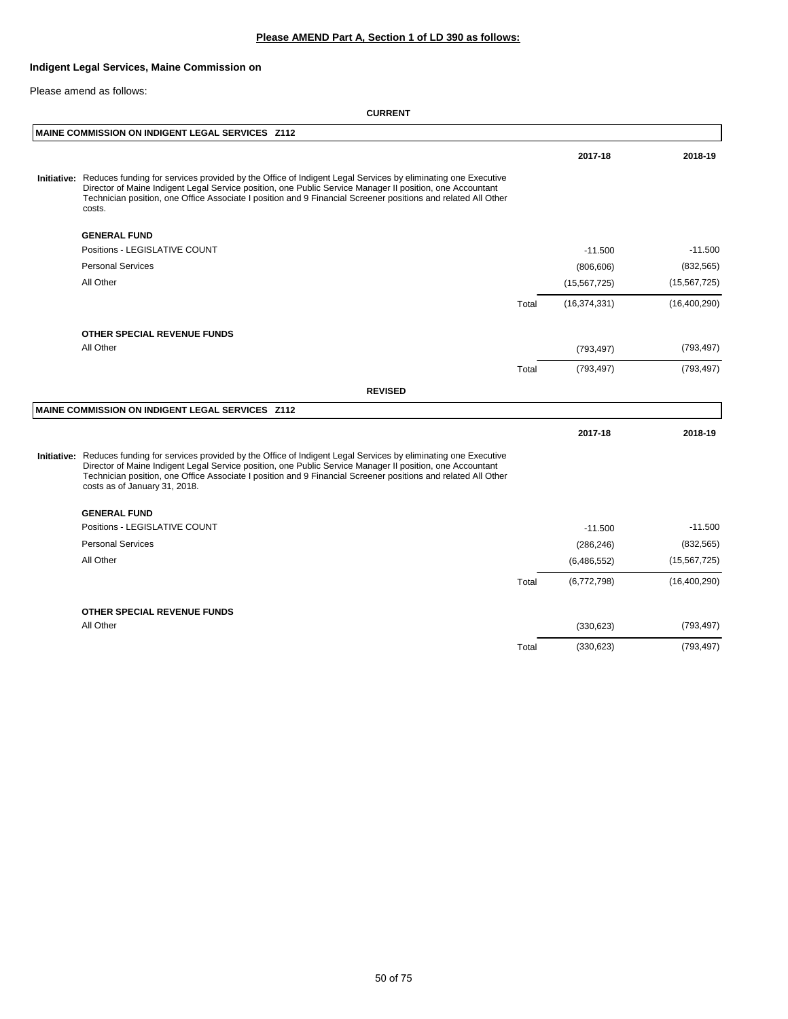### **Indigent Legal Services, Maine Commission on**

Please amend as follows:

|                                                                                                                                                                                                                                                                                                                                                                                        |       | 2017-18        | 2018-19        |
|----------------------------------------------------------------------------------------------------------------------------------------------------------------------------------------------------------------------------------------------------------------------------------------------------------------------------------------------------------------------------------------|-------|----------------|----------------|
| Initiative: Reduces funding for services provided by the Office of Indigent Legal Services by eliminating one Executive<br>Director of Maine Indigent Legal Service position, one Public Service Manager II position, one Accountant<br>Technician position, one Office Associate I position and 9 Financial Screener positions and related All Other<br>costs.                        |       |                |                |
| <b>GENERAL FUND</b>                                                                                                                                                                                                                                                                                                                                                                    |       |                |                |
| Positions - LEGISLATIVE COUNT                                                                                                                                                                                                                                                                                                                                                          |       | $-11.500$      | $-11.500$      |
| <b>Personal Services</b>                                                                                                                                                                                                                                                                                                                                                               |       | (806, 606)     | (832, 565)     |
| All Other                                                                                                                                                                                                                                                                                                                                                                              |       | (15, 567, 725) | (15, 567, 725) |
|                                                                                                                                                                                                                                                                                                                                                                                        | Total | (16, 374, 331) | (16, 400, 290) |
| <b>OTHER SPECIAL REVENUE FUNDS</b>                                                                                                                                                                                                                                                                                                                                                     |       |                |                |
| All Other                                                                                                                                                                                                                                                                                                                                                                              |       | (793, 497)     | (793, 497)     |
|                                                                                                                                                                                                                                                                                                                                                                                        | Total | (793, 497)     | (793, 497)     |
| <b>REVISED</b>                                                                                                                                                                                                                                                                                                                                                                         |       |                |                |
| MAINE COMMISSION ON INDIGENT LEGAL SERVICES Z112                                                                                                                                                                                                                                                                                                                                       |       |                |                |
|                                                                                                                                                                                                                                                                                                                                                                                        |       | 2017-18        | 2018-19        |
| Initiative: Reduces funding for services provided by the Office of Indigent Legal Services by eliminating one Executive<br>Director of Maine Indigent Legal Service position, one Public Service Manager II position, one Accountant<br>Technician position, one Office Associate I position and 9 Financial Screener positions and related All Other<br>costs as of January 31, 2018. |       |                |                |
| <b>GENERAL FUND</b>                                                                                                                                                                                                                                                                                                                                                                    |       |                |                |
| Positions - LEGISLATIVE COUNT                                                                                                                                                                                                                                                                                                                                                          |       | $-11.500$      | $-11.500$      |
| <b>Personal Services</b>                                                                                                                                                                                                                                                                                                                                                               |       | (286, 246)     | (832, 565)     |
| All Other                                                                                                                                                                                                                                                                                                                                                                              |       | (6,486,552)    | (15, 567, 725) |
|                                                                                                                                                                                                                                                                                                                                                                                        | Total | (6,772,798)    | (16, 400, 290) |
| OTHER SPECIAL REVENUE FUNDS                                                                                                                                                                                                                                                                                                                                                            |       |                |                |
| All Other                                                                                                                                                                                                                                                                                                                                                                              |       | (330, 623)     | (793, 497)     |
|                                                                                                                                                                                                                                                                                                                                                                                        | Total | (330, 623)     | (793, 497)     |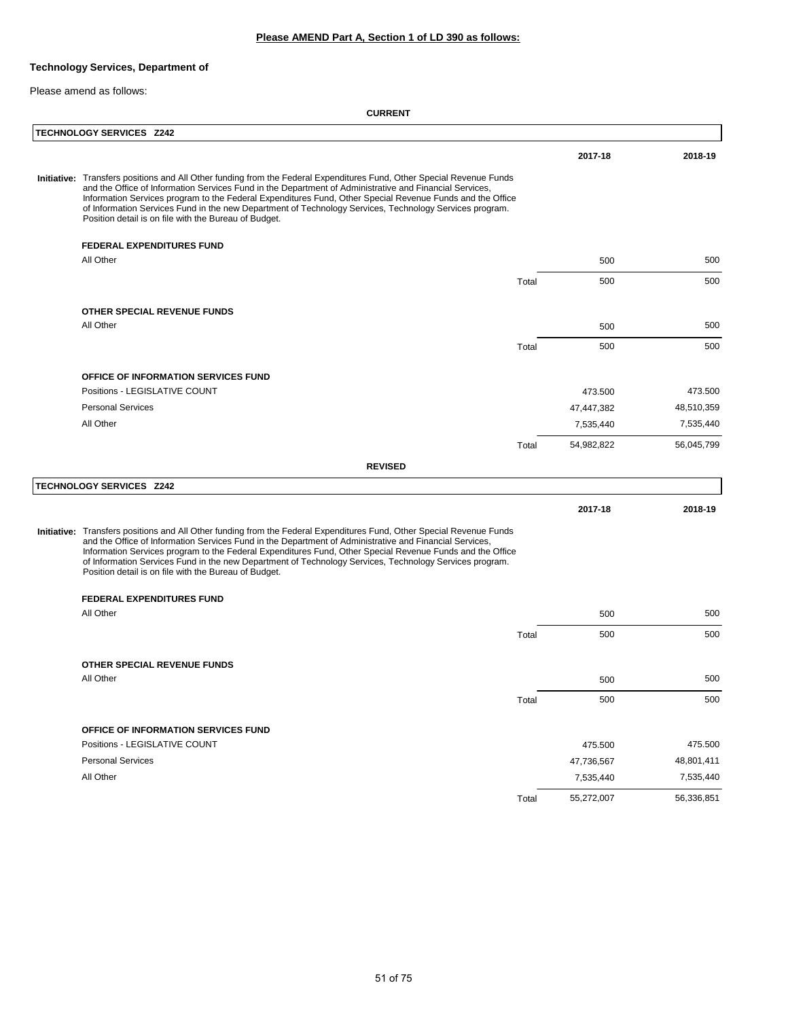### **Technology Services, Department of**

Please amend as follows:

| <b>TECHNOLOGY SERVICES Z242</b>                                                                                                                                                                                                                                                                                                                                                                                                                                                                                   |       |            |            |
|-------------------------------------------------------------------------------------------------------------------------------------------------------------------------------------------------------------------------------------------------------------------------------------------------------------------------------------------------------------------------------------------------------------------------------------------------------------------------------------------------------------------|-------|------------|------------|
|                                                                                                                                                                                                                                                                                                                                                                                                                                                                                                                   |       | 2017-18    | 2018-19    |
| Initiative: Transfers positions and All Other funding from the Federal Expenditures Fund, Other Special Revenue Funds<br>and the Office of Information Services Fund in the Department of Administrative and Financial Services,<br>Information Services program to the Federal Expenditures Fund, Other Special Revenue Funds and the Office<br>of Information Services Fund in the new Department of Technology Services, Technology Services program.<br>Position detail is on file with the Bureau of Budget. |       |            |            |
| <b>FEDERAL EXPENDITURES FUND</b>                                                                                                                                                                                                                                                                                                                                                                                                                                                                                  |       |            |            |
| All Other                                                                                                                                                                                                                                                                                                                                                                                                                                                                                                         |       | 500        | 500        |
|                                                                                                                                                                                                                                                                                                                                                                                                                                                                                                                   | Total | 500        | 500        |
| OTHER SPECIAL REVENUE FUNDS                                                                                                                                                                                                                                                                                                                                                                                                                                                                                       |       |            |            |
| All Other                                                                                                                                                                                                                                                                                                                                                                                                                                                                                                         |       | 500        | 500        |
|                                                                                                                                                                                                                                                                                                                                                                                                                                                                                                                   | Total | 500        | 500        |
| OFFICE OF INFORMATION SERVICES FUND                                                                                                                                                                                                                                                                                                                                                                                                                                                                               |       |            |            |
| Positions - LEGISLATIVE COUNT                                                                                                                                                                                                                                                                                                                                                                                                                                                                                     |       | 473.500    | 473.500    |
| <b>Personal Services</b>                                                                                                                                                                                                                                                                                                                                                                                                                                                                                          |       | 47,447,382 | 48,510,359 |
| All Other                                                                                                                                                                                                                                                                                                                                                                                                                                                                                                         |       | 7,535,440  | 7,535,440  |
|                                                                                                                                                                                                                                                                                                                                                                                                                                                                                                                   | Total | 54,982,822 | 56,045,799 |
| <b>REVISED</b>                                                                                                                                                                                                                                                                                                                                                                                                                                                                                                    |       |            |            |
| <b>TECHNOLOGY SERVICES Z242</b>                                                                                                                                                                                                                                                                                                                                                                                                                                                                                   |       |            |            |
|                                                                                                                                                                                                                                                                                                                                                                                                                                                                                                                   |       | 2017-18    | 2018-19    |
| Initiative: Transfers positions and All Other funding from the Federal Expenditures Fund, Other Special Revenue Funds<br>and the Office of Information Services Fund in the Department of Administrative and Financial Services,<br>Information Services program to the Federal Expenditures Fund, Other Special Revenue Funds and the Office<br>of Information Services Fund in the new Department of Technology Services, Technology Services program.<br>Position detail is on file with the Bureau of Budget. |       |            |            |
| <b>FEDERAL EXPENDITURES FUND</b>                                                                                                                                                                                                                                                                                                                                                                                                                                                                                  |       |            |            |
| All Other                                                                                                                                                                                                                                                                                                                                                                                                                                                                                                         |       | 500        | 500        |
|                                                                                                                                                                                                                                                                                                                                                                                                                                                                                                                   | Total | 500        | 500        |
| OTHER SPECIAL REVENUE FUNDS                                                                                                                                                                                                                                                                                                                                                                                                                                                                                       |       |            |            |
| All Other                                                                                                                                                                                                                                                                                                                                                                                                                                                                                                         |       | 500        | 500        |
|                                                                                                                                                                                                                                                                                                                                                                                                                                                                                                                   | Total | 500        | 500        |
| OFFICE OF INFORMATION SERVICES FUND                                                                                                                                                                                                                                                                                                                                                                                                                                                                               |       |            |            |
| Positions - LEGISLATIVE COUNT                                                                                                                                                                                                                                                                                                                                                                                                                                                                                     |       | 475.500    | 475.500    |
| <b>Personal Services</b>                                                                                                                                                                                                                                                                                                                                                                                                                                                                                          |       | 47,736,567 | 48,801,411 |
| All Other                                                                                                                                                                                                                                                                                                                                                                                                                                                                                                         |       | 7,535,440  | 7,535,440  |
|                                                                                                                                                                                                                                                                                                                                                                                                                                                                                                                   | Total | 55,272,007 | 56,336,851 |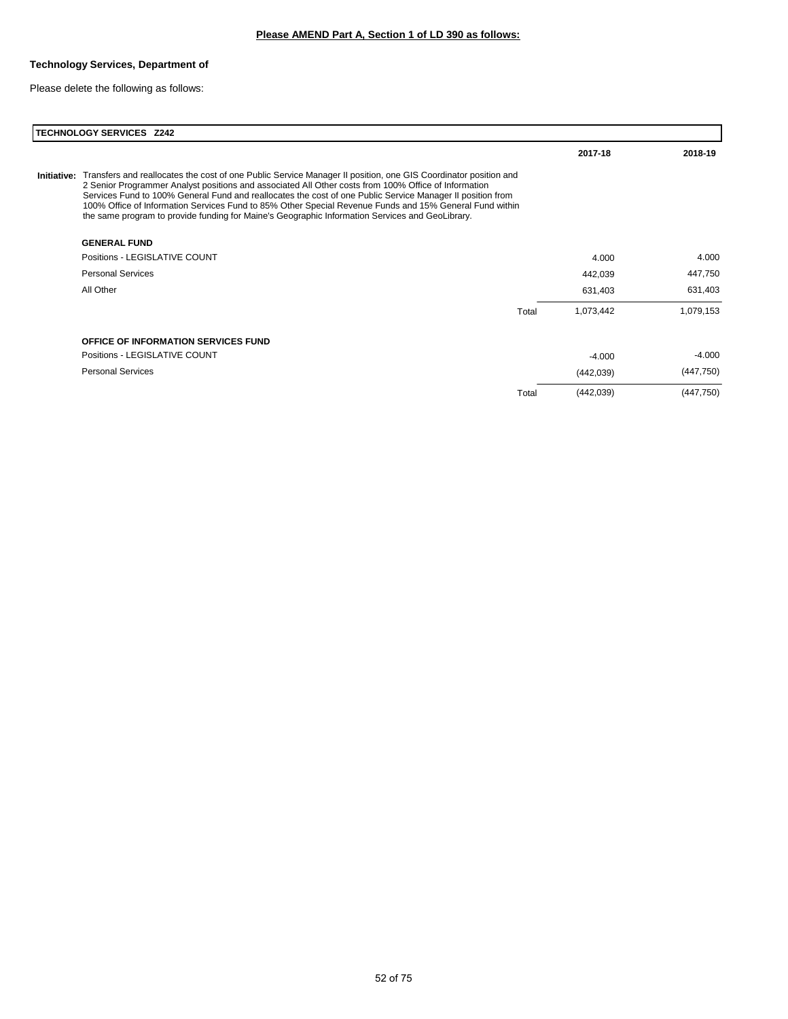## **Technology Services, Department of**

Please delete the following as follows:

| <b>TECHNOLOGY SERVICES Z242</b>                                                                                                                                                                                                                                                                                                                                                                                                                                                                                                                                |       |            |            |  |  |
|----------------------------------------------------------------------------------------------------------------------------------------------------------------------------------------------------------------------------------------------------------------------------------------------------------------------------------------------------------------------------------------------------------------------------------------------------------------------------------------------------------------------------------------------------------------|-------|------------|------------|--|--|
|                                                                                                                                                                                                                                                                                                                                                                                                                                                                                                                                                                |       | 2017-18    | 2018-19    |  |  |
| Initiative: Transfers and reallocates the cost of one Public Service Manager II position, one GIS Coordinator position and<br>2 Senior Programmer Analyst positions and associated All Other costs from 100% Office of Information<br>Services Fund to 100% General Fund and reallocates the cost of one Public Service Manager II position from<br>100% Office of Information Services Fund to 85% Other Special Revenue Funds and 15% General Fund within<br>the same program to provide funding for Maine's Geographic Information Services and GeoLibrary. |       |            |            |  |  |
| <b>GENERAL FUND</b>                                                                                                                                                                                                                                                                                                                                                                                                                                                                                                                                            |       |            |            |  |  |
| Positions - LEGISLATIVE COUNT                                                                                                                                                                                                                                                                                                                                                                                                                                                                                                                                  |       | 4.000      | 4.000      |  |  |
| <b>Personal Services</b>                                                                                                                                                                                                                                                                                                                                                                                                                                                                                                                                       |       | 442,039    | 447,750    |  |  |
| All Other                                                                                                                                                                                                                                                                                                                                                                                                                                                                                                                                                      |       | 631,403    | 631,403    |  |  |
|                                                                                                                                                                                                                                                                                                                                                                                                                                                                                                                                                                | Total | 1,073,442  | 1,079,153  |  |  |
| <b>OFFICE OF INFORMATION SERVICES FUND</b>                                                                                                                                                                                                                                                                                                                                                                                                                                                                                                                     |       |            |            |  |  |
| Positions - LEGISLATIVE COUNT                                                                                                                                                                                                                                                                                                                                                                                                                                                                                                                                  |       | $-4.000$   | $-4.000$   |  |  |
| <b>Personal Services</b>                                                                                                                                                                                                                                                                                                                                                                                                                                                                                                                                       |       | (442, 039) | (447, 750) |  |  |
|                                                                                                                                                                                                                                                                                                                                                                                                                                                                                                                                                                | Total | (442, 039) | (447, 750) |  |  |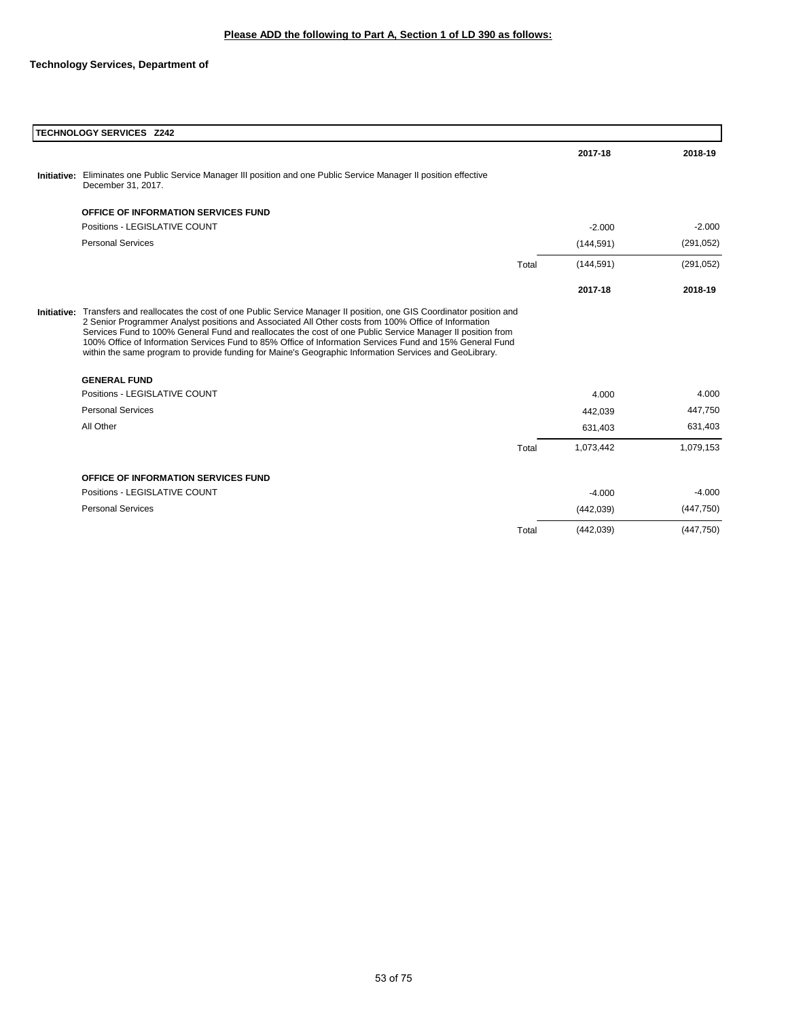### **Technology Services, Department of**

| <b>TECHNOLOGY SERVICES Z242</b>                                                                                                                                                                                                                                                                                                                                                                                                                                                                                                                                        |       |            |            |
|------------------------------------------------------------------------------------------------------------------------------------------------------------------------------------------------------------------------------------------------------------------------------------------------------------------------------------------------------------------------------------------------------------------------------------------------------------------------------------------------------------------------------------------------------------------------|-------|------------|------------|
|                                                                                                                                                                                                                                                                                                                                                                                                                                                                                                                                                                        |       | 2017-18    | 2018-19    |
| Initiative: Eliminates one Public Service Manager III position and one Public Service Manager II position effective<br>December 31, 2017.                                                                                                                                                                                                                                                                                                                                                                                                                              |       |            |            |
| OFFICE OF INFORMATION SERVICES FUND                                                                                                                                                                                                                                                                                                                                                                                                                                                                                                                                    |       |            |            |
| Positions - LEGISLATIVE COUNT                                                                                                                                                                                                                                                                                                                                                                                                                                                                                                                                          |       | $-2.000$   | $-2.000$   |
| <b>Personal Services</b>                                                                                                                                                                                                                                                                                                                                                                                                                                                                                                                                               |       | (144, 591) | (291, 052) |
|                                                                                                                                                                                                                                                                                                                                                                                                                                                                                                                                                                        | Total | (144, 591) | (291, 052) |
|                                                                                                                                                                                                                                                                                                                                                                                                                                                                                                                                                                        |       | 2017-18    | 2018-19    |
| Initiative: Transfers and reallocates the cost of one Public Service Manager II position, one GIS Coordinator position and<br>2 Senior Programmer Analyst positions and Associated All Other costs from 100% Office of Information<br>Services Fund to 100% General Fund and reallocates the cost of one Public Service Manager II position from<br>100% Office of Information Services Fund to 85% Office of Information Services Fund and 15% General Fund<br>within the same program to provide funding for Maine's Geographic Information Services and GeoLibrary. |       |            |            |
| <b>GENERAL FUND</b>                                                                                                                                                                                                                                                                                                                                                                                                                                                                                                                                                    |       |            |            |
| Positions - LEGISLATIVE COUNT                                                                                                                                                                                                                                                                                                                                                                                                                                                                                                                                          |       | 4.000      | 4.000      |
| <b>Personal Services</b>                                                                                                                                                                                                                                                                                                                                                                                                                                                                                                                                               |       | 442,039    | 447,750    |
| All Other                                                                                                                                                                                                                                                                                                                                                                                                                                                                                                                                                              |       | 631,403    | 631,403    |
|                                                                                                                                                                                                                                                                                                                                                                                                                                                                                                                                                                        | Total | 1,073,442  | 1,079,153  |
| OFFICE OF INFORMATION SERVICES FUND                                                                                                                                                                                                                                                                                                                                                                                                                                                                                                                                    |       |            |            |
| Positions - LEGISLATIVE COUNT                                                                                                                                                                                                                                                                                                                                                                                                                                                                                                                                          |       | $-4.000$   | $-4.000$   |
| <b>Personal Services</b>                                                                                                                                                                                                                                                                                                                                                                                                                                                                                                                                               |       | (442, 039) | (447,750)  |
|                                                                                                                                                                                                                                                                                                                                                                                                                                                                                                                                                                        | Total | (442, 039) | (447,750)  |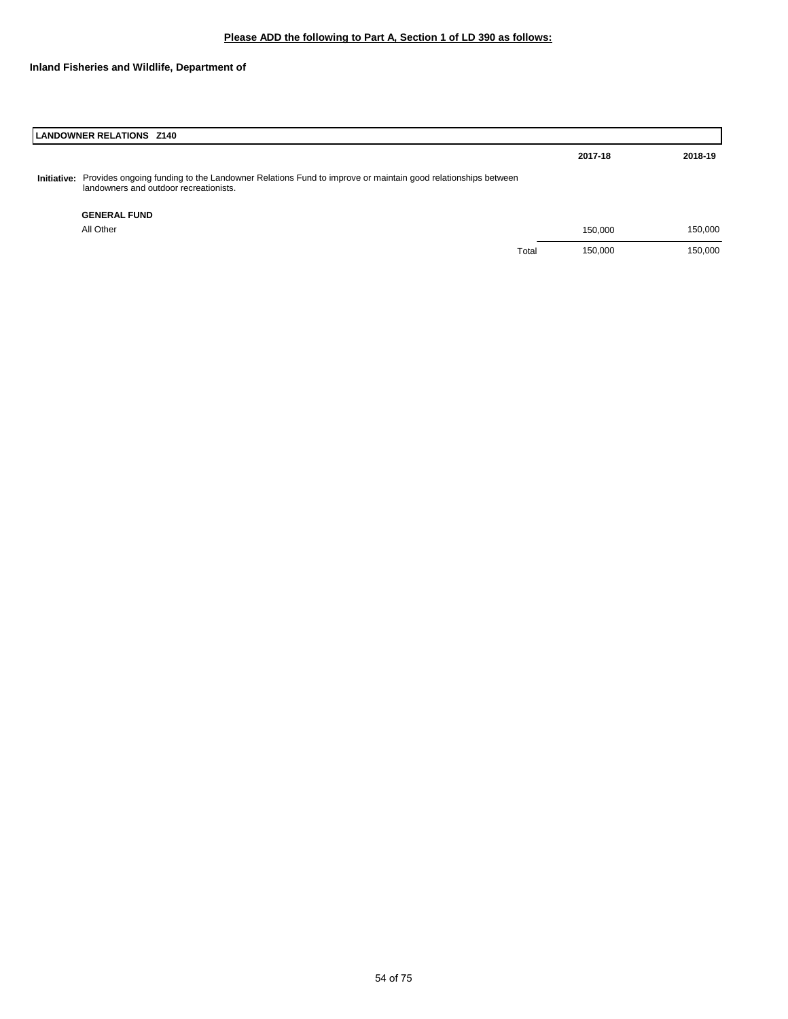## **Inland Fisheries and Wildlife, Department of**

| <b>LANDOWNER RELATIONS Z140</b>                                                                                                                                  |       |         |         |
|------------------------------------------------------------------------------------------------------------------------------------------------------------------|-------|---------|---------|
|                                                                                                                                                                  |       | 2017-18 | 2018-19 |
| Initiative: Provides ongoing funding to the Landowner Relations Fund to improve or maintain good relationships between<br>landowners and outdoor recreationists. |       |         |         |
| <b>GENERAL FUND</b>                                                                                                                                              |       |         |         |
| All Other                                                                                                                                                        |       | 150.000 | 150,000 |
|                                                                                                                                                                  | Total | 150,000 | 150,000 |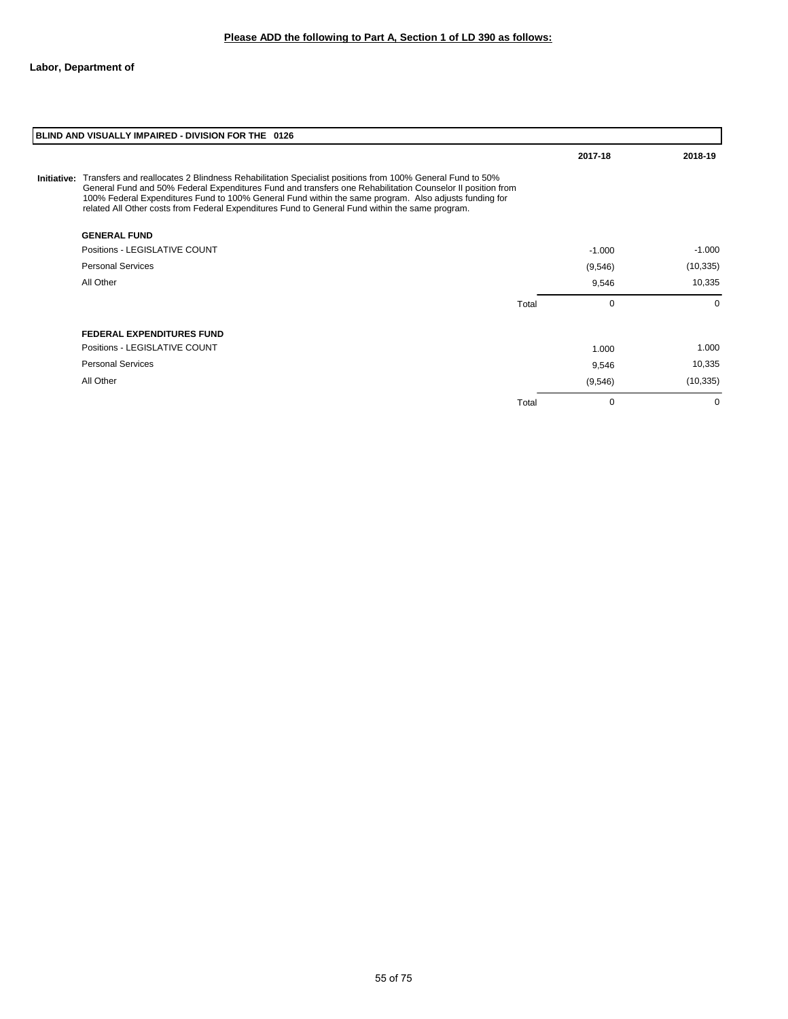| BLIND AND VISUALLY IMPAIRED - DIVISION FOR THE 0126                                                                                                                                                                                                                                                                                                                                                                                           |       |          |           |  |  |
|-----------------------------------------------------------------------------------------------------------------------------------------------------------------------------------------------------------------------------------------------------------------------------------------------------------------------------------------------------------------------------------------------------------------------------------------------|-------|----------|-----------|--|--|
|                                                                                                                                                                                                                                                                                                                                                                                                                                               |       | 2017-18  | 2018-19   |  |  |
| Initiative: Transfers and reallocates 2 Blindness Rehabilitation Specialist positions from 100% General Fund to 50%<br>General Fund and 50% Federal Expenditures Fund and transfers one Rehabilitation Counselor II position from<br>100% Federal Expenditures Fund to 100% General Fund within the same program. Also adjusts funding for<br>related All Other costs from Federal Expenditures Fund to General Fund within the same program. |       |          |           |  |  |
| <b>GENERAL FUND</b>                                                                                                                                                                                                                                                                                                                                                                                                                           |       |          |           |  |  |
| Positions - LEGISLATIVE COUNT                                                                                                                                                                                                                                                                                                                                                                                                                 |       | $-1.000$ | $-1.000$  |  |  |
| <b>Personal Services</b>                                                                                                                                                                                                                                                                                                                                                                                                                      |       | (9,546)  | (10, 335) |  |  |
| All Other                                                                                                                                                                                                                                                                                                                                                                                                                                     |       | 9,546    | 10,335    |  |  |
|                                                                                                                                                                                                                                                                                                                                                                                                                                               | Total | $\Omega$ | $\Omega$  |  |  |
| <b>FEDERAL EXPENDITURES FUND</b>                                                                                                                                                                                                                                                                                                                                                                                                              |       |          |           |  |  |
| Positions - LEGISLATIVE COUNT                                                                                                                                                                                                                                                                                                                                                                                                                 |       | 1.000    | 1.000     |  |  |
| <b>Personal Services</b>                                                                                                                                                                                                                                                                                                                                                                                                                      |       | 9,546    | 10,335    |  |  |
| All Other                                                                                                                                                                                                                                                                                                                                                                                                                                     |       | (9, 546) | (10, 335) |  |  |
|                                                                                                                                                                                                                                                                                                                                                                                                                                               | Total | $\Omega$ | $\Omega$  |  |  |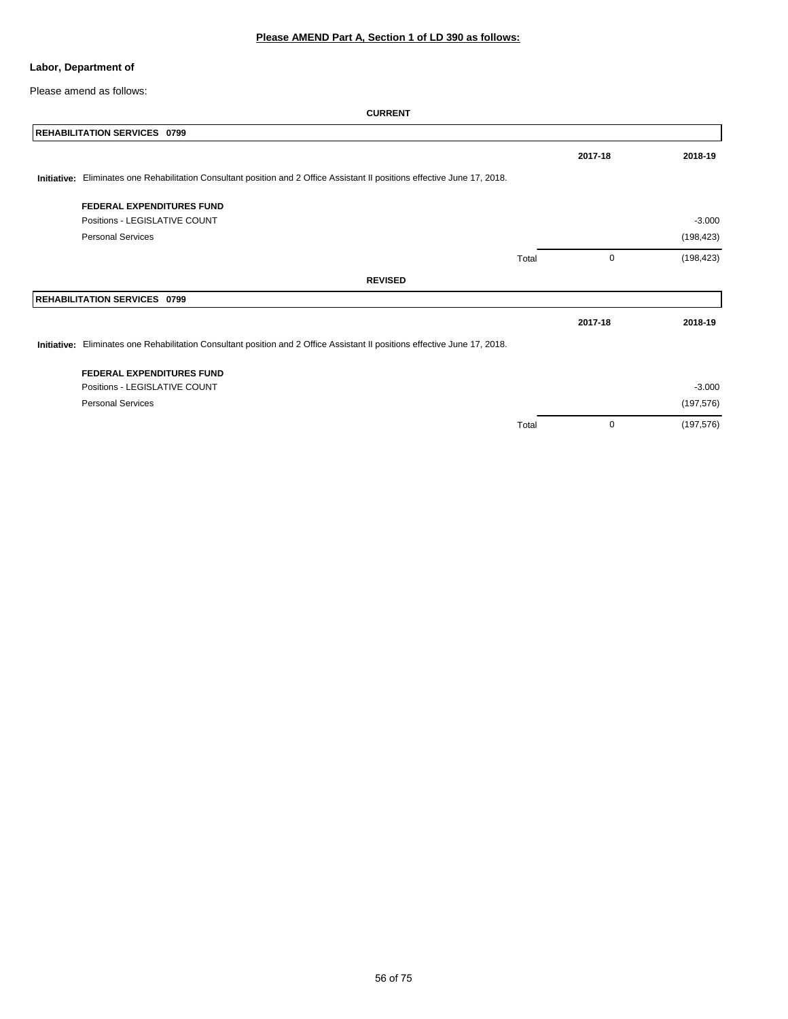### **Labor, Department of**

Please amend as follows:

|             | <b>REHABILITATION SERVICES 0799</b>                                                                                        |       |         |            |
|-------------|----------------------------------------------------------------------------------------------------------------------------|-------|---------|------------|
|             |                                                                                                                            |       | 2017-18 | 2018-19    |
| Initiative: | Eliminates one Rehabilitation Consultant position and 2 Office Assistant II positions effective June 17, 2018.             |       |         |            |
|             | <b>FEDERAL EXPENDITURES FUND</b>                                                                                           |       |         |            |
|             | Positions - LEGISLATIVE COUNT                                                                                              |       |         | $-3.000$   |
|             | <b>Personal Services</b>                                                                                                   |       |         | (198, 423) |
|             |                                                                                                                            | Total | 0       | (198, 423) |
|             | <b>REVISED</b>                                                                                                             |       |         |            |
|             | <b>REHABILITATION SERVICES 0799</b>                                                                                        |       |         |            |
|             |                                                                                                                            |       | 2017-18 | 2018-19    |
|             | Initiative: Eliminates one Rehabilitation Consultant position and 2 Office Assistant II positions effective June 17, 2018. |       |         |            |
|             | <b>FEDERAL EXPENDITURES FUND</b>                                                                                           |       |         |            |
|             | Positions - LEGISLATIVE COUNT                                                                                              |       |         | $-3.000$   |
|             | <b>Personal Services</b>                                                                                                   |       |         | (197, 576) |
|             |                                                                                                                            | Total | 0       | (197, 576) |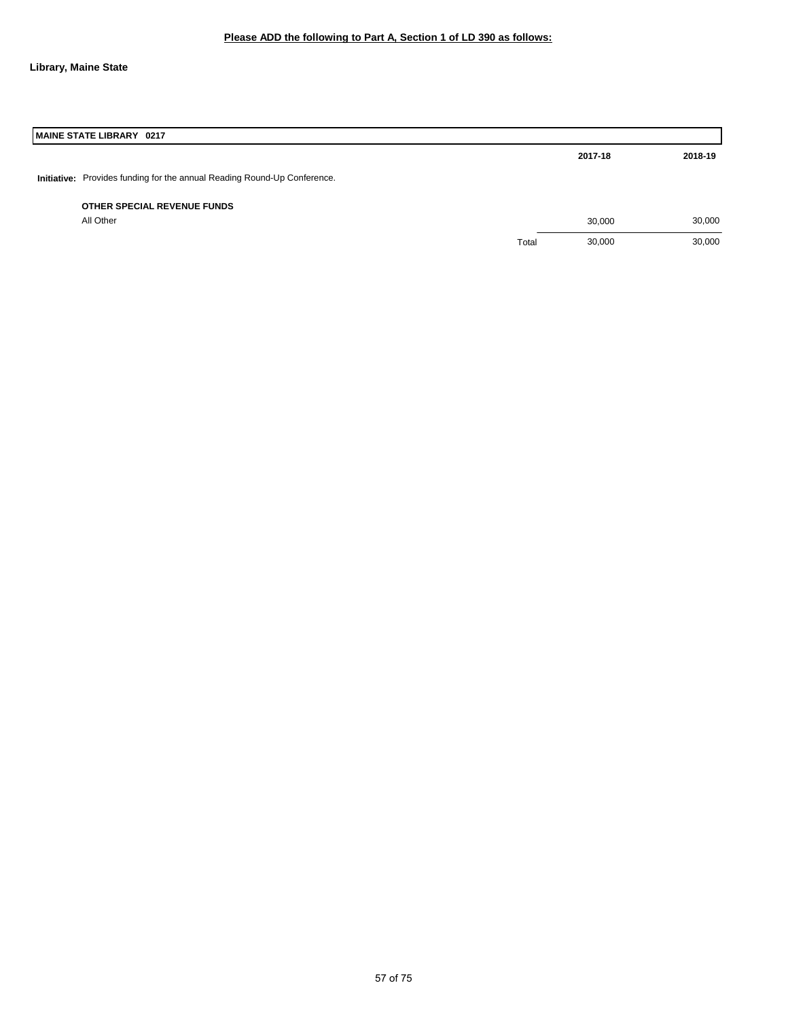### **Library, Maine State**

| MAINE STATE LIBRARY 0217                                                 |       |         |         |
|--------------------------------------------------------------------------|-------|---------|---------|
|                                                                          |       | 2017-18 | 2018-19 |
| Initiative: Provides funding for the annual Reading Round-Up Conference. |       |         |         |
| OTHER SPECIAL REVENUE FUNDS                                              |       |         |         |
| All Other                                                                |       | 30,000  | 30,000  |
|                                                                          | Total | 30,000  | 30,000  |
|                                                                          |       |         |         |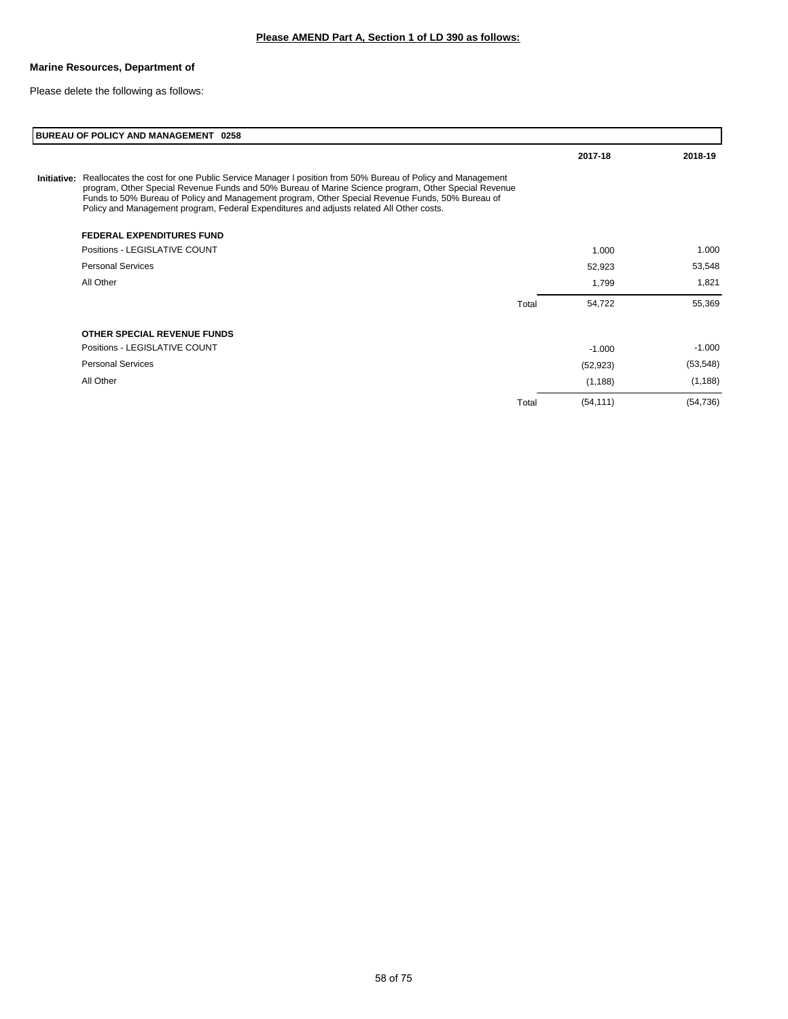### **Marine Resources, Department of**

Please delete the following as follows:

|             | BUREAU OF POLICY AND MANAGEMENT 0258                                                                                                                                                                                                                                                                                                                                                                            |       |           |           |
|-------------|-----------------------------------------------------------------------------------------------------------------------------------------------------------------------------------------------------------------------------------------------------------------------------------------------------------------------------------------------------------------------------------------------------------------|-------|-----------|-----------|
|             |                                                                                                                                                                                                                                                                                                                                                                                                                 |       | 2017-18   | 2018-19   |
| Initiative: | Reallocates the cost for one Public Service Manager I position from 50% Bureau of Policy and Management<br>program, Other Special Revenue Funds and 50% Bureau of Marine Science program, Other Special Revenue<br>Funds to 50% Bureau of Policy and Management program, Other Special Revenue Funds, 50% Bureau of<br>Policy and Management program, Federal Expenditures and adjusts related All Other costs. |       |           |           |
|             | <b>FEDERAL EXPENDITURES FUND</b>                                                                                                                                                                                                                                                                                                                                                                                |       |           |           |
|             | Positions - LEGISLATIVE COUNT                                                                                                                                                                                                                                                                                                                                                                                   |       | 1.000     | 1.000     |
|             | <b>Personal Services</b>                                                                                                                                                                                                                                                                                                                                                                                        |       | 52,923    | 53,548    |
|             | All Other                                                                                                                                                                                                                                                                                                                                                                                                       |       | 1,799     | 1,821     |
|             |                                                                                                                                                                                                                                                                                                                                                                                                                 | Total | 54,722    | 55,369    |
|             | OTHER SPECIAL REVENUE FUNDS                                                                                                                                                                                                                                                                                                                                                                                     |       |           |           |
|             | Positions - LEGISLATIVE COUNT                                                                                                                                                                                                                                                                                                                                                                                   |       | $-1.000$  | $-1.000$  |
|             | <b>Personal Services</b>                                                                                                                                                                                                                                                                                                                                                                                        |       | (52, 923) | (53, 548) |
|             | All Other                                                                                                                                                                                                                                                                                                                                                                                                       |       | (1, 188)  | (1, 188)  |
|             |                                                                                                                                                                                                                                                                                                                                                                                                                 | Total | (54, 111) | (54, 736) |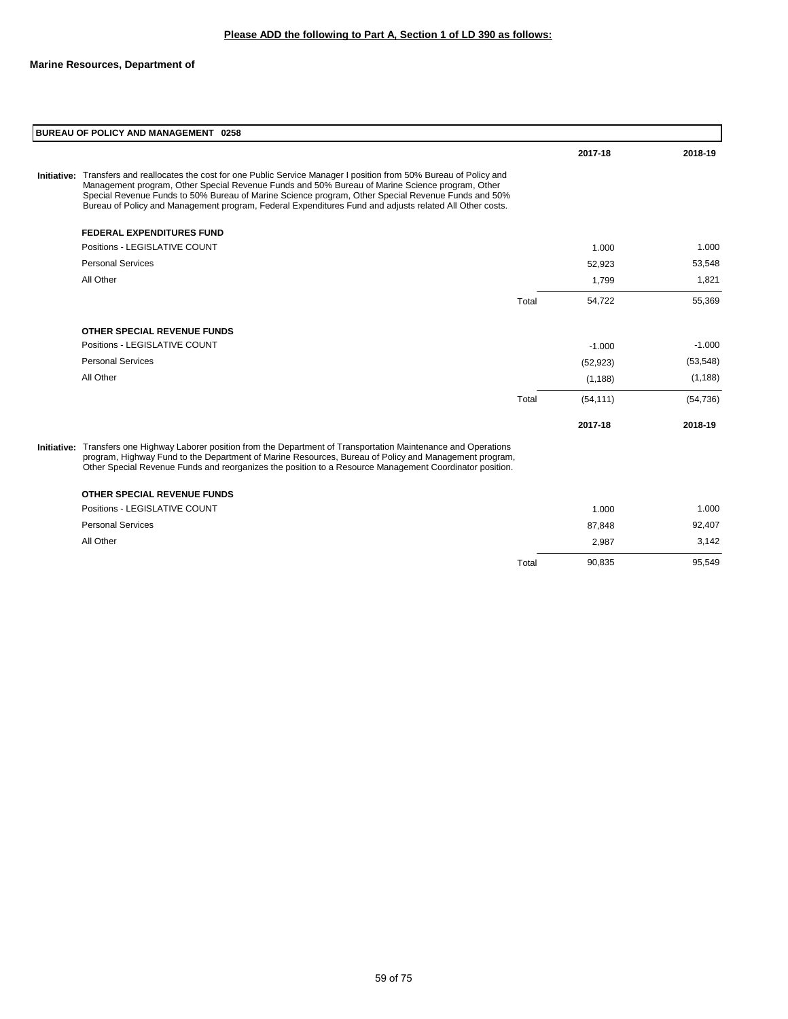| BUREAU OF POLICY AND MANAGEMENT 0258                                                                                                                                                                                                                                                                                                                                                                                                       |       |           |           |
|--------------------------------------------------------------------------------------------------------------------------------------------------------------------------------------------------------------------------------------------------------------------------------------------------------------------------------------------------------------------------------------------------------------------------------------------|-------|-----------|-----------|
|                                                                                                                                                                                                                                                                                                                                                                                                                                            |       | 2017-18   | 2018-19   |
| Initiative: Transfers and reallocates the cost for one Public Service Manager I position from 50% Bureau of Policy and<br>Management program, Other Special Revenue Funds and 50% Bureau of Marine Science program, Other<br>Special Revenue Funds to 50% Bureau of Marine Science program, Other Special Revenue Funds and 50%<br>Bureau of Policy and Management program, Federal Expenditures Fund and adjusts related All Other costs. |       |           |           |
| <b>FEDERAL EXPENDITURES FUND</b>                                                                                                                                                                                                                                                                                                                                                                                                           |       |           |           |
| Positions - LEGISLATIVE COUNT                                                                                                                                                                                                                                                                                                                                                                                                              |       | 1.000     | 1.000     |
| <b>Personal Services</b>                                                                                                                                                                                                                                                                                                                                                                                                                   |       | 52,923    | 53,548    |
| All Other                                                                                                                                                                                                                                                                                                                                                                                                                                  |       | 1,799     | 1,821     |
|                                                                                                                                                                                                                                                                                                                                                                                                                                            | Total | 54,722    | 55,369    |
| OTHER SPECIAL REVENUE FUNDS                                                                                                                                                                                                                                                                                                                                                                                                                |       |           |           |
| Positions - LEGISLATIVE COUNT                                                                                                                                                                                                                                                                                                                                                                                                              |       | $-1.000$  | $-1.000$  |
| <b>Personal Services</b>                                                                                                                                                                                                                                                                                                                                                                                                                   |       | (52, 923) | (53, 548) |
| All Other                                                                                                                                                                                                                                                                                                                                                                                                                                  |       | (1, 188)  | (1, 188)  |
|                                                                                                                                                                                                                                                                                                                                                                                                                                            | Total | (54, 111) | (54, 736) |
|                                                                                                                                                                                                                                                                                                                                                                                                                                            |       | 2017-18   | 2018-19   |
| Initiative: Transfers one Highway Laborer position from the Department of Transportation Maintenance and Operations<br>program, Highway Fund to the Department of Marine Resources, Bureau of Policy and Management program,<br>Other Special Revenue Funds and reorganizes the position to a Resource Management Coordinator position.                                                                                                    |       |           |           |
| <b>OTHER SPECIAL REVENUE FUNDS</b>                                                                                                                                                                                                                                                                                                                                                                                                         |       |           |           |
| Positions - LEGISLATIVE COUNT                                                                                                                                                                                                                                                                                                                                                                                                              |       | 1.000     | 1.000     |
| <b>Personal Services</b>                                                                                                                                                                                                                                                                                                                                                                                                                   |       | 87,848    | 92,407    |
| All Other                                                                                                                                                                                                                                                                                                                                                                                                                                  |       | 2,987     | 3,142     |

Total 90,835 95,549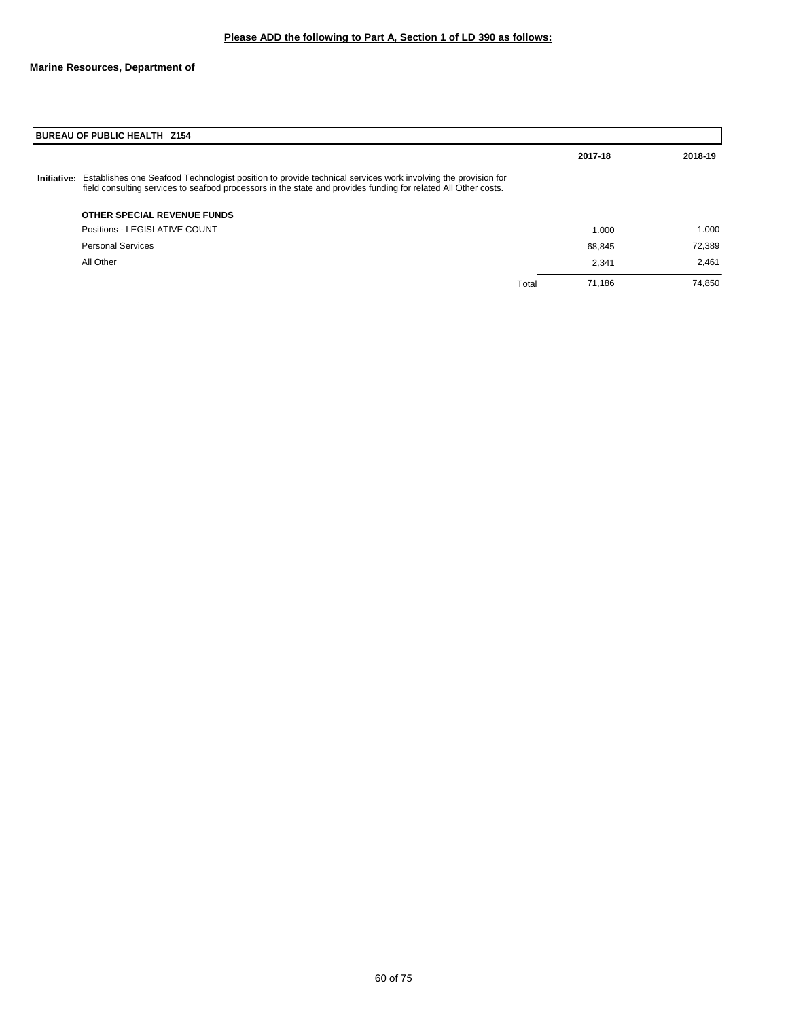|             | BUREAU OF PUBLIC HEALTH Z154                                                                                                                                                                                                   |       |         |         |  |
|-------------|--------------------------------------------------------------------------------------------------------------------------------------------------------------------------------------------------------------------------------|-------|---------|---------|--|
|             |                                                                                                                                                                                                                                |       | 2017-18 | 2018-19 |  |
| Initiative: | Establishes one Seafood Technologist position to provide technical services work involving the provision for<br>field consulting services to seafood processors in the state and provides funding for related All Other costs. |       |         |         |  |
|             | OTHER SPECIAL REVENUE FUNDS                                                                                                                                                                                                    |       |         |         |  |
|             | Positions - LEGISLATIVE COUNT                                                                                                                                                                                                  |       | 1.000   | 1.000   |  |
|             | <b>Personal Services</b>                                                                                                                                                                                                       |       | 68,845  | 72,389  |  |
|             | All Other                                                                                                                                                                                                                      |       | 2.341   | 2.461   |  |
|             |                                                                                                                                                                                                                                | Total | 71.186  | 74.850  |  |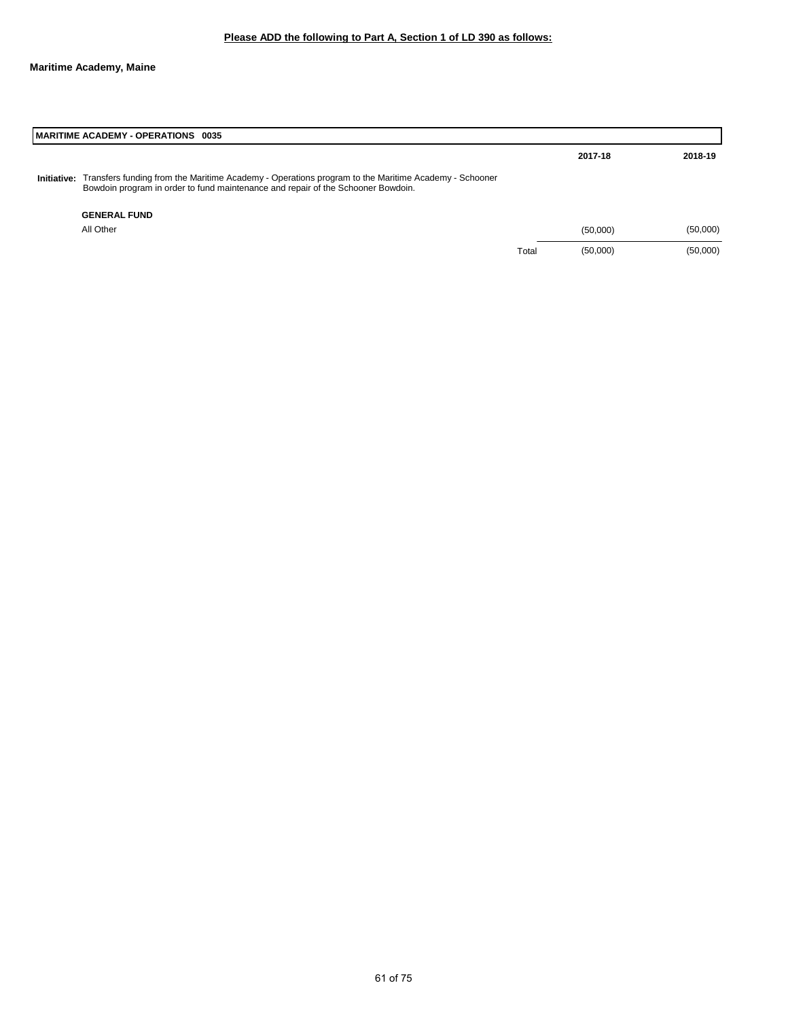|                    | MARITIME ACADEMY - OPERATIONS 0035                                                                                                                                                      |       |          |          |  |  |
|--------------------|-----------------------------------------------------------------------------------------------------------------------------------------------------------------------------------------|-------|----------|----------|--|--|
|                    |                                                                                                                                                                                         |       | 2017-18  | 2018-19  |  |  |
| <b>Initiative:</b> | Transfers funding from the Maritime Academy - Operations program to the Maritime Academy - Schooner<br>Bowdoin program in order to fund maintenance and repair of the Schooner Bowdoin. |       |          |          |  |  |
|                    | <b>GENERAL FUND</b>                                                                                                                                                                     |       |          |          |  |  |
|                    | All Other                                                                                                                                                                               |       | (50,000) | (50,000) |  |  |
|                    |                                                                                                                                                                                         | Total | (50,000) | (50,000) |  |  |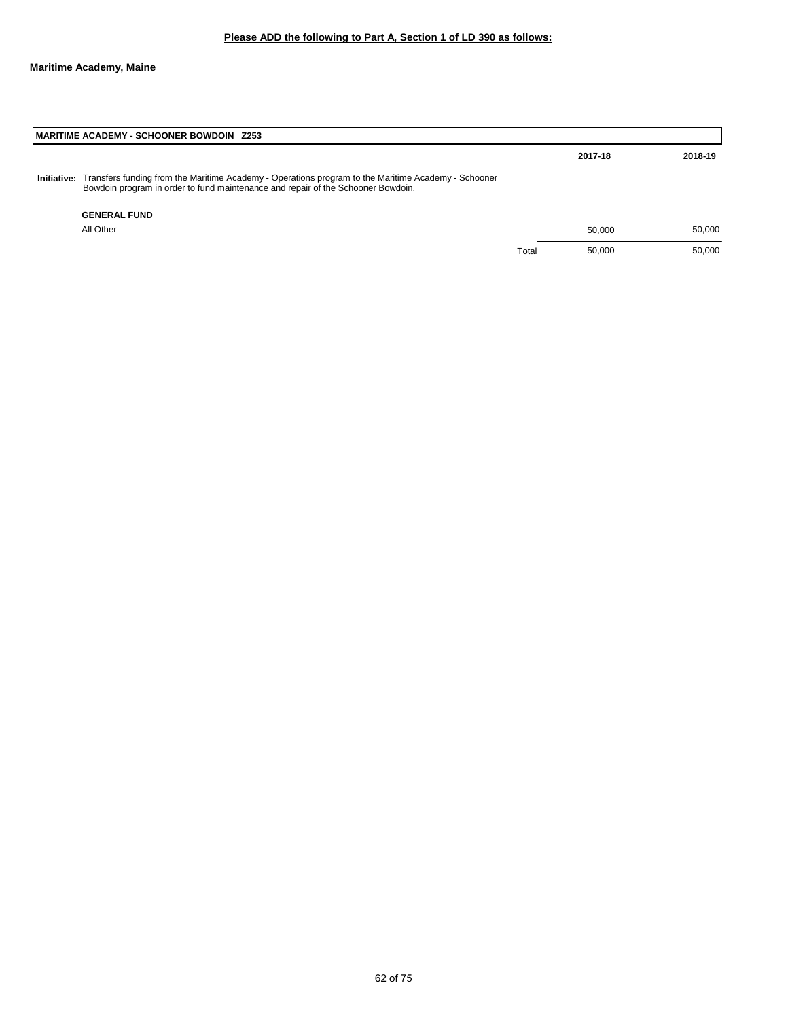|             | I MARITIME ACADEMY - SCHOONER BOWDOIN Z253                                                                                                                                              |       |         |         |  |  |
|-------------|-----------------------------------------------------------------------------------------------------------------------------------------------------------------------------------------|-------|---------|---------|--|--|
|             |                                                                                                                                                                                         |       | 2017-18 | 2018-19 |  |  |
| Initiative: | Transfers funding from the Maritime Academy - Operations program to the Maritime Academy - Schooner<br>Bowdoin program in order to fund maintenance and repair of the Schooner Bowdoin. |       |         |         |  |  |
|             | <b>GENERAL FUND</b>                                                                                                                                                                     |       |         |         |  |  |
|             | All Other                                                                                                                                                                               |       | 50.000  | 50.000  |  |  |
|             |                                                                                                                                                                                         | Total | 50.000  | 50,000  |  |  |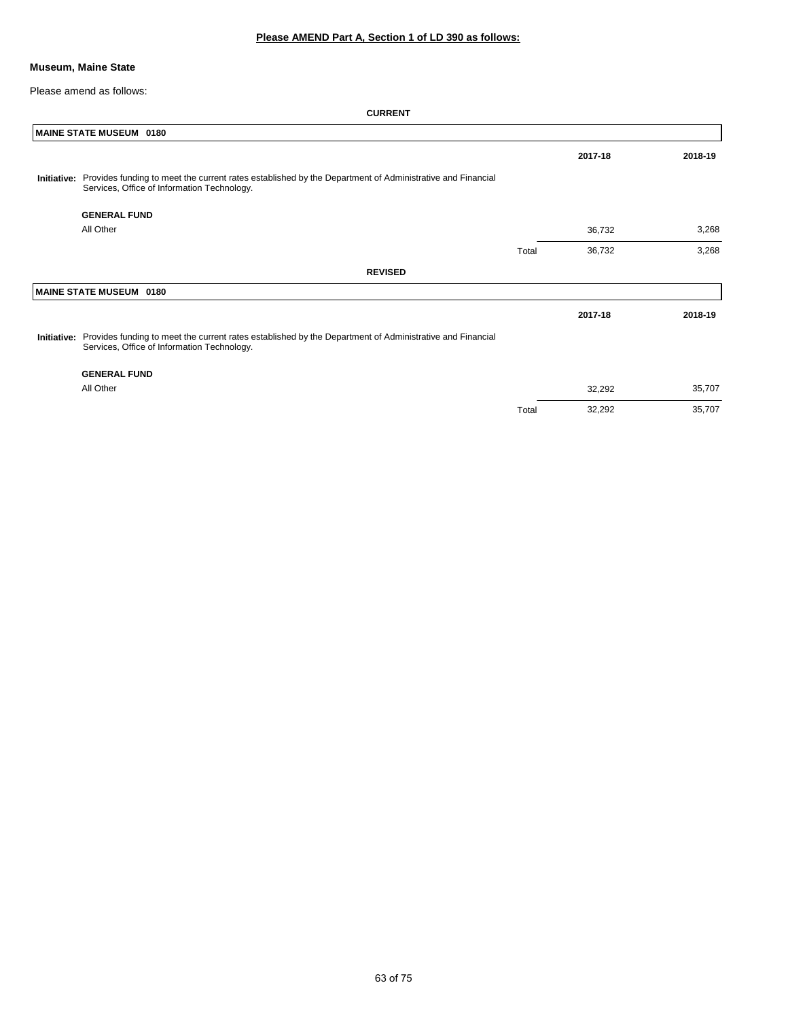### **Museum, Maine State**

Please amend as follows:

|             | MAINE STATE MUSEUM 0180                                                                                                                                             |       |         |         |
|-------------|---------------------------------------------------------------------------------------------------------------------------------------------------------------------|-------|---------|---------|
|             |                                                                                                                                                                     |       | 2017-18 | 2018-19 |
| Initiative: | Provides funding to meet the current rates established by the Department of Administrative and Financial<br>Services, Office of Information Technology.             |       |         |         |
|             | <b>GENERAL FUND</b>                                                                                                                                                 |       |         |         |
|             | All Other                                                                                                                                                           |       | 36,732  | 3,268   |
|             |                                                                                                                                                                     | Total | 36,732  | 3,268   |
|             | <b>REVISED</b>                                                                                                                                                      |       |         |         |
|             | MAINE STATE MUSEUM 0180                                                                                                                                             |       |         |         |
|             |                                                                                                                                                                     |       | 2017-18 | 2018-19 |
|             | Initiative: Provides funding to meet the current rates established by the Department of Administrative and Financial<br>Services, Office of Information Technology. |       |         |         |
|             | <b>GENERAL FUND</b>                                                                                                                                                 |       |         |         |
|             | All Other                                                                                                                                                           |       | 32,292  | 35,707  |
|             |                                                                                                                                                                     | Total | 32,292  | 35,707  |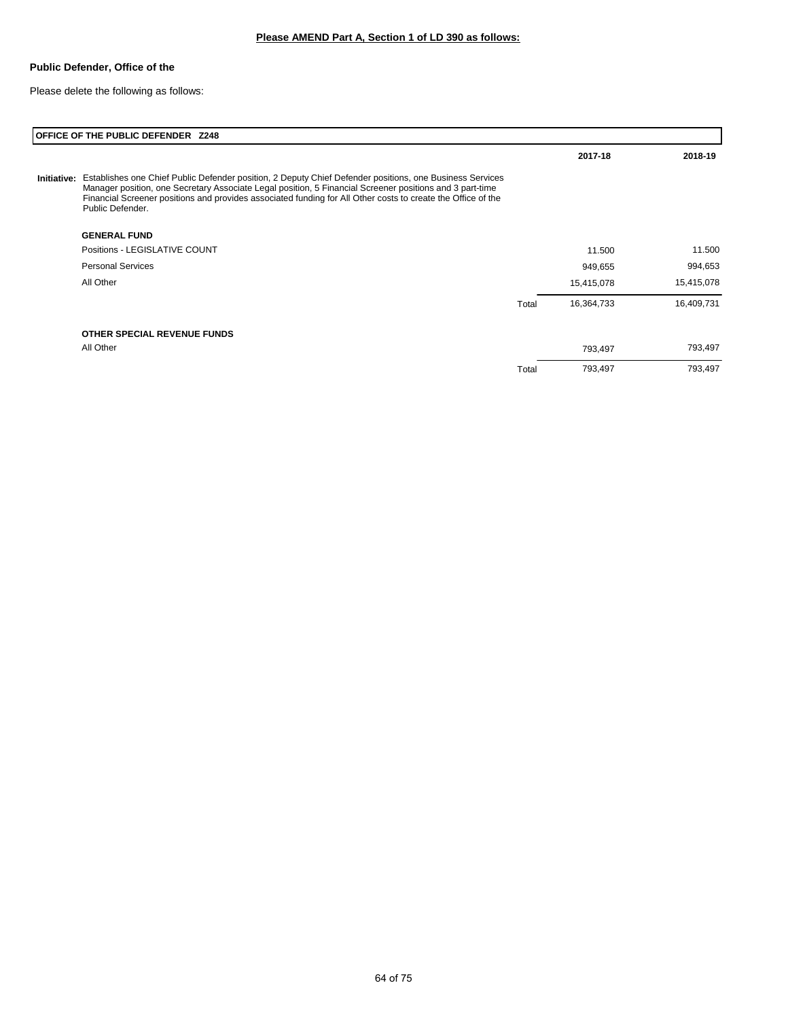### **Public Defender, Office of the**

Please delete the following as follows:

|             | OFFICE OF THE PUBLIC DEFENDER Z248                                                                                                                                                                                                                                                                                                                       |       |            |            |
|-------------|----------------------------------------------------------------------------------------------------------------------------------------------------------------------------------------------------------------------------------------------------------------------------------------------------------------------------------------------------------|-------|------------|------------|
|             |                                                                                                                                                                                                                                                                                                                                                          |       | 2017-18    | 2018-19    |
| Initiative: | Establishes one Chief Public Defender position, 2 Deputy Chief Defender positions, one Business Services<br>Manager position, one Secretary Associate Legal position, 5 Financial Screener positions and 3 part-time<br>Financial Screener positions and provides associated funding for All Other costs to create the Office of the<br>Public Defender. |       |            |            |
|             | <b>GENERAL FUND</b>                                                                                                                                                                                                                                                                                                                                      |       |            |            |
|             | Positions - LEGISLATIVE COUNT                                                                                                                                                                                                                                                                                                                            |       | 11.500     | 11.500     |
|             | <b>Personal Services</b>                                                                                                                                                                                                                                                                                                                                 |       | 949,655    | 994,653    |
|             | All Other                                                                                                                                                                                                                                                                                                                                                |       | 15,415,078 | 15,415,078 |
|             |                                                                                                                                                                                                                                                                                                                                                          | Total | 16,364,733 | 16,409,731 |
|             | OTHER SPECIAL REVENUE FUNDS                                                                                                                                                                                                                                                                                                                              |       |            |            |
|             | All Other                                                                                                                                                                                                                                                                                                                                                |       | 793,497    | 793,497    |
|             |                                                                                                                                                                                                                                                                                                                                                          | Total | 793,497    | 793,497    |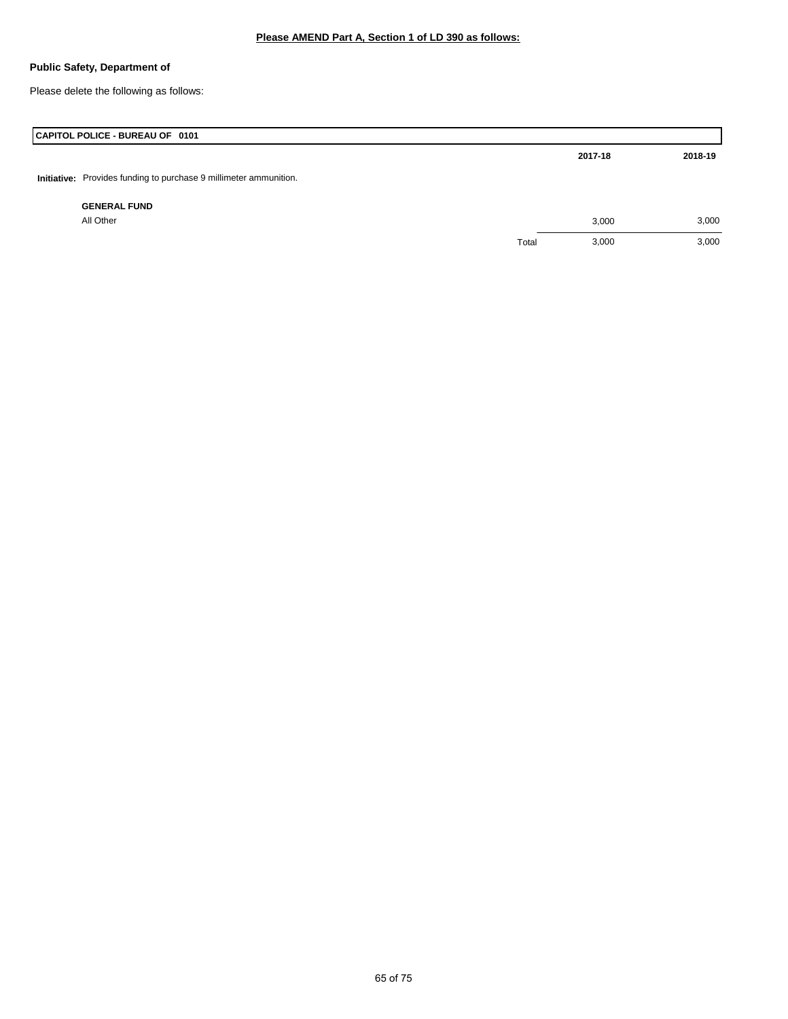Please delete the following as follows:

| CAPITOL POLICE - BUREAU OF 0101                                   |       |         |         |
|-------------------------------------------------------------------|-------|---------|---------|
|                                                                   |       | 2017-18 | 2018-19 |
| Initiative: Provides funding to purchase 9 millimeter ammunition. |       |         |         |
| <b>GENERAL FUND</b>                                               |       |         |         |
| All Other                                                         |       | 3,000   | 3,000   |
|                                                                   | Total | 3,000   | 3,000   |
|                                                                   |       |         |         |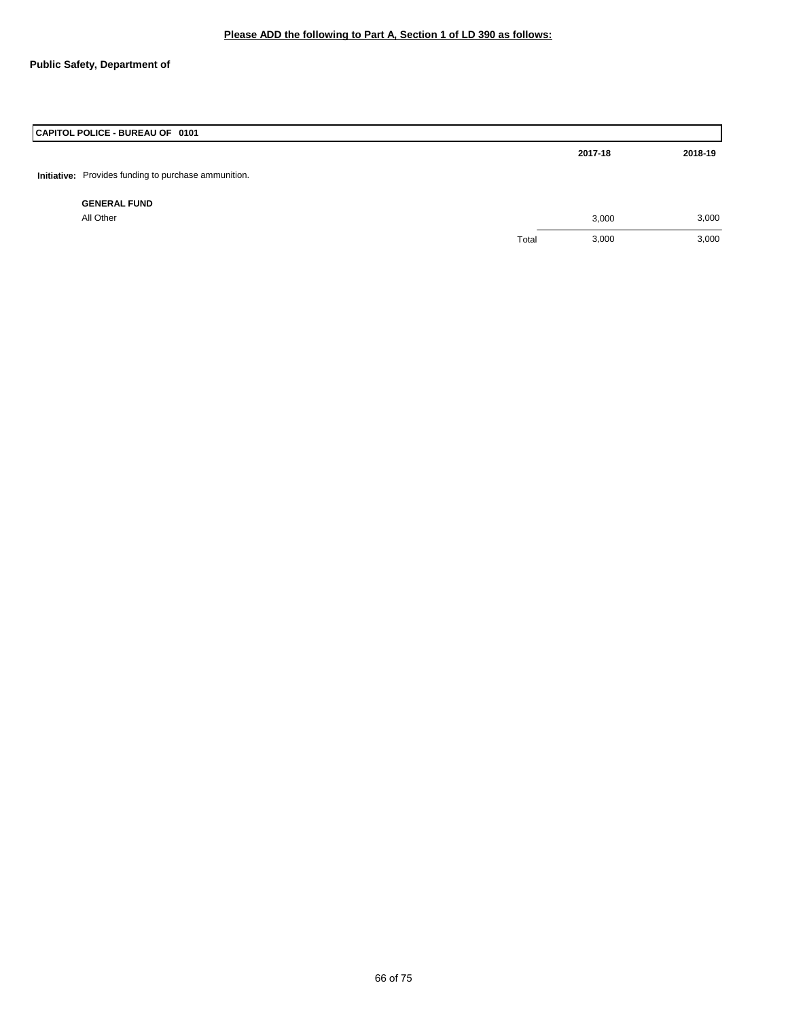| CAPITOL POLICE - BUREAU OF 0101                      |       |         |         |
|------------------------------------------------------|-------|---------|---------|
|                                                      |       | 2017-18 | 2018-19 |
| Initiative: Provides funding to purchase ammunition. |       |         |         |
| <b>GENERAL FUND</b>                                  |       |         |         |
| All Other                                            |       | 3,000   | 3,000   |
|                                                      | Total | 3,000   | 3,000   |
|                                                      |       |         |         |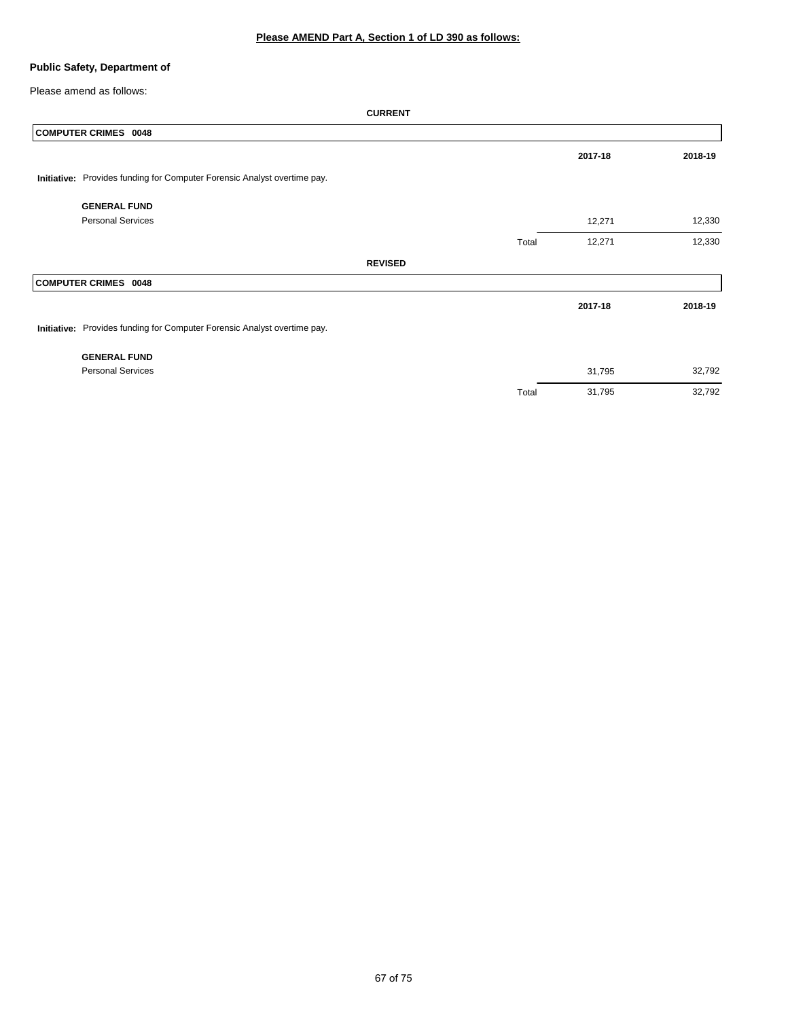Please amend as follows:

| <b>COMPUTER CRIMES 0048</b>                                              |                |       |         |         |
|--------------------------------------------------------------------------|----------------|-------|---------|---------|
|                                                                          |                |       | 2017-18 | 2018-19 |
| Initiative: Provides funding for Computer Forensic Analyst overtime pay. |                |       |         |         |
| <b>GENERAL FUND</b>                                                      |                |       |         |         |
| <b>Personal Services</b>                                                 |                |       | 12,271  | 12,330  |
|                                                                          |                | Total | 12,271  | 12,330  |
|                                                                          | <b>REVISED</b> |       |         |         |
| <b>COMPUTER CRIMES 0048</b>                                              |                |       |         |         |
|                                                                          |                |       | 2017-18 | 2018-19 |
| Initiative: Provides funding for Computer Forensic Analyst overtime pay. |                |       |         |         |
| <b>GENERAL FUND</b>                                                      |                |       |         |         |
| <b>Personal Services</b>                                                 |                |       | 31,795  | 32,792  |
|                                                                          |                | Total | 31,795  | 32,792  |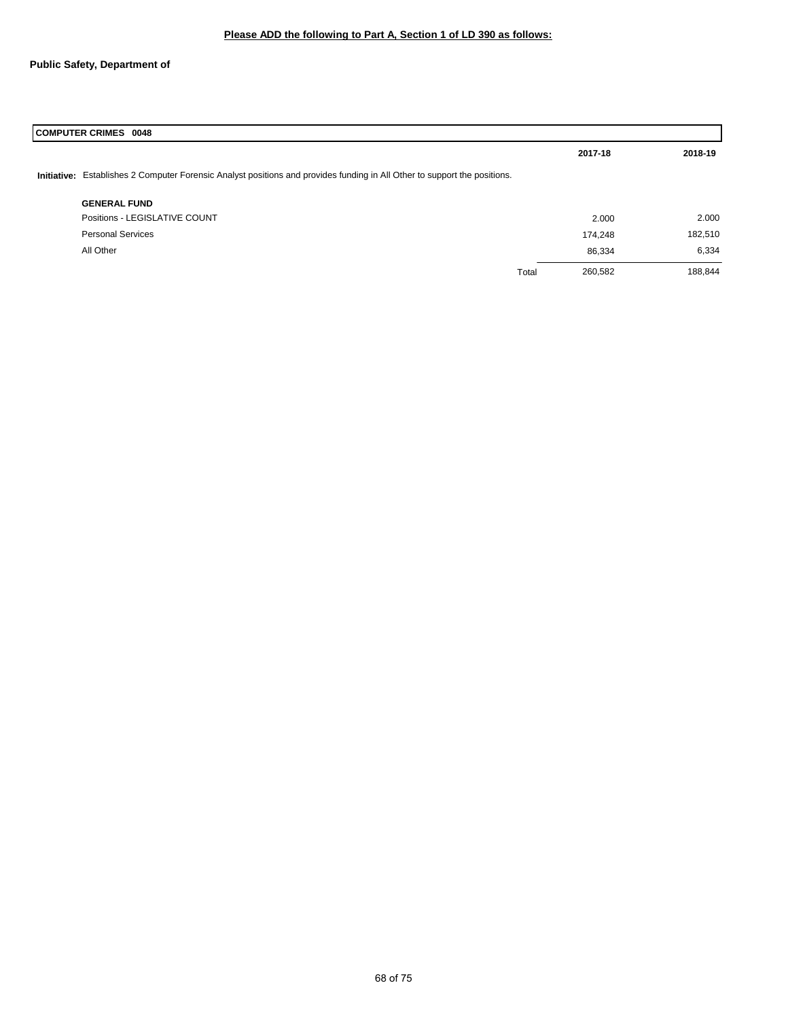| <b>COMPUTER CRIMES 0048</b>                                                                                               |       |         |         |  |
|---------------------------------------------------------------------------------------------------------------------------|-------|---------|---------|--|
|                                                                                                                           |       | 2017-18 | 2018-19 |  |
| Initiative: Establishes 2 Computer Forensic Analyst positions and provides funding in All Other to support the positions. |       |         |         |  |
| <b>GENERAL FUND</b>                                                                                                       |       |         |         |  |
| Positions - LEGISLATIVE COUNT                                                                                             |       | 2.000   | 2.000   |  |
| <b>Personal Services</b>                                                                                                  |       | 174,248 | 182,510 |  |
| All Other                                                                                                                 |       | 86,334  | 6,334   |  |
|                                                                                                                           | Total | 260,582 | 188,844 |  |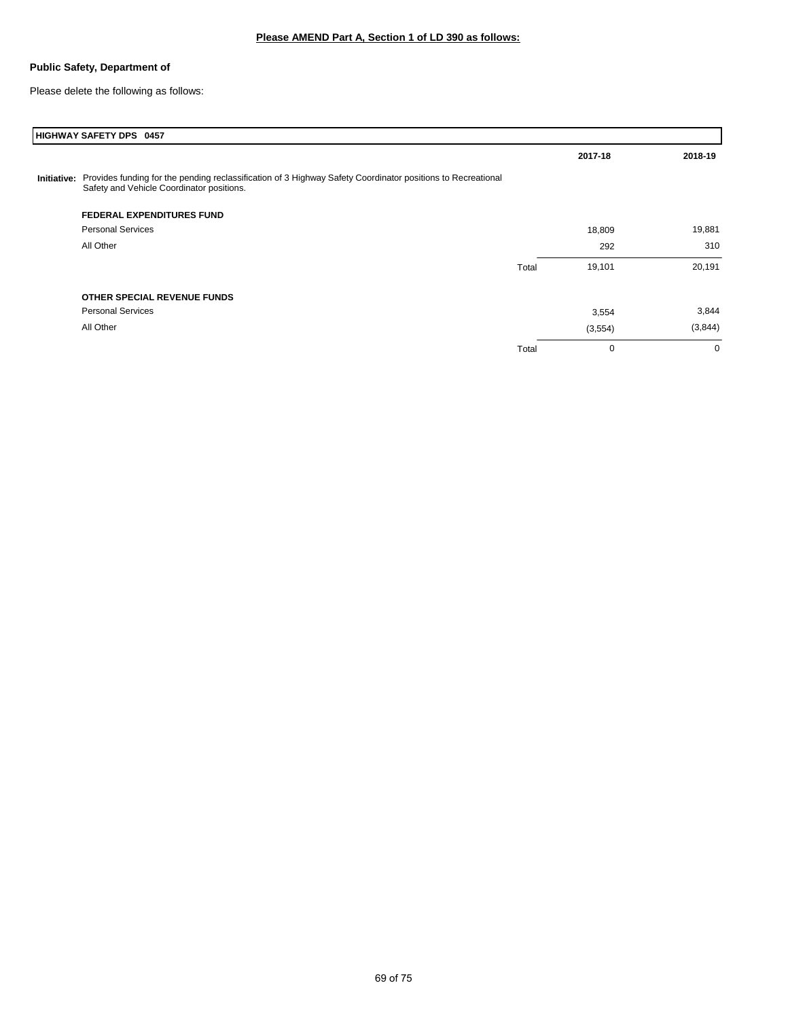Please delete the following as follows:

|             | HIGHWAY SAFETY DPS 0457                                                                                                                                  |       |          |             |
|-------------|----------------------------------------------------------------------------------------------------------------------------------------------------------|-------|----------|-------------|
|             |                                                                                                                                                          |       | 2017-18  | 2018-19     |
| Initiative: | Provides funding for the pending reclassification of 3 Highway Safety Coordinator positions to Recreational<br>Safety and Vehicle Coordinator positions. |       |          |             |
|             | <b>FEDERAL EXPENDITURES FUND</b>                                                                                                                         |       |          |             |
|             | <b>Personal Services</b>                                                                                                                                 |       | 18,809   | 19,881      |
|             | All Other                                                                                                                                                |       | 292      | 310         |
|             |                                                                                                                                                          | Total | 19,101   | 20,191      |
|             | OTHER SPECIAL REVENUE FUNDS                                                                                                                              |       |          |             |
|             | <b>Personal Services</b>                                                                                                                                 |       | 3,554    | 3,844       |
|             | All Other                                                                                                                                                |       | (3, 554) | (3,844)     |
|             |                                                                                                                                                          | Total | 0        | $\mathbf 0$ |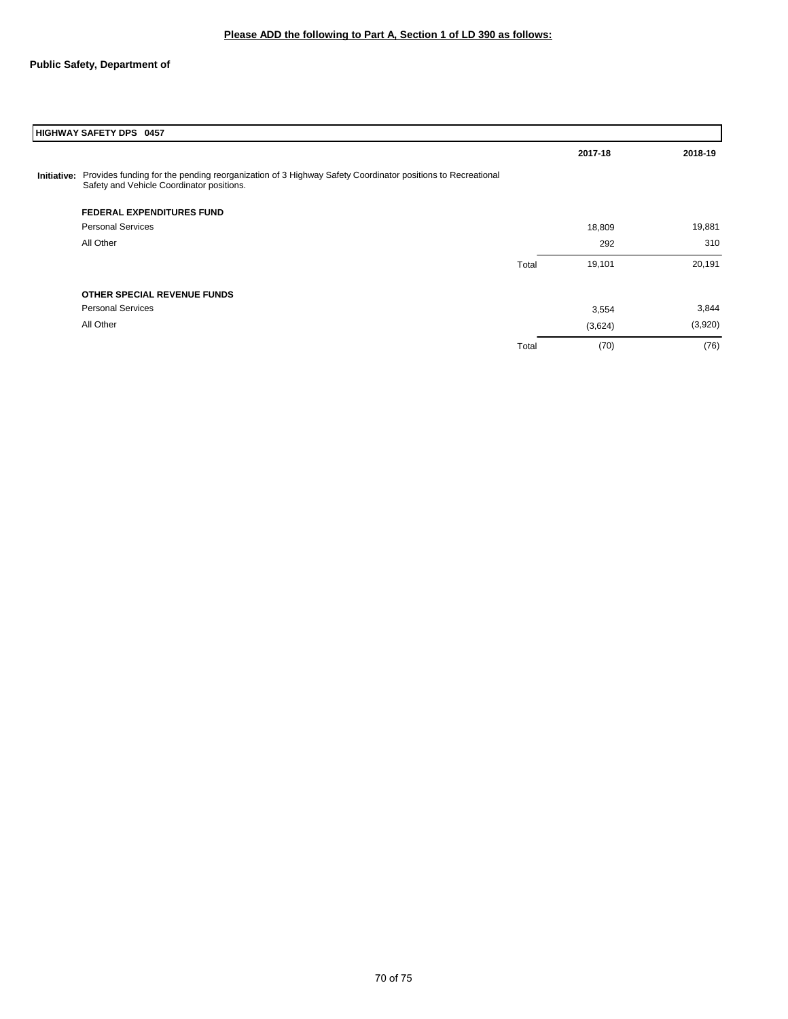| HIGHWAY SAFETY DPS 0457                                                                                                                                            |       |         |         |
|--------------------------------------------------------------------------------------------------------------------------------------------------------------------|-------|---------|---------|
|                                                                                                                                                                    |       | 2017-18 | 2018-19 |
| Initiative: Provides funding for the pending reorganization of 3 Highway Safety Coordinator positions to Recreational<br>Safety and Vehicle Coordinator positions. |       |         |         |
| <b>FEDERAL EXPENDITURES FUND</b>                                                                                                                                   |       |         |         |
| <b>Personal Services</b>                                                                                                                                           |       | 18,809  | 19,881  |
| All Other                                                                                                                                                          |       | 292     | 310     |
|                                                                                                                                                                    | Total | 19,101  | 20,191  |
| OTHER SPECIAL REVENUE FUNDS                                                                                                                                        |       |         |         |
| <b>Personal Services</b>                                                                                                                                           |       | 3,554   | 3,844   |
| All Other                                                                                                                                                          |       | (3,624) | (3,920) |
|                                                                                                                                                                    | Total | (70)    | (76)    |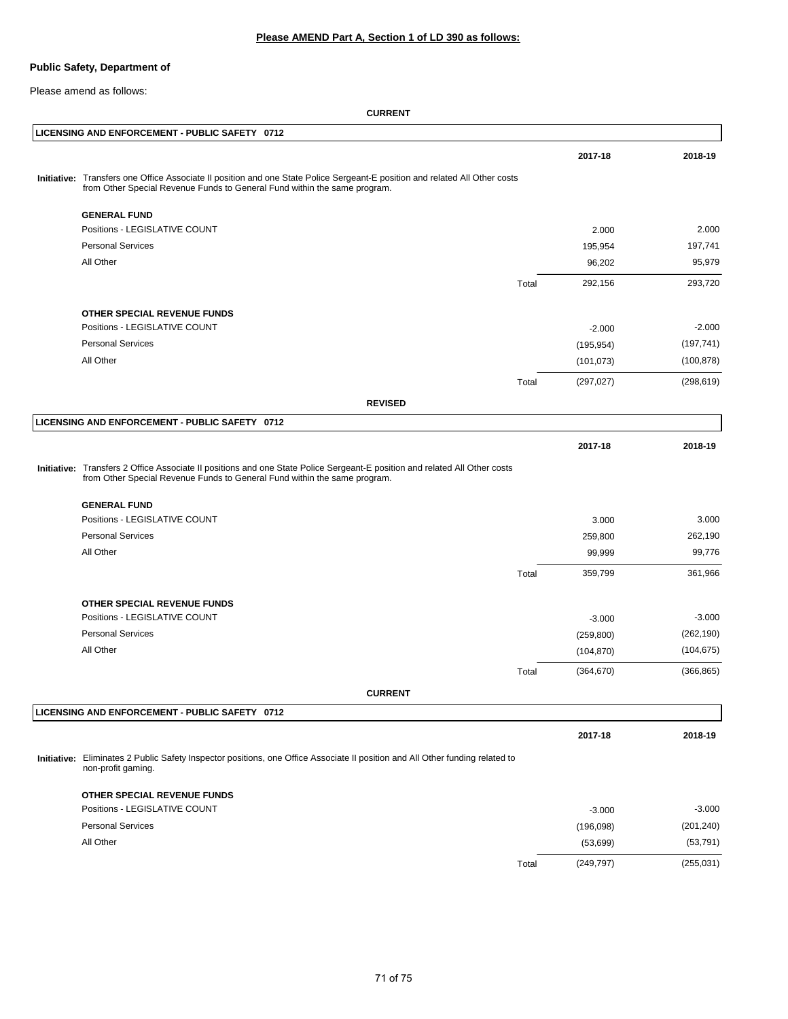Please amend as follows:

| LICENSING AND ENFORCEMENT - PUBLIC SAFETY 0712                                                                                                                                                           |       |            |            |
|----------------------------------------------------------------------------------------------------------------------------------------------------------------------------------------------------------|-------|------------|------------|
|                                                                                                                                                                                                          |       | 2017-18    | 2018-19    |
| Initiative: Transfers one Office Associate II position and one State Police Sergeant-E position and related All Other costs<br>from Other Special Revenue Funds to General Fund within the same program. |       |            |            |
| <b>GENERAL FUND</b>                                                                                                                                                                                      |       |            |            |
| Positions - LEGISLATIVE COUNT                                                                                                                                                                            |       | 2.000      | 2.000      |
| <b>Personal Services</b>                                                                                                                                                                                 |       | 195,954    | 197,741    |
| All Other                                                                                                                                                                                                |       | 96,202     | 95,979     |
|                                                                                                                                                                                                          | Total | 292,156    | 293,720    |
| OTHER SPECIAL REVENUE FUNDS                                                                                                                                                                              |       |            |            |
| Positions - LEGISLATIVE COUNT                                                                                                                                                                            |       | $-2.000$   | $-2.000$   |
| <b>Personal Services</b>                                                                                                                                                                                 |       | (195, 954) | (197, 741) |
| All Other                                                                                                                                                                                                |       | (101, 073) | (100, 878) |
|                                                                                                                                                                                                          | Total | (297, 027) | (298, 619) |
| <b>REVISED</b>                                                                                                                                                                                           |       |            |            |
| LICENSING AND ENFORCEMENT - PUBLIC SAFETY 0712                                                                                                                                                           |       |            |            |
|                                                                                                                                                                                                          |       | 2017-18    | 2018-19    |
| Initiative: Transfers 2 Office Associate II positions and one State Police Sergeant-E position and related All Other costs<br>from Other Special Revenue Funds to General Fund within the same program.  |       |            |            |
| <b>GENERAL FUND</b>                                                                                                                                                                                      |       |            |            |
| Positions - LEGISLATIVE COUNT                                                                                                                                                                            |       | 3.000      | 3.000      |
| <b>Personal Services</b>                                                                                                                                                                                 |       | 259,800    | 262,190    |
| All Other                                                                                                                                                                                                |       | 99,999     | 99,776     |
|                                                                                                                                                                                                          | Total | 359,799    | 361,966    |
| OTHER SPECIAL REVENUE FUNDS                                                                                                                                                                              |       |            |            |
| Positions - LEGISLATIVE COUNT                                                                                                                                                                            |       | $-3.000$   | $-3.000$   |
| <b>Personal Services</b>                                                                                                                                                                                 |       | (259, 800) | (262, 190) |
| All Other                                                                                                                                                                                                |       | (104, 870) | (104, 675) |
|                                                                                                                                                                                                          | Total | (364, 670) | (366, 865) |
| <b>CURRENT</b>                                                                                                                                                                                           |       |            |            |
| LICENSING AND ENFORCEMENT - PUBLIC SAFETY 0712                                                                                                                                                           |       |            |            |
|                                                                                                                                                                                                          |       | 2017-18    | 2018-19    |
| Initiative: Eliminates 2 Public Safety Inspector positions, one Office Associate II position and All Other funding related to<br>non-profit gaming.                                                      |       |            |            |
| OTHER SPECIAL REVENUE FUNDS                                                                                                                                                                              |       |            |            |
| Positions - LEGISLATIVE COUNT                                                                                                                                                                            |       | $-3.000$   | $-3.000$   |
| <b>Personal Services</b>                                                                                                                                                                                 |       | (196,098)  | (201, 240) |
| All Other                                                                                                                                                                                                |       | (53, 699)  | (53, 791)  |
|                                                                                                                                                                                                          | Total | (249, 797) | (255, 031) |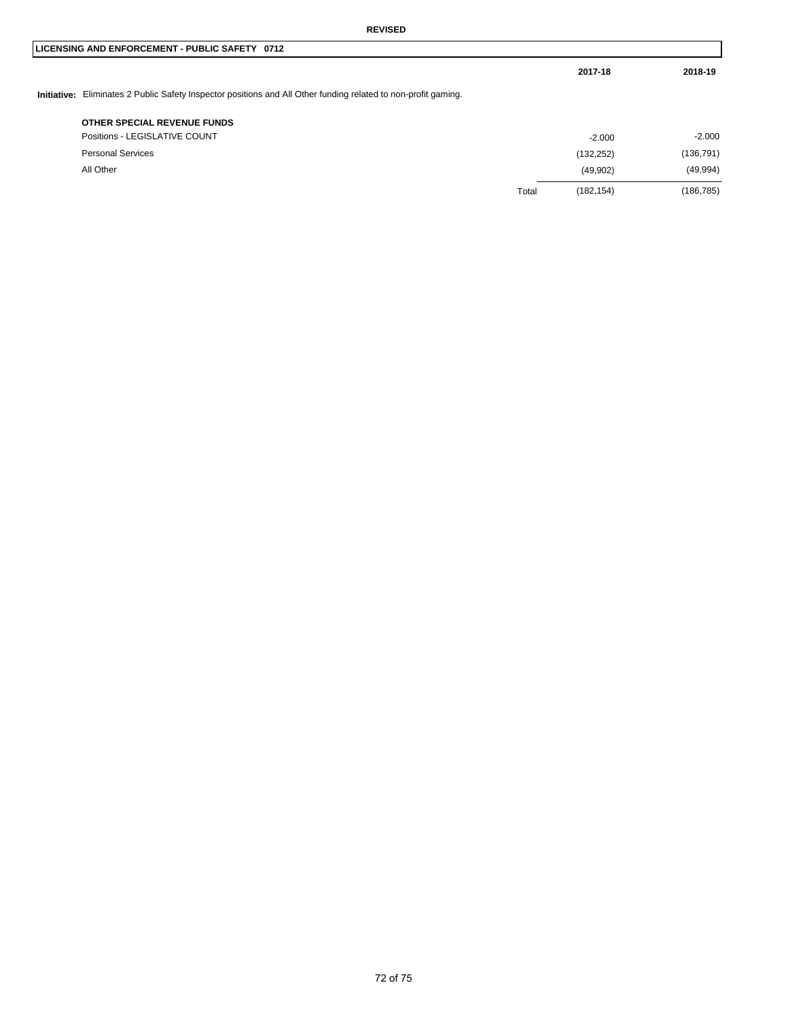|                                                                                                                |       | 2017-18    | 2018-19    |
|----------------------------------------------------------------------------------------------------------------|-------|------------|------------|
| Initiative: Eliminates 2 Public Safety Inspector positions and All Other funding related to non-profit gaming. |       |            |            |
| OTHER SPECIAL REVENUE FUNDS                                                                                    |       |            |            |
| Positions - LEGISLATIVE COUNT                                                                                  |       | $-2.000$   | $-2.000$   |
| <b>Personal Services</b>                                                                                       |       | (132, 252) | (136, 791) |
| All Other                                                                                                      |       | (49,902)   | (49, 994)  |
|                                                                                                                | Total | (182, 154) | (186, 785) |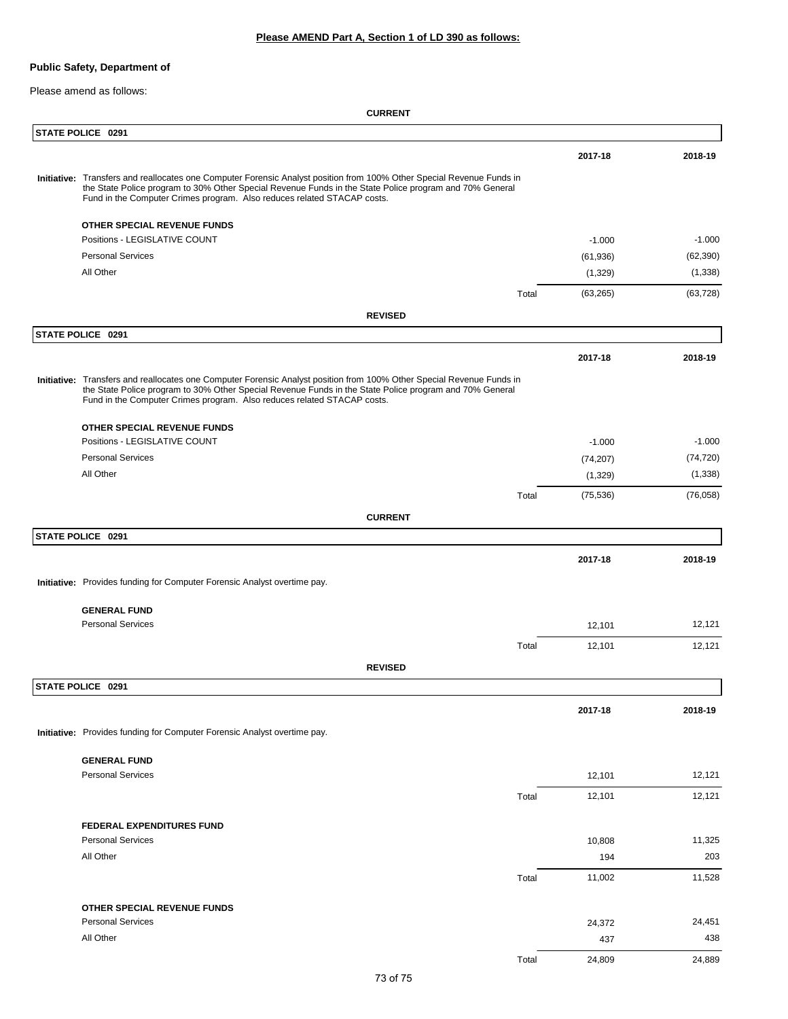### **Please AMEND Part A, Section 1 of LD 390 as follows:**

# **Public Safety, Department of**

Please amend as follows:

**CURRENT**

|  | STATE POLICE 0291                                                                                                                                                                                                                                                                                           |       |           |           |
|--|-------------------------------------------------------------------------------------------------------------------------------------------------------------------------------------------------------------------------------------------------------------------------------------------------------------|-------|-----------|-----------|
|  |                                                                                                                                                                                                                                                                                                             |       | 2017-18   | 2018-19   |
|  | Initiative: Transfers and reallocates one Computer Forensic Analyst position from 100% Other Special Revenue Funds in<br>the State Police program to 30% Other Special Revenue Funds in the State Police program and 70% General<br>Fund in the Computer Crimes program. Also reduces related STACAP costs. |       |           |           |
|  | OTHER SPECIAL REVENUE FUNDS                                                                                                                                                                                                                                                                                 |       |           |           |
|  | Positions - LEGISLATIVE COUNT                                                                                                                                                                                                                                                                               |       | $-1.000$  | $-1.000$  |
|  | <b>Personal Services</b>                                                                                                                                                                                                                                                                                    |       | (61, 936) | (62, 390) |
|  | All Other                                                                                                                                                                                                                                                                                                   |       | (1,329)   | (1,338)   |
|  |                                                                                                                                                                                                                                                                                                             | Total | (63, 265) | (63, 728) |
|  | <b>REVISED</b>                                                                                                                                                                                                                                                                                              |       |           |           |
|  | STATE POLICE 0291                                                                                                                                                                                                                                                                                           |       |           |           |
|  |                                                                                                                                                                                                                                                                                                             |       | 2017-18   | 2018-19   |
|  | Initiative: Transfers and reallocates one Computer Forensic Analyst position from 100% Other Special Revenue Funds in<br>the State Police program to 30% Other Special Revenue Funds in the State Police program and 70% General<br>Fund in the Computer Crimes program. Also reduces related STACAP costs. |       |           |           |
|  | OTHER SPECIAL REVENUE FUNDS                                                                                                                                                                                                                                                                                 |       |           |           |
|  | Positions - LEGISLATIVE COUNT                                                                                                                                                                                                                                                                               |       | $-1.000$  | $-1.000$  |
|  | <b>Personal Services</b>                                                                                                                                                                                                                                                                                    |       | (74, 207) | (74, 720) |
|  | All Other                                                                                                                                                                                                                                                                                                   |       | (1,329)   | (1,338)   |
|  |                                                                                                                                                                                                                                                                                                             | Total | (75, 536) | (76,058)  |
|  | <b>CURRENT</b>                                                                                                                                                                                                                                                                                              |       |           |           |
|  | STATE POLICE 0291                                                                                                                                                                                                                                                                                           |       |           |           |
|  |                                                                                                                                                                                                                                                                                                             |       | 2017-18   | 2018-19   |
|  | Initiative: Provides funding for Computer Forensic Analyst overtime pay.                                                                                                                                                                                                                                    |       |           |           |
|  | <b>GENERAL FUND</b>                                                                                                                                                                                                                                                                                         |       |           |           |
|  | <b>Personal Services</b>                                                                                                                                                                                                                                                                                    |       | 12,101    | 12,121    |
|  |                                                                                                                                                                                                                                                                                                             | Total | 12,101    | 12,121    |
|  | <b>REVISED</b>                                                                                                                                                                                                                                                                                              |       |           |           |
|  | STATE POLICE 0291                                                                                                                                                                                                                                                                                           |       |           |           |
|  |                                                                                                                                                                                                                                                                                                             |       | 2017-18   | 2018-19   |
|  | Initiative: Provides funding for Computer Forensic Analyst overtime pay.                                                                                                                                                                                                                                    |       |           |           |
|  |                                                                                                                                                                                                                                                                                                             |       |           |           |
|  | <b>GENERAL FUND</b><br><b>Personal Services</b>                                                                                                                                                                                                                                                             |       | 12,101    | 12,121    |
|  |                                                                                                                                                                                                                                                                                                             | Total | 12,101    | 12,121    |
|  |                                                                                                                                                                                                                                                                                                             |       |           |           |
|  | <b>FEDERAL EXPENDITURES FUND</b>                                                                                                                                                                                                                                                                            |       |           |           |
|  | <b>Personal Services</b>                                                                                                                                                                                                                                                                                    |       | 10,808    | 11,325    |
|  | All Other                                                                                                                                                                                                                                                                                                   |       | 194       | 203       |
|  |                                                                                                                                                                                                                                                                                                             | Total | 11,002    | 11,528    |
|  |                                                                                                                                                                                                                                                                                                             |       |           |           |
|  | OTHER SPECIAL REVENUE FUNDS<br><b>Personal Services</b>                                                                                                                                                                                                                                                     |       | 24,372    | 24,451    |
|  | All Other                                                                                                                                                                                                                                                                                                   |       | 437       | 438       |
|  |                                                                                                                                                                                                                                                                                                             | Total | 24,809    | 24,889    |
|  |                                                                                                                                                                                                                                                                                                             |       |           |           |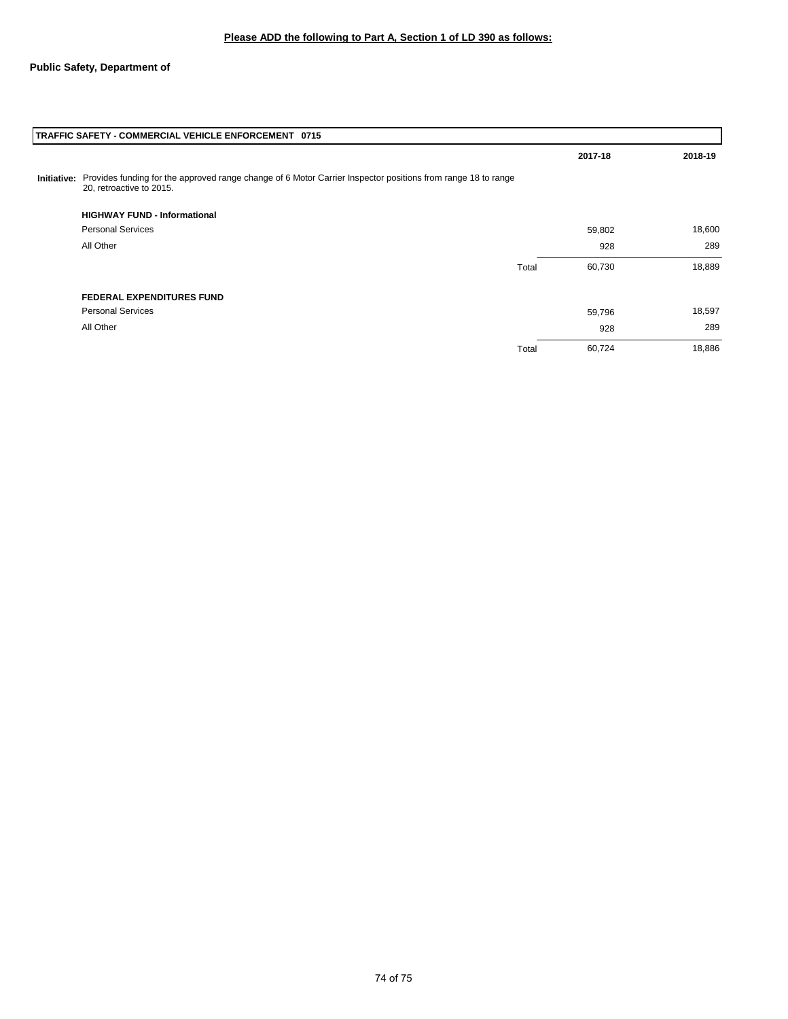|             | TRAFFIC SAFETY - COMMERCIAL VEHICLE ENFORCEMENT 0715                                                                                     |       |         |         |
|-------------|------------------------------------------------------------------------------------------------------------------------------------------|-------|---------|---------|
|             |                                                                                                                                          |       | 2017-18 | 2018-19 |
| Initiative: | Provides funding for the approved range change of 6 Motor Carrier Inspector positions from range 18 to range<br>20, retroactive to 2015. |       |         |         |
|             | <b>HIGHWAY FUND - Informational</b>                                                                                                      |       |         |         |
|             | <b>Personal Services</b>                                                                                                                 |       | 59,802  | 18,600  |
|             | All Other                                                                                                                                |       | 928     | 289     |
|             |                                                                                                                                          | Total | 60,730  | 18,889  |
|             | <b>FEDERAL EXPENDITURES FUND</b>                                                                                                         |       |         |         |
|             | <b>Personal Services</b>                                                                                                                 |       | 59,796  | 18,597  |
|             | All Other                                                                                                                                |       | 928     | 289     |
|             |                                                                                                                                          | Total | 60,724  | 18,886  |